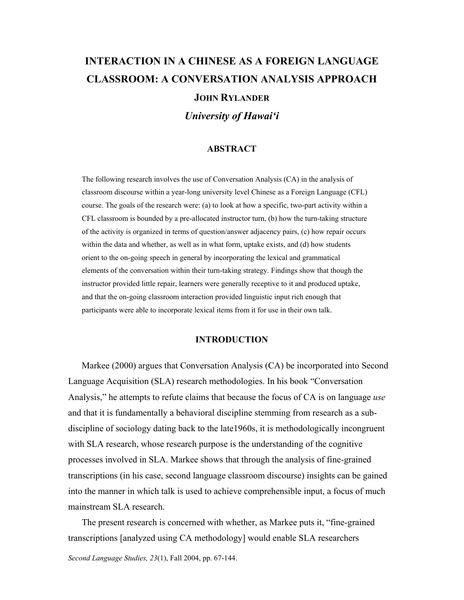# **INTERACTION IN A CHINESE AS A FOREIGN LANGUAGE CLASSROOM: A CONVERSATION ANALYSIS APPROACH JOHN RYLANDER**

*University of Hawai'i* 

### **ABSTRACT**

The following research involves the use of Conversation Analysis (CA) in the analysis of classroom discourse within a year-long university level Chinese as a Foreign Language (CFL) course. The goals of the research were: (a) to look at how a specific, two-part activity within a CFL classroom is bounded by a pre-allocated instructor turn, (b) how the turn-taking structure of the activity is organized in terms of question/answer adjacency pairs, (c) how repair occurs within the data and whether, as well as in what form, uptake exists, and (d) how students orient to the on-going speech in general by incorporating the lexical and grammatical elements of the conversation within their turn-taking strategy. Findings show that though the instructor provided little repair, learners were generally receptive to it and produced uptake, and that the on-going classroom interaction provided linguistic input rich enough that participants were able to incorporate lexical items from it for use in their own talk.

### **INTRODUCTION**

 Markee (2000) argues that Conversation Analysis (CA) be incorporated into Second Language Acquisition (SLA) research methodologies. In his book "Conversation Analysis," he attempts to refute claims that because the focus of CA is on language *use* and that it is fundamentally a behavioral discipline stemming from research as a subdiscipline of sociology dating back to the late1960s, it is methodologically incongruent with SLA research, whose research purpose is the understanding of the cognitive processes involved in SLA. Markee shows that through the analysis of fine-grained transcriptions (in his case, second language classroom discourse) insights can be gained into the manner in which talk is used to achieve comprehensible input, a focus of much mainstream SLA research.

 The present research is concerned with whether, as Markee puts it, "fine-grained transcriptions [analyzed using CA methodology] would enable SLA researchers

*Second Language Studies, 23*(1), Fall 2004, pp. 67-144.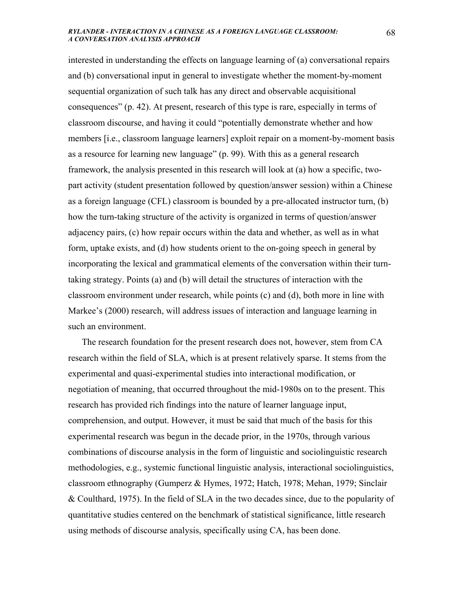interested in understanding the effects on language learning of (a) conversational repairs and (b) conversational input in general to investigate whether the moment-by-moment sequential organization of such talk has any direct and observable acquisitional consequences" (p. 42). At present, research of this type is rare, especially in terms of classroom discourse, and having it could "potentially demonstrate whether and how members [i.e., classroom language learners] exploit repair on a moment-by-moment basis as a resource for learning new language" (p. 99). With this as a general research framework, the analysis presented in this research will look at (a) how a specific, twopart activity (student presentation followed by question/answer session) within a Chinese as a foreign language (CFL) classroom is bounded by a pre-allocated instructor turn, (b) how the turn-taking structure of the activity is organized in terms of question/answer adjacency pairs, (c) how repair occurs within the data and whether, as well as in what form, uptake exists, and (d) how students orient to the on-going speech in general by incorporating the lexical and grammatical elements of the conversation within their turntaking strategy. Points (a) and (b) will detail the structures of interaction with the classroom environment under research, while points (c) and (d), both more in line with Markee's (2000) research, will address issues of interaction and language learning in such an environment.

 The research foundation for the present research does not, however, stem from CA research within the field of SLA, which is at present relatively sparse. It stems from the experimental and quasi-experimental studies into interactional modification, or negotiation of meaning, that occurred throughout the mid-1980s on to the present. This research has provided rich findings into the nature of learner language input, comprehension, and output. However, it must be said that much of the basis for this experimental research was begun in the decade prior, in the 1970s, through various combinations of discourse analysis in the form of linguistic and sociolinguistic research methodologies, e.g., systemic functional linguistic analysis, interactional sociolinguistics, classroom ethnography (Gumperz & Hymes, 1972; Hatch, 1978; Mehan, 1979; Sinclair & Coulthard, 1975). In the field of SLA in the two decades since, due to the popularity of quantitative studies centered on the benchmark of statistical significance, little research using methods of discourse analysis, specifically using CA, has been done.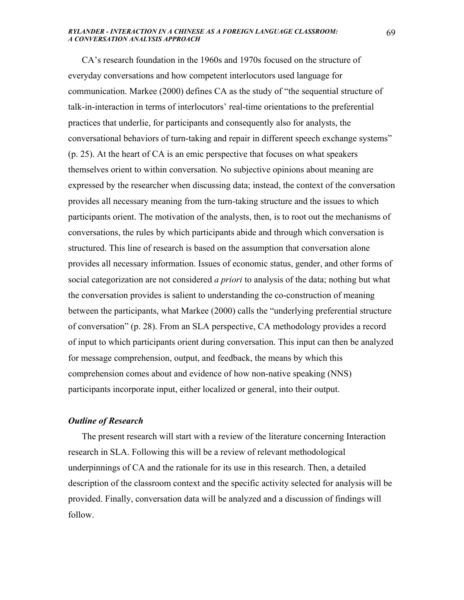CA's research foundation in the 1960s and 1970s focused on the structure of everyday conversations and how competent interlocutors used language for communication. Markee (2000) defines CA as the study of "the sequential structure of talk-in-interaction in terms of interlocutors' real-time orientations to the preferential practices that underlie, for participants and consequently also for analysts, the conversational behaviors of turn-taking and repair in different speech exchange systems" (p. 25). At the heart of CA is an emic perspective that focuses on what speakers themselves orient to within conversation. No subjective opinions about meaning are expressed by the researcher when discussing data; instead, the context of the conversation provides all necessary meaning from the turn-taking structure and the issues to which participants orient. The motivation of the analysts, then, is to root out the mechanisms of conversations, the rules by which participants abide and through which conversation is structured. This line of research is based on the assumption that conversation alone provides all necessary information. Issues of economic status, gender, and other forms of social categorization are not considered *a priori* to analysis of the data; nothing but what the conversation provides is salient to understanding the co-construction of meaning between the participants, what Markee (2000) calls the "underlying preferential structure of conversation" (p. 28). From an SLA perspective, CA methodology provides a record of input to which participants orient during conversation. This input can then be analyzed for message comprehension, output, and feedback, the means by which this comprehension comes about and evidence of how non-native speaking (NNS) participants incorporate input, either localized or general, into their output.

### *Outline of Research*

 The present research will start with a review of the literature concerning Interaction research in SLA. Following this will be a review of relevant methodological underpinnings of CA and the rationale for its use in this research. Then, a detailed description of the classroom context and the specific activity selected for analysis will be provided. Finally, conversation data will be analyzed and a discussion of findings will follow.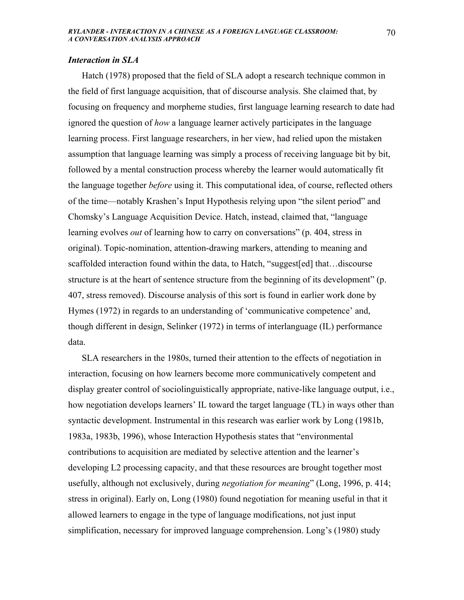### *Interaction in SLA*

 Hatch (1978) proposed that the field of SLA adopt a research technique common in the field of first language acquisition, that of discourse analysis. She claimed that, by focusing on frequency and morpheme studies, first language learning research to date had ignored the question of *how* a language learner actively participates in the language learning process. First language researchers, in her view, had relied upon the mistaken assumption that language learning was simply a process of receiving language bit by bit, followed by a mental construction process whereby the learner would automatically fit the language together *before* using it. This computational idea, of course, reflected others of the time—notably Krashen's Input Hypothesis relying upon "the silent period" and Chomsky's Language Acquisition Device. Hatch, instead, claimed that, "language learning evolves *out* of learning how to carry on conversations" (p. 404, stress in original). Topic-nomination, attention-drawing markers, attending to meaning and scaffolded interaction found within the data, to Hatch, "suggest[ed] that…discourse structure is at the heart of sentence structure from the beginning of its development" (p. 407, stress removed). Discourse analysis of this sort is found in earlier work done by Hymes (1972) in regards to an understanding of 'communicative competence' and, though different in design, Selinker (1972) in terms of interlanguage (IL) performance data.

 SLA researchers in the 1980s, turned their attention to the effects of negotiation in interaction, focusing on how learners become more communicatively competent and display greater control of sociolinguistically appropriate, native-like language output, i.e., how negotiation develops learners' IL toward the target language (TL) in ways other than syntactic development. Instrumental in this research was earlier work by Long (1981b, 1983a, 1983b, 1996), whose Interaction Hypothesis states that "environmental contributions to acquisition are mediated by selective attention and the learner's developing L2 processing capacity, and that these resources are brought together most usefully, although not exclusively, during *negotiation for meaning*" (Long, 1996, p. 414; stress in original). Early on, Long (1980) found negotiation for meaning useful in that it allowed learners to engage in the type of language modifications, not just input simplification, necessary for improved language comprehension. Long's (1980) study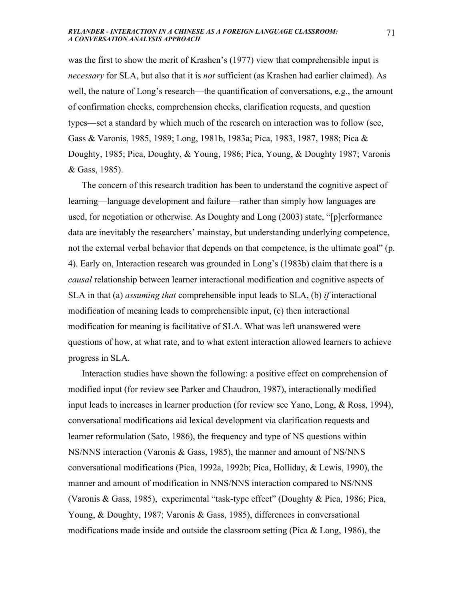was the first to show the merit of Krashen's (1977) view that comprehensible input is *necessary* for SLA, but also that it is *not* sufficient (as Krashen had earlier claimed). As well, the nature of Long's research—the quantification of conversations, e.g., the amount of confirmation checks, comprehension checks, clarification requests, and question types—set a standard by which much of the research on interaction was to follow (see, Gass & Varonis, 1985, 1989; Long, 1981b, 1983a; Pica, 1983, 1987, 1988; Pica & Doughty, 1985; Pica, Doughty, & Young, 1986; Pica, Young, & Doughty 1987; Varonis & Gass, 1985).

 The concern of this research tradition has been to understand the cognitive aspect of learning—language development and failure—rather than simply how languages are used, for negotiation or otherwise. As Doughty and Long (2003) state, "[p]erformance data are inevitably the researchers' mainstay, but understanding underlying competence, not the external verbal behavior that depends on that competence, is the ultimate goal" (p. 4). Early on, Interaction research was grounded in Long's (1983b) claim that there is a *causal* relationship between learner interactional modification and cognitive aspects of SLA in that (a) *assuming that* comprehensible input leads to SLA, (b) *if* interactional modification of meaning leads to comprehensible input, (c) then interactional modification for meaning is facilitative of SLA. What was left unanswered were questions of how, at what rate, and to what extent interaction allowed learners to achieve progress in SLA.

 Interaction studies have shown the following: a positive effect on comprehension of modified input (for review see Parker and Chaudron, 1987), interactionally modified input leads to increases in learner production (for review see Yano, Long, & Ross, 1994), conversational modifications aid lexical development via clarification requests and learner reformulation (Sato, 1986), the frequency and type of NS questions within NS/NNS interaction (Varonis & Gass, 1985), the manner and amount of NS/NNS conversational modifications (Pica, 1992a, 1992b; Pica, Holliday, & Lewis, 1990), the manner and amount of modification in NNS/NNS interaction compared to NS/NNS (Varonis & Gass, 1985), experimental "task-type effect" (Doughty & Pica, 1986; Pica, Young, & Doughty, 1987; Varonis & Gass, 1985), differences in conversational modifications made inside and outside the classroom setting (Pica & Long, 1986), the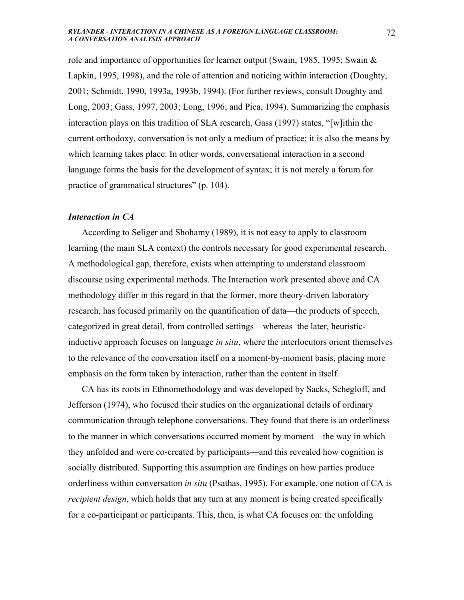role and importance of opportunities for learner output (Swain, 1985, 1995; Swain & Lapkin, 1995, 1998), and the role of attention and noticing within interaction (Doughty, 2001; Schmidt, 1990, 1993a, 1993b, 1994). (For further reviews, consult Doughty and Long, 2003; Gass, 1997, 2003; Long, 1996; and Pica, 1994). Summarizing the emphasis interaction plays on this tradition of SLA research, Gass (1997) states, "[w]ithin the current orthodoxy, conversation is not only a medium of practice; it is also the means by which learning takes place. In other words, conversational interaction in a second language forms the basis for the development of syntax; it is not merely a forum for practice of grammatical structures" (p. 104).

### *Interaction in CA*

 According to Seliger and Shohamy (1989), it is not easy to apply to classroom learning (the main SLA context) the controls necessary for good experimental research. A methodological gap, therefore, exists when attempting to understand classroom discourse using experimental methods. The Interaction work presented above and CA methodology differ in this regard in that the former, more theory-driven laboratory research, has focused primarily on the quantification of data—the products of speech, categorized in great detail, from controlled settings—whereas the later, heuristicinductive approach focuses on language *in situ*, where the interlocutors orient themselves to the relevance of the conversation itself on a moment-by-moment basis, placing more emphasis on the form taken by interaction, rather than the content in itself.

 CA has its roots in Ethnomethodology and was developed by Sacks, Schegloff, and Jefferson (1974), who focused their studies on the organizational details of ordinary communication through telephone conversations. They found that there is an orderliness to the manner in which conversations occurred moment by moment—the way in which they unfolded and were co-created by participants—and this revealed how cognition is socially distributed. Supporting this assumption are findings on how parties produce orderliness within conversation *in situ* (Psathas, 1995). For example, one notion of CA is *recipient design*, which holds that any turn at any moment is being created specifically for a co-participant or participants. This, then, is what CA focuses on: the unfolding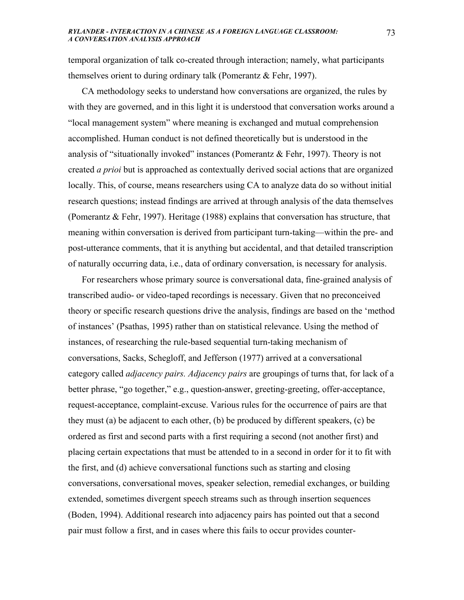temporal organization of talk co-created through interaction; namely, what participants themselves orient to during ordinary talk (Pomerantz & Fehr, 1997).

 CA methodology seeks to understand how conversations are organized, the rules by with they are governed, and in this light it is understood that conversation works around a "local management system" where meaning is exchanged and mutual comprehension accomplished. Human conduct is not defined theoretically but is understood in the analysis of "situationally invoked" instances (Pomerantz & Fehr, 1997). Theory is not created *a prioi* but is approached as contextually derived social actions that are organized locally. This, of course, means researchers using CA to analyze data do so without initial research questions; instead findings are arrived at through analysis of the data themselves (Pomerantz & Fehr, 1997). Heritage (1988) explains that conversation has structure, that meaning within conversation is derived from participant turn-taking—within the pre- and post-utterance comments, that it is anything but accidental, and that detailed transcription of naturally occurring data, i.e., data of ordinary conversation, is necessary for analysis.

 For researchers whose primary source is conversational data, fine-grained analysis of transcribed audio- or video-taped recordings is necessary. Given that no preconceived theory or specific research questions drive the analysis, findings are based on the 'method of instances' (Psathas, 1995) rather than on statistical relevance. Using the method of instances, of researching the rule-based sequential turn-taking mechanism of conversations, Sacks, Schegloff, and Jefferson (1977) arrived at a conversational category called *adjacency pairs. Adjacency pairs* are groupings of turns that, for lack of a better phrase, "go together," e.g., question-answer, greeting-greeting, offer-acceptance, request-acceptance, complaint-excuse. Various rules for the occurrence of pairs are that they must (a) be adjacent to each other, (b) be produced by different speakers, (c) be ordered as first and second parts with a first requiring a second (not another first) and placing certain expectations that must be attended to in a second in order for it to fit with the first, and (d) achieve conversational functions such as starting and closing conversations, conversational moves, speaker selection, remedial exchanges, or building extended, sometimes divergent speech streams such as through insertion sequences (Boden, 1994). Additional research into adjacency pairs has pointed out that a second pair must follow a first, and in cases where this fails to occur provides counter-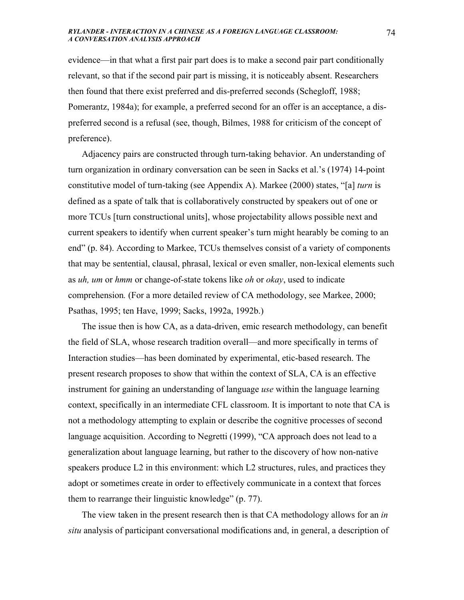evidence—in that what a first pair part does is to make a second pair part conditionally relevant, so that if the second pair part is missing, it is noticeably absent. Researchers then found that there exist preferred and dis-preferred seconds (Schegloff, 1988; Pomerantz, 1984a); for example, a preferred second for an offer is an acceptance, a dispreferred second is a refusal (see, though, Bilmes, 1988 for criticism of the concept of preference).

Adjacency pairs are constructed through turn-taking behavior. An understanding of turn organization in ordinary conversation can be seen in Sacks et al.'s (1974) 14-point constitutive model of turn-taking (see Appendix A). Markee (2000) states, "[a] *turn* is defined as a spate of talk that is collaboratively constructed by speakers out of one or more TCUs [turn constructional units], whose projectability allows possible next and current speakers to identify when current speaker's turn might hearably be coming to an end" (p. 84). According to Markee, TCUs themselves consist of a variety of components that may be sentential, clausal, phrasal, lexical or even smaller, non-lexical elements such as *uh, um* or *hmm* or change-of-state tokens like *oh* or *okay*, used to indicate comprehension*.* (For a more detailed review of CA methodology, see Markee, 2000; Psathas, 1995; ten Have, 1999; Sacks, 1992a, 1992b.)

 The issue then is how CA, as a data-driven, emic research methodology, can benefit the field of SLA, whose research tradition overall—and more specifically in terms of Interaction studies—has been dominated by experimental, etic-based research. The present research proposes to show that within the context of SLA, CA is an effective instrument for gaining an understanding of language *use* within the language learning context, specifically in an intermediate CFL classroom. It is important to note that CA is not a methodology attempting to explain or describe the cognitive processes of second language acquisition. According to Negretti (1999), "CA approach does not lead to a generalization about language learning, but rather to the discovery of how non-native speakers produce L2 in this environment: which L2 structures, rules, and practices they adopt or sometimes create in order to effectively communicate in a context that forces them to rearrange their linguistic knowledge" (p. 77).

The view taken in the present research then is that CA methodology allows for an *in situ* analysis of participant conversational modifications and, in general, a description of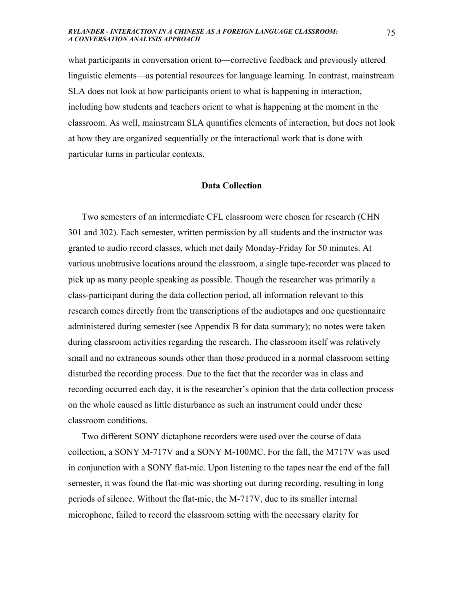what participants in conversation orient to—corrective feedback and previously uttered linguistic elements—as potential resources for language learning. In contrast, mainstream SLA does not look at how participants orient to what is happening in interaction, including how students and teachers orient to what is happening at the moment in the classroom. As well, mainstream SLA quantifies elements of interaction, but does not look at how they are organized sequentially or the interactional work that is done with particular turns in particular contexts.

### **Data Collection**

 Two semesters of an intermediate CFL classroom were chosen for research (CHN 301 and 302). Each semester, written permission by all students and the instructor was granted to audio record classes, which met daily Monday-Friday for 50 minutes. At various unobtrusive locations around the classroom, a single tape-recorder was placed to pick up as many people speaking as possible. Though the researcher was primarily a class-participant during the data collection period, all information relevant to this research comes directly from the transcriptions of the audiotapes and one questionnaire administered during semester (see Appendix B for data summary); no notes were taken during classroom activities regarding the research. The classroom itself was relatively small and no extraneous sounds other than those produced in a normal classroom setting disturbed the recording process. Due to the fact that the recorder was in class and recording occurred each day, it is the researcher's opinion that the data collection process on the whole caused as little disturbance as such an instrument could under these classroom conditions.

 Two different SONY dictaphone recorders were used over the course of data collection, a SONY M-717V and a SONY M-100MC. For the fall, the M717V was used in conjunction with a SONY flat-mic. Upon listening to the tapes near the end of the fall semester, it was found the flat-mic was shorting out during recording, resulting in long periods of silence. Without the flat-mic, the M-717V, due to its smaller internal microphone, failed to record the classroom setting with the necessary clarity for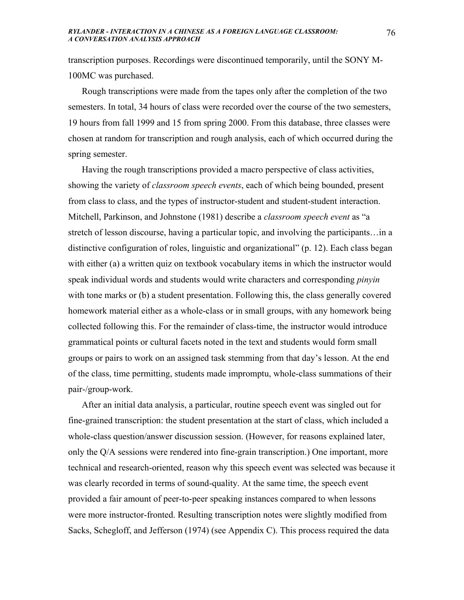transcription purposes. Recordings were discontinued temporarily, until the SONY M-100MC was purchased.

 Rough transcriptions were made from the tapes only after the completion of the two semesters. In total, 34 hours of class were recorded over the course of the two semesters, 19 hours from fall 1999 and 15 from spring 2000. From this database, three classes were chosen at random for transcription and rough analysis, each of which occurred during the spring semester.

 Having the rough transcriptions provided a macro perspective of class activities, showing the variety of *classroom speech events*, each of which being bounded, present from class to class, and the types of instructor-student and student-student interaction. Mitchell, Parkinson, and Johnstone (1981) describe a *classroom speech event* as "a stretch of lesson discourse, having a particular topic, and involving the participants…in a distinctive configuration of roles, linguistic and organizational" (p. 12). Each class began with either (a) a written quiz on textbook vocabulary items in which the instructor would speak individual words and students would write characters and corresponding *pinyin* with tone marks or (b) a student presentation. Following this, the class generally covered homework material either as a whole-class or in small groups, with any homework being collected following this. For the remainder of class-time, the instructor would introduce grammatical points or cultural facets noted in the text and students would form small groups or pairs to work on an assigned task stemming from that day's lesson. At the end of the class, time permitting, students made impromptu, whole-class summations of their pair-/group-work.

 After an initial data analysis, a particular, routine speech event was singled out for fine-grained transcription: the student presentation at the start of class, which included a whole-class question/answer discussion session. (However, for reasons explained later, only the Q/A sessions were rendered into fine-grain transcription.) One important, more technical and research-oriented, reason why this speech event was selected was because it was clearly recorded in terms of sound-quality. At the same time, the speech event provided a fair amount of peer-to-peer speaking instances compared to when lessons were more instructor-fronted. Resulting transcription notes were slightly modified from Sacks, Schegloff, and Jefferson (1974) (see Appendix C). This process required the data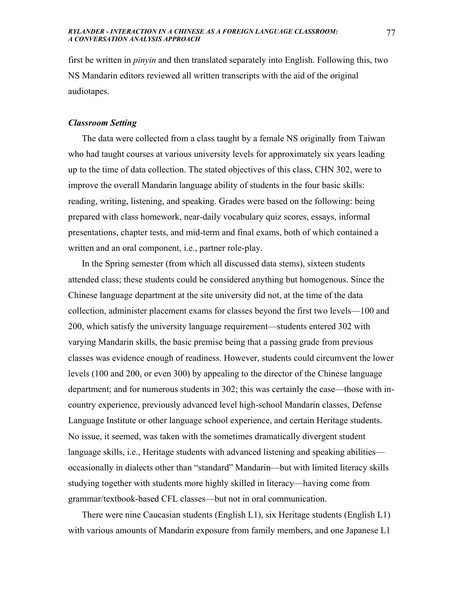first be written in *pinyin* and then translated separately into English. Following this, two NS Mandarin editors reviewed all written transcripts with the aid of the original audiotapes.

### *Classroom Setting*

 The data were collected from a class taught by a female NS originally from Taiwan who had taught courses at various university levels for approximately six years leading up to the time of data collection. The stated objectives of this class, CHN 302, were to improve the overall Mandarin language ability of students in the four basic skills: reading, writing, listening, and speaking. Grades were based on the following: being prepared with class homework, near-daily vocabulary quiz scores, essays, informal presentations, chapter tests, and mid-term and final exams, both of which contained a written and an oral component, i.e., partner role-play.

 In the Spring semester (from which all discussed data stems), sixteen students attended class; these students could be considered anything but homogenous. Since the Chinese language department at the site university did not, at the time of the data collection, administer placement exams for classes beyond the first two levels—100 and 200, which satisfy the university language requirement—students entered 302 with varying Mandarin skills, the basic premise being that a passing grade from previous classes was evidence enough of readiness. However, students could circumvent the lower levels (100 and 200, or even 300) by appealing to the director of the Chinese language department; and for numerous students in 302; this was certainly the case—those with incountry experience, previously advanced level high-school Mandarin classes, Defense Language Institute or other language school experience, and certain Heritage students. No issue, it seemed, was taken with the sometimes dramatically divergent student language skills, i.e., Heritage students with advanced listening and speaking abilities occasionally in dialects other than "standard" Mandarin—but with limited literacy skills studying together with students more highly skilled in literacy—having come from grammar/textbook-based CFL classes—but not in oral communication.

 There were nine Caucasian students (English L1), six Heritage students (English L1) with various amounts of Mandarin exposure from family members, and one Japanese L1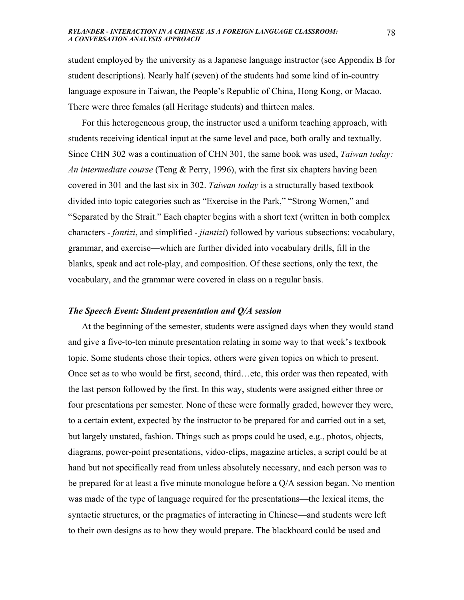student employed by the university as a Japanese language instructor (see Appendix B for student descriptions). Nearly half (seven) of the students had some kind of in-country language exposure in Taiwan, the People's Republic of China, Hong Kong, or Macao. There were three females (all Heritage students) and thirteen males.

 For this heterogeneous group, the instructor used a uniform teaching approach, with students receiving identical input at the same level and pace, both orally and textually. Since CHN 302 was a continuation of CHN 301, the same book was used, *Taiwan today: An intermediate course* (Teng & Perry, 1996), with the first six chapters having been covered in 301 and the last six in 302. *Taiwan today* is a structurally based textbook divided into topic categories such as "Exercise in the Park," "Strong Women," and "Separated by the Strait." Each chapter begins with a short text (written in both complex characters - *fantizi*, and simplified - *jiantizi*) followed by various subsections: vocabulary, grammar, and exercise—which are further divided into vocabulary drills, fill in the blanks, speak and act role-play, and composition. Of these sections, only the text, the vocabulary, and the grammar were covered in class on a regular basis.

### *The Speech Event: Student presentation and Q/A session*

 At the beginning of the semester, students were assigned days when they would stand and give a five-to-ten minute presentation relating in some way to that week's textbook topic. Some students chose their topics, others were given topics on which to present. Once set as to who would be first, second, third…etc, this order was then repeated, with the last person followed by the first. In this way, students were assigned either three or four presentations per semester. None of these were formally graded, however they were, to a certain extent, expected by the instructor to be prepared for and carried out in a set, but largely unstated, fashion. Things such as props could be used, e.g., photos, objects, diagrams, power-point presentations, video-clips, magazine articles, a script could be at hand but not specifically read from unless absolutely necessary, and each person was to be prepared for at least a five minute monologue before a Q/A session began. No mention was made of the type of language required for the presentations—the lexical items, the syntactic structures, or the pragmatics of interacting in Chinese—and students were left to their own designs as to how they would prepare. The blackboard could be used and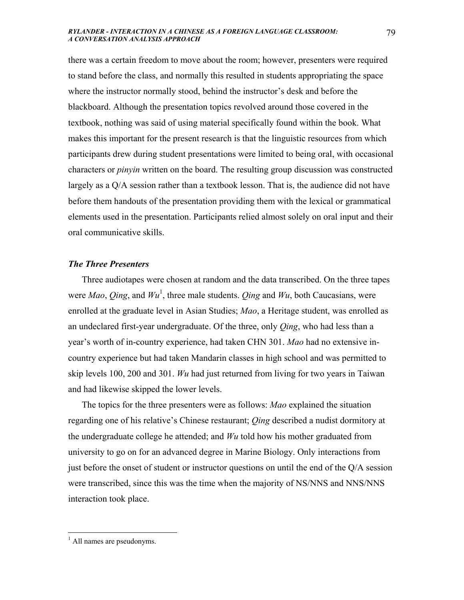there was a certain freedom to move about the room; however, presenters were required to stand before the class, and normally this resulted in students appropriating the space where the instructor normally stood, behind the instructor's desk and before the blackboard. Although the presentation topics revolved around those covered in the textbook, nothing was said of using material specifically found within the book. What makes this important for the present research is that the linguistic resources from which participants drew during student presentations were limited to being oral, with occasional characters or *pinyin* written on the board. The resulting group discussion was constructed largely as a Q/A session rather than a textbook lesson. That is, the audience did not have before them handouts of the presentation providing them with the lexical or grammatical elements used in the presentation. Participants relied almost solely on oral input and their oral communicative skills.

### *The Three Presenters*

 Three audiotapes were chosen at random and the data transcribed. On the three tapes were  $Mao$ , *Qing*, and  $Wu<sup>1</sup>$ , three male students. *Qing* and  $Wu$ , both Caucasians, were enrolled at the graduate level in Asian Studies; *Mao*, a Heritage student, was enrolled as an undeclared first-year undergraduate. Of the three, only *Qing*, who had less than a year's worth of in-country experience, had taken CHN 301. *Mao* had no extensive incountry experience but had taken Mandarin classes in high school and was permitted to skip levels 100, 200 and 301. *Wu* had just returned from living for two years in Taiwan and had likewise skipped the lower levels.

 The topics for the three presenters were as follows: *Mao* explained the situation regarding one of his relative's Chinese restaurant; *Qing* described a nudist dormitory at the undergraduate college he attended; and *Wu* told how his mother graduated from university to go on for an advanced degree in Marine Biology. Only interactions from just before the onset of student or instructor questions on until the end of the Q/A session were transcribed, since this was the time when the majority of NS/NNS and NNS/NNS interaction took place.

 $\overline{a}$ 

<sup>&</sup>lt;sup>1</sup> All names are pseudonyms.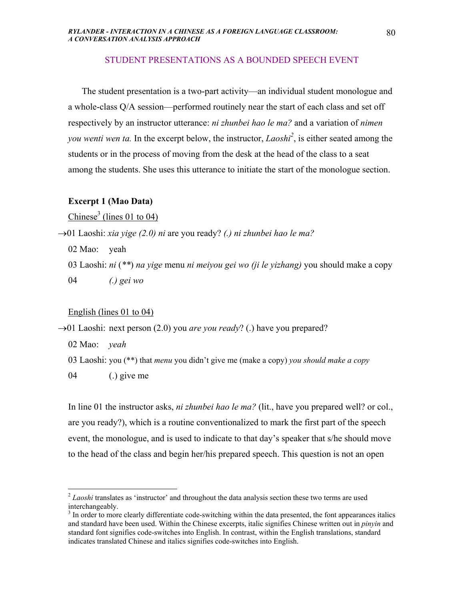### STUDENT PRESENTATIONS AS A BOUNDED SPEECH EVENT

 The student presentation is a two-part activity—an individual student monologue and a whole-class Q/A session—performed routinely near the start of each class and set off respectively by an instructor utterance: *ni zhunbei hao le ma?* and a variation of *nimen you wenti wen ta*. In the excerpt below, the instructor, *Laoshi<sup>2</sup>*, is either seated among the students or in the process of moving from the desk at the head of the class to a seat among the students. She uses this utterance to initiate the start of the monologue section.

### **Excerpt 1 (Mao Data)**

Chinese<sup>3</sup> (lines 01 to 04)

→01 Laoshi: *xia yige (2.0) ni* are you ready? *(.) ni zhunbei hao le ma?*

02 Mao: yeah

03 Laoshi: *ni* (*\*\**) *na yige* menu *ni meiyou gei wo (ji le yizhang)* you should make a copy

04 *(.) gei wo*

English (lines 01 to 04)

→01 Laoshi: next person (2.0) you *are you ready*? (.) have you prepared?

02 Mao: *yeah*

 $\overline{a}$ 

03 Laoshi: you (\*\*) that *menu* you didn't give me (make a copy) *you should make a copy*

04 (.) give me

In line 01 the instructor asks, *ni zhunbei hao le ma?* (lit., have you prepared well? or col., are you ready?), which is a routine conventionalized to mark the first part of the speech event, the monologue, and is used to indicate to that day's speaker that s/he should move to the head of the class and begin her/his prepared speech. This question is not an open

<sup>&</sup>lt;sup>2</sup> *Laoshi* translates as 'instructor' and throughout the data analysis section these two terms are used interchangeably.

<sup>&</sup>lt;sup>3</sup> In order to more clearly differentiate code-switching within the data presented, the font appearances italics and standard have been used. Within the Chinese excerpts, italic signifies Chinese written out in *pinyin* and standard font signifies code-switches into English. In contrast, within the English translations, standard indicates translated Chinese and italics signifies code-switches into English.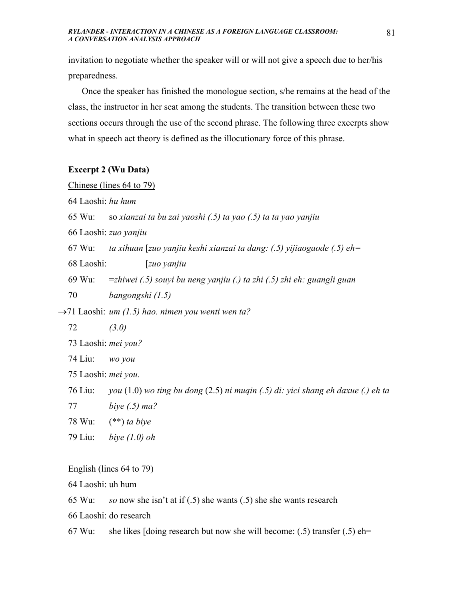invitation to negotiate whether the speaker will or will not give a speech due to her/his preparedness.

 Once the speaker has finished the monologue section, s/he remains at the head of the class, the instructor in her seat among the students. The transition between these two sections occurs through the use of the second phrase. The following three excerpts show what in speech act theory is defined as the illocutionary force of this phrase.

### **Excerpt 2 (Wu Data)**

Chinese (lines 64 to 79)

64 Laoshi: *hu hum* 

65 Wu: so *xianzai ta bu zai yaoshi (.5) ta yao (.5) ta ta yao yanjiu* 

66 Laoshi: *zuo yanjiu* 

67 Wu: *ta xihuan* [*zuo yanjiu keshi xianzai ta dang: (.5) yijiaogaode (.5) eh=* 

68 Laoshi: [*zuo yanjiu*

69 Wu: =*zhiwei (.5) souyi bu neng yanjiu (.) ta zhi (.5) zhi eh: guangli guan* 

70 *bangongshi (1.5)*

→71 Laoshi: *um (1.5) hao. nimen you wenti wen ta?* 

72 *(3.0)* 

73 Laoshi: *mei you?* 

74 Liu: *wo you*

75 Laoshi: *mei you.* 

76 Liu: *you* (1.0) *wo ting bu dong* (2.5) *ni muqin (.5) di: yici shang eh daxue (.) eh ta* 

- 77 *biye (.5) ma?*
- 78 Wu: (\*\*) *ta biye*
- 79 Liu: *biye (1.0) oh*

### English (lines 64 to 79)

64 Laoshi: uh hum

65 Wu: *so* now she isn't at if (.5) she wants (.5) she she wants research

66 Laoshi: do research

67 Wu: she likes [doing research but now she will become:  $(.5)$  transfer  $(.5)$  eh=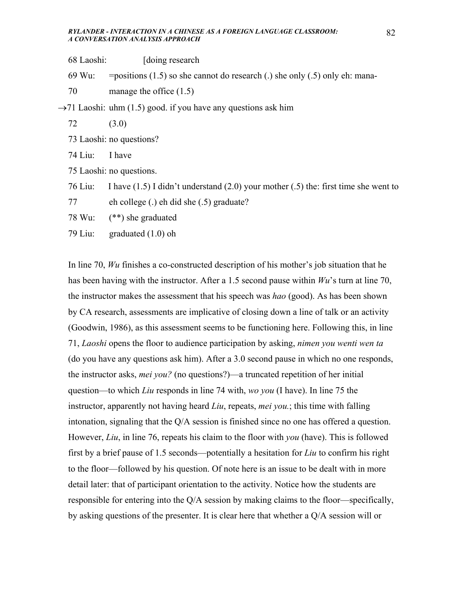- 68 Laoshi: [doing research
- 69 Wu: = positions  $(1.5)$  so she cannot do research (.) she only  $(0.5)$  only eh: mana-
- 70 manage the office (1.5)

 $\rightarrow$ 71 Laoshi: uhm (1.5) good. if you have any questions ask him

- 72 (3.0)
- 73 Laoshi: no questions?
- 74 Liu: I have
- 75 Laoshi: no questions.
- 76 Liu: I have (1.5) I didn't understand (2.0) your mother (.5) the: first time she went to
- 77 eh college (.) eh did she (.5) graduate?
- 78 Wu: (\*\*) she graduated
- 79 Liu: graduated (1.0) oh

In line 70, *Wu* finishes a co-constructed description of his mother's job situation that he has been having with the instructor. After a 1.5 second pause within *Wu*'s turn at line 70, the instructor makes the assessment that his speech was *hao* (good). As has been shown by CA research, assessments are implicative of closing down a line of talk or an activity (Goodwin, 1986), as this assessment seems to be functioning here. Following this, in line 71, *Laoshi* opens the floor to audience participation by asking, *nimen you wenti wen ta* (do you have any questions ask him). After a 3.0 second pause in which no one responds, the instructor asks, *mei you?* (no questions?)—a truncated repetition of her initial question—to which *Liu* responds in line 74 with, *wo you* (I have). In line 75 the instructor, apparently not having heard *Liu*, repeats, *mei you.*; this time with falling intonation, signaling that the Q/A session is finished since no one has offered a question. However, *Liu*, in line 76, repeats his claim to the floor with *you* (have). This is followed first by a brief pause of 1.5 seconds—potentially a hesitation for *Liu* to confirm his right to the floor—followed by his question. Of note here is an issue to be dealt with in more detail later: that of participant orientation to the activity. Notice how the students are responsible for entering into the Q/A session by making claims to the floor—specifically, by asking questions of the presenter. It is clear here that whether a Q/A session will or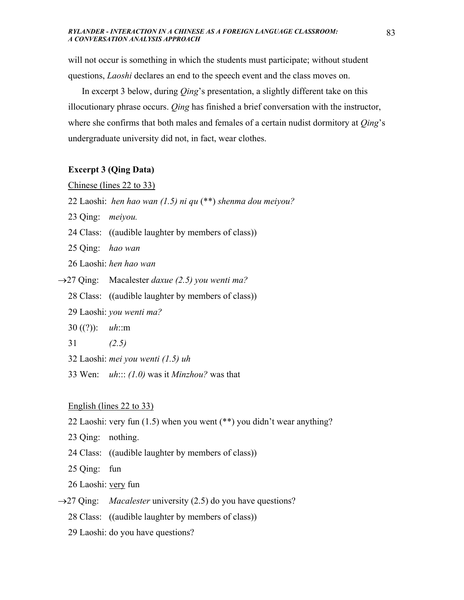will not occur is something in which the students must participate; without student questions, *Laoshi* declares an end to the speech event and the class moves on.

 In excerpt 3 below, during *Qing*'s presentation, a slightly different take on this illocutionary phrase occurs. *Qing* has finished a brief conversation with the instructor, where she confirms that both males and females of a certain nudist dormitory at *Qing*'s undergraduate university did not, in fact, wear clothes.

### **Excerpt 3 (Qing Data)**

Chinese (lines 22 to 33)

- 22 Laoshi: *hen hao wan (1.5) ni qu* (\*\*) *shenma dou meiyou?*
- 23 Qing: *meiyou.*
- 24 Class: ((audible laughter by members of class))
- 25 Qing: *hao wan*
- 26 Laoshi: *hen hao wan*
- →27 Qing: Macalester *daxue (2.5) you wenti ma?*
	- 28 Class: ((audible laughter by members of class))
	- 29 Laoshi: *you wenti ma?*
	- 30 ((?)): *uh*::m
	- 31 *(2.5)*
	- 32 Laoshi: *mei you wenti (1.5) uh*
	- 33 Wen: *uh*::: *(1.0)* was it *Minzhou?* was that

English (lines 22 to 33)

- 22 Laoshi: very fun (1.5) when you went (\*\*) you didn't wear anything?
- 23 Qing: nothing.
- 24 Class: ((audible laughter by members of class))
- 25 Qing: fun
- 26 Laoshi: very fun
- →27 Qing: *Macalester* university (2.5) do you have questions?
	- 28 Class: ((audible laughter by members of class))
	- 29 Laoshi: do you have questions?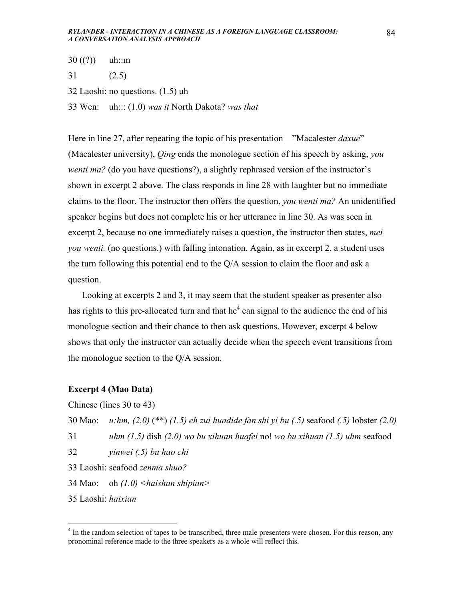- $30 ((?))$  uh::m
- 31 (2.5)
- 32 Laoshi: no questions. (1.5) uh
- 33 Wen: uh::: (1.0) *was it* North Dakota? *was that*

Here in line 27, after repeating the topic of his presentation—"Macalester *daxue*" (Macalester university), *Qing* ends the monologue section of his speech by asking, *you wenti ma?* (do you have questions?), a slightly rephrased version of the instructor's shown in excerpt 2 above. The class responds in line 28 with laughter but no immediate claims to the floor. The instructor then offers the question, *you wenti ma?* An unidentified speaker begins but does not complete his or her utterance in line 30. As was seen in excerpt 2, because no one immediately raises a question, the instructor then states, *mei you wenti.* (no questions.) with falling intonation. Again, as in excerpt 2, a student uses the turn following this potential end to the Q/A session to claim the floor and ask a question.

 Looking at excerpts 2 and 3, it may seem that the student speaker as presenter also has rights to this pre-allocated turn and that  $he^4$  can signal to the audience the end of his monologue section and their chance to then ask questions. However, excerpt 4 below shows that only the instructor can actually decide when the speech event transitions from the monologue section to the Q/A session.

### **Excerpt 4 (Mao Data)**

### Chinese (lines 30 to 43)

30 Mao: *u:hm, (2.0)* (\*\*) *(1.5) eh zui huadide fan shi yi bu (.5)* seafood *(.5)* lobster *(2.0)* 

31 *uhm (1.5)* dish *(2.0) wo bu xihuan huafei* no! *wo bu xihuan (1.5) uhm* seafood

- 32 *yinwei (.5) bu hao chi*
- 33 Laoshi: seafood *zenma shuo?*

34 Mao: oh *(1.0) <haishan shipian>*

35 Laoshi: *haixian*

1

<sup>&</sup>lt;sup>4</sup> In the random selection of tapes to be transcribed, three male presenters were chosen. For this reason, any pronominal reference made to the three speakers as a whole will reflect this.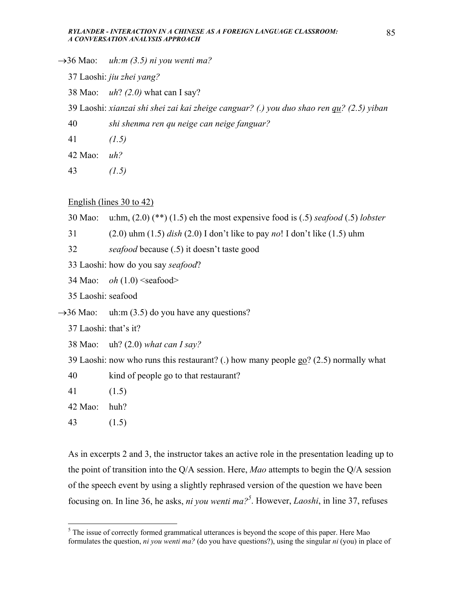→36 Mao: *uh:m (3.5) ni you wenti ma?*

37 Laoshi: *jiu zhei yang?*

- 38 Mao: *uh*? *(2.0)* what can I say?
- 39 Laoshi: *xianzai shi shei zai kai zheige canguar? (.) you duo shao ren qu? (2.5) yiban*
- 40 *shi shenma ren qu neige can neige fanguar?*

41 *(1.5)*

42 Mao: *uh?* 

43 *(1.5)*

English (lines 30 to 42)

30 Mao: u:hm, (2.0) (\*\*) (1.5) eh the most expensive food is (.5) *seafood* (.5) *lobster*

31 (2.0) uhm (1.5) *dish* (2.0) I don't like to pay *no*! I don't like (1.5) uhm

32 *seafood* because (.5) it doesn't taste good

33 Laoshi: how do you say *seafood*?

34 Mao: *oh*  $(1.0)$  <seafood>

35 Laoshi: seafood

 $\rightarrow$ 36 Mao: uh:m (3.5) do you have any questions?

37 Laoshi: that's it?

38 Mao: uh? (2.0) *what can I say?*

39 Laoshi: now who runs this restaurant? (.) how many people go? (2.5) normally what

40 kind of people go to that restaurant?

41 (1.5)

42 Mao: huh?

43 (1.5)

 $\overline{a}$ 

As in excerpts 2 and 3, the instructor takes an active role in the presentation leading up to the point of transition into the Q/A session. Here, *Mao* attempts to begin the Q/A session of the speech event by using a slightly rephrased version of the question we have been focusing on. In line 36, he asks, *ni you wenti ma?*<sup>5</sup>. However, *Laoshi*, in line 37, refuses

 $<sup>5</sup>$  The issue of correctly formed grammatical utterances is beyond the scope of this paper. Here Mao</sup> formulates the question, *ni you wenti ma?* (do you have questions?), using the singular *ni* (you) in place of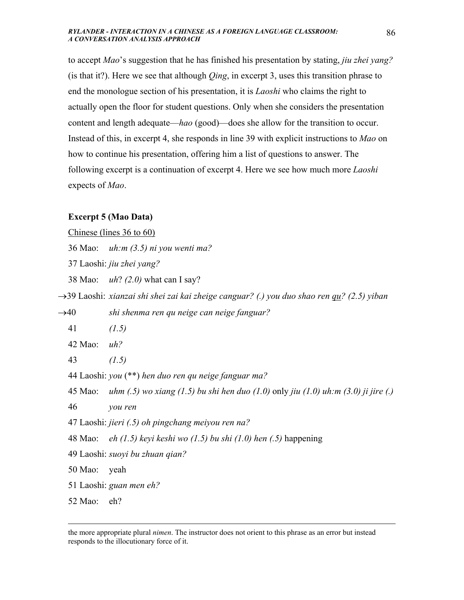to accept *Mao*'s suggestion that he has finished his presentation by stating, *jiu zhei yang?* (is that it?). Here we see that although *Qing*, in excerpt 3, uses this transition phrase to end the monologue section of his presentation, it is *Laoshi* who claims the right to actually open the floor for student questions. Only when she considers the presentation content and length adequate—*hao* (good)—does she allow for the transition to occur. Instead of this, in excerpt 4, she responds in line 39 with explicit instructions to *Mao* on how to continue his presentation, offering him a list of questions to answer. The following excerpt is a continuation of excerpt 4. Here we see how much more *Laoshi* expects of *Mao*.

### **Excerpt 5 (Mao Data)**

Chinese (lines 36 to 60)

36 Mao: *uh:m (3.5) ni you wenti ma?*

37 Laoshi: *jiu zhei yang?*

38 Mao: *uh*? *(2.0)* what can I say?

→39 Laoshi: *xianzai shi shei zai kai zheige canguar? (.) you duo shao ren qu? (2.5) yiban*

→40 *shi shenma ren qu neige can neige fanguar?* 

41 *(1.5)*

42 Mao: *uh?* 

43 *(1.5)*

44 Laoshi: *you* (\*\*) *hen duo ren qu neige fanguar ma?*

45 Mao: *uhm (.5) wo xiang (1.5) bu shi hen duo (1.0)* only *jiu (1.0) uh:m (3.0) ji jire (.)* 

46 *you ren*

47 Laoshi: *jieri (.5) oh pingchang meiyou ren na?*

48 Mao: *eh (1.5) keyi keshi wo (1.5) bu shi (1.0) hen (.5)* happening

49 Laoshi: *suoyi bu zhuan qian?*

50 Mao: yeah

51 Laoshi: *guan men eh?*

52 Mao: eh?

the more appropriate plural *nimen*. The instructor does not orient to this phrase as an error but instead responds to the illocutionary force of it.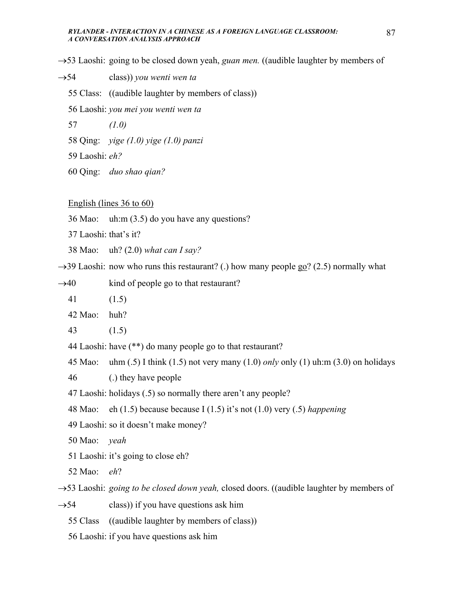→53 Laoshi: going to be closed down yeah, *guan men.* ((audible laughter by members of

- →54 class)) *you wenti wen ta* 
	- 55 Class: ((audible laughter by members of class))
	- 56 Laoshi: *you mei you wenti wen ta*
	- 57 *(1.0)*
	- 58 Qing: *yige (1.0) yige (1.0) panzi*
	- 59 Laoshi: *eh?*
	- 60 Qing: *duo shao qian?*

### English (lines 36 to 60)

- 36 Mao: uh:m (3.5) do you have any questions?
- 37 Laoshi: that's it?
- 38 Mao: uh? (2.0) *what can I say?*
- $\rightarrow$ 39 Laoshi: now who runs this restaurant? (.) how many people go? (2.5) normally what
- $\rightarrow$ 40 kind of people go to that restaurant?
	- 41 (1.5)
	- 42 Mao: huh?
	- 43 (1.5)
	- 44 Laoshi: have (\*\*) do many people go to that restaurant?
	- 45 Mao: uhm (.5) I think (1.5) not very many (1.0) *only* only (1) uh:m (3.0) on holidays
	- 46 (.) they have people
	- 47 Laoshi: holidays (.5) so normally there aren't any people?
	- 48 Mao: eh (1.5) because because I (1.5) it's not (1.0) very (.5) *happening*
	- 49 Laoshi: so it doesn't make money?
	- 50 Mao: *yeah*
	- 51 Laoshi: it's going to close eh?
	- 52 Mao: *eh*?

→53 Laoshi: *going to be closed down yeah,* closed doors. ((audible laughter by members of

- $\rightarrow$  54 class)) if you have questions ask him
	- 55 Class ((audible laughter by members of class))
	- 56 Laoshi: if you have questions ask him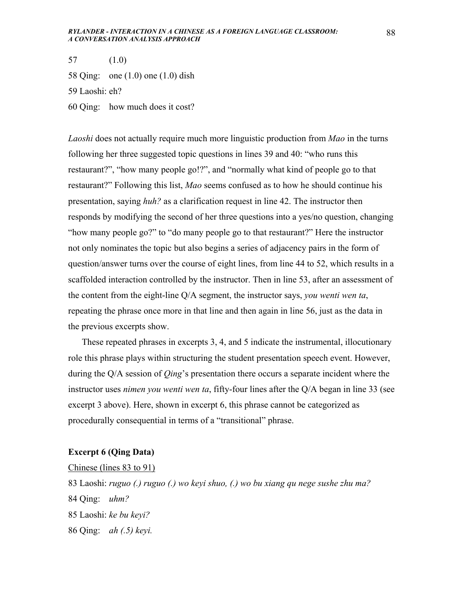57 (1.0) 58 Qing: one (1.0) one (1.0) dish 59 Laoshi: eh? 60 Qing: how much does it cost?

*Laoshi* does not actually require much more linguistic production from *Mao* in the turns following her three suggested topic questions in lines 39 and 40: "who runs this restaurant?", "how many people go!?", and "normally what kind of people go to that restaurant?" Following this list, *Mao* seems confused as to how he should continue his presentation, saying *huh?* as a clarification request in line 42. The instructor then responds by modifying the second of her three questions into a yes/no question, changing "how many people go?" to "do many people go to that restaurant?" Here the instructor not only nominates the topic but also begins a series of adjacency pairs in the form of question/answer turns over the course of eight lines, from line 44 to 52, which results in a scaffolded interaction controlled by the instructor. Then in line 53, after an assessment of the content from the eight-line Q/A segment, the instructor says, *you wenti wen ta*, repeating the phrase once more in that line and then again in line 56, just as the data in the previous excerpts show.

 These repeated phrases in excerpts 3, 4, and 5 indicate the instrumental, illocutionary role this phrase plays within structuring the student presentation speech event. However, during the Q/A session of *Qing*'s presentation there occurs a separate incident where the instructor uses *nimen you wenti wen ta*, fifty-four lines after the Q/A began in line 33 (see excerpt 3 above). Here, shown in excerpt 6, this phrase cannot be categorized as procedurally consequential in terms of a "transitional" phrase.

### **Excerpt 6 (Qing Data)**

### Chinese (lines 83 to 91)

83 Laoshi: *ruguo (.) ruguo (.) wo keyi shuo, (.) wo bu xiang qu nege sushe zhu ma?* 84 Qing: *uhm?* 85 Laoshi: *ke bu keyi?* 86 Qing: *ah (.5) keyi.*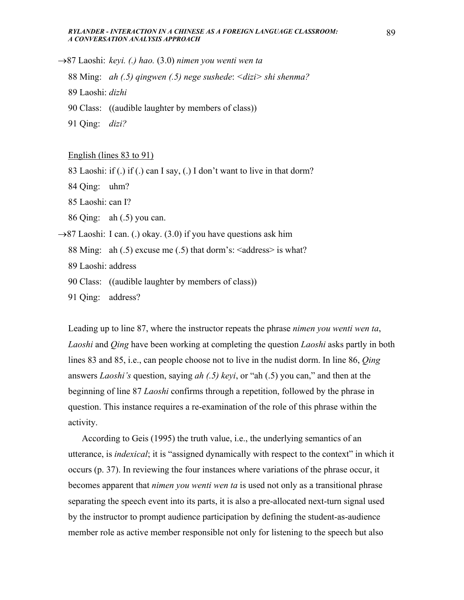- →87 Laoshi: *keyi. (.) hao.* (3.0) *nimen you wenti wen ta*
	- 88 Ming: *ah (.5) qingwen (.5) nege sushede*: *<dizi> shi shenma?*
	- 89 Laoshi: *dizhi*
	- 90 Class: ((audible laughter by members of class))
	- 91 Qing: *dizi?*

### English (lines 83 to 91)

- 83 Laoshi: if (.) if (.) can I say, (.) I don't want to live in that dorm?
- 84 Qing: uhm?
- 85 Laoshi: can I?
- 86 Qing: ah (.5) you can.
- $\rightarrow$ 87 Laoshi: I can. (.) okay. (3.0) if you have questions ask him
	- 88 Ming: ah  $(0.5)$  excuse me  $(0.5)$  that dorm's:  $\leq$  address $\geq$  is what?
	- 89 Laoshi: address
	- 90 Class: ((audible laughter by members of class))
	- 91 Qing: address?

Leading up to line 87, where the instructor repeats the phrase *nimen you wenti wen ta*, *Laoshi* and *Qing* have been working at completing the question *Laoshi* asks partly in both lines 83 and 85, i.e., can people choose not to live in the nudist dorm. In line 86, *Qing* answers *Laoshi's* question, saying *ah (.5) keyi*, or "ah (.5) you can," and then at the beginning of line 87 *Laoshi* confirms through a repetition, followed by the phrase in question. This instance requires a re-examination of the role of this phrase within the activity.

 According to Geis (1995) the truth value, i.e., the underlying semantics of an utterance, is *indexical*; it is "assigned dynamically with respect to the context" in which it occurs (p. 37). In reviewing the four instances where variations of the phrase occur, it becomes apparent that *nimen you wenti wen ta* is used not only as a transitional phrase separating the speech event into its parts, it is also a pre-allocated next-turn signal used by the instructor to prompt audience participation by defining the student-as-audience member role as active member responsible not only for listening to the speech but also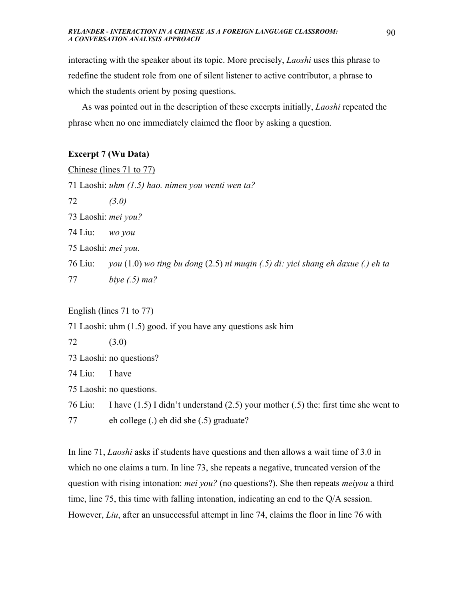interacting with the speaker about its topic. More precisely, *Laoshi* uses this phrase to redefine the student role from one of silent listener to active contributor, a phrase to which the students orient by posing questions.

 As was pointed out in the description of these excerpts initially, *Laoshi* repeated the phrase when no one immediately claimed the floor by asking a question.

### **Excerpt 7 (Wu Data)**

|                                                   | Chinese (lines $71$ to $77$ )                                                            |
|---------------------------------------------------|------------------------------------------------------------------------------------------|
| 71 Laoshi: uhm (1.5) hao. nimen you wenti wen ta? |                                                                                          |
| 72                                                | (3.0)                                                                                    |
| 73 Laoshi: <i>mei you?</i>                        |                                                                                          |
| 74 Liu:                                           | wo you                                                                                   |
| 75 Laoshi: <i>mei you</i> .                       |                                                                                          |
| 76 Liu:                                           | you $(1.0)$ wo ting bu dong $(2.5)$ ni muqin $(0.5)$ di: yici shang eh daxue $(0)$ eh ta |
| 77                                                | biye $(.5)$ ma?                                                                          |
|                                                   |                                                                                          |

### English (lines 71 to 77)

71 Laoshi: uhm (1.5) good. if you have any questions ask him

72 (3.0)

73 Laoshi: no questions?

74 Liu: I have

75 Laoshi: no questions.

76 Liu: I have (1.5) I didn't understand (2.5) your mother (.5) the: first time she went to 77 eh college (.) eh did she (.5) graduate?

In line 71, *Laoshi* asks if students have questions and then allows a wait time of 3.0 in which no one claims a turn. In line 73, she repeats a negative, truncated version of the question with rising intonation: *mei you?* (no questions?). She then repeats *meiyou* a third time, line 75, this time with falling intonation, indicating an end to the Q/A session. However, *Liu*, after an unsuccessful attempt in line 74, claims the floor in line 76 with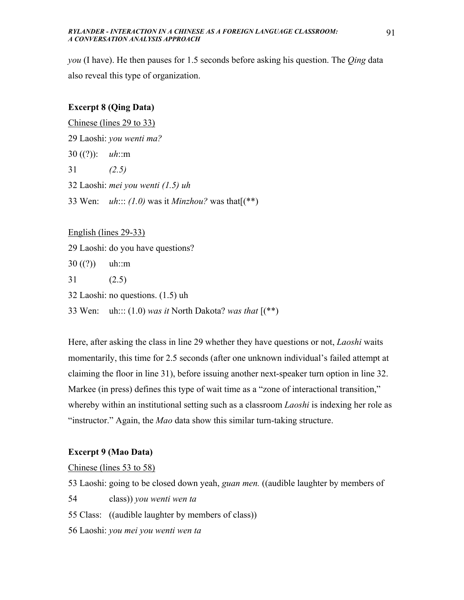*you* (I have). He then pauses for 1.5 seconds before asking his question. The *Qing* data also reveal this type of organization.

### **Excerpt 8 (Qing Data)**

Chinese (lines 29 to 33)

29 Laoshi: *you wenti ma?*

30 ((?)): *uh*::m

31 *(2.5)*

32 Laoshi: *mei you wenti (1.5) uh*

33 Wen: *uh*::: *(1.0)* was it *Minzhou?* was that[(\*\*)

English (lines 29-33)

29 Laoshi: do you have questions?

 $30 ((?))$  uh::m

31 (2.5)

32 Laoshi: no questions. (1.5) uh

33 Wen: uh::: (1.0) *was it* North Dakota? *was that* [(\*\*)

Here, after asking the class in line 29 whether they have questions or not, *Laoshi* waits momentarily, this time for 2.5 seconds (after one unknown individual's failed attempt at claiming the floor in line 31), before issuing another next-speaker turn option in line 32. Markee (in press) defines this type of wait time as a "zone of interactional transition," whereby within an institutional setting such as a classroom *Laoshi* is indexing her role as "instructor." Again, the *Mao* data show this similar turn-taking structure.

### **Excerpt 9 (Mao Data)**

Chinese (lines 53 to 58)

53 Laoshi: going to be closed down yeah, *guan men.* ((audible laughter by members of

54 class)) *you wenti wen ta* 

55 Class: ((audible laughter by members of class))

56 Laoshi: *you mei you wenti wen ta*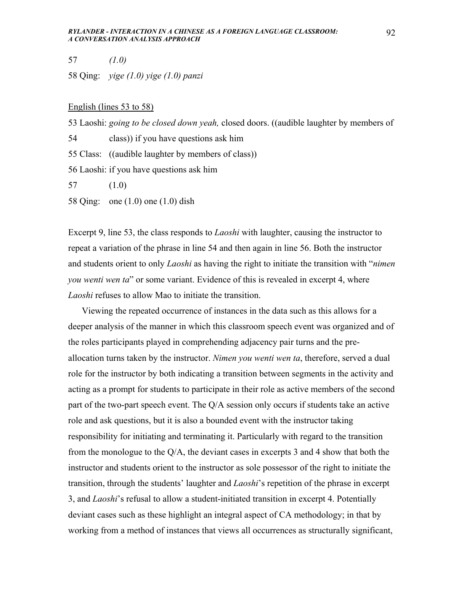57 *(1.0)*

58 Qing: *yige (1.0) yige (1.0) panzi*

### English (lines 53 to 58)

53 Laoshi: *going to be closed down yeah,* closed doors. ((audible laughter by members of

54 class)) if you have questions ask him

55 Class: ((audible laughter by members of class))

56 Laoshi: if you have questions ask him

57 (1.0)

58 Qing: one (1.0) one (1.0) dish

Excerpt 9, line 53, the class responds to *Laoshi* with laughter, causing the instructor to repeat a variation of the phrase in line 54 and then again in line 56. Both the instructor and students orient to only *Laoshi* as having the right to initiate the transition with "*nimen you wenti wen ta*" or some variant. Evidence of this is revealed in excerpt 4, where *Laoshi* refuses to allow Mao to initiate the transition.

 Viewing the repeated occurrence of instances in the data such as this allows for a deeper analysis of the manner in which this classroom speech event was organized and of the roles participants played in comprehending adjacency pair turns and the preallocation turns taken by the instructor. *Nimen you wenti wen ta*, therefore, served a dual role for the instructor by both indicating a transition between segments in the activity and acting as a prompt for students to participate in their role as active members of the second part of the two-part speech event. The Q/A session only occurs if students take an active role and ask questions, but it is also a bounded event with the instructor taking responsibility for initiating and terminating it. Particularly with regard to the transition from the monologue to the Q/A, the deviant cases in excerpts 3 and 4 show that both the instructor and students orient to the instructor as sole possessor of the right to initiate the transition, through the students' laughter and *Laoshi*'s repetition of the phrase in excerpt 3, and *Laoshi*'s refusal to allow a student-initiated transition in excerpt 4. Potentially deviant cases such as these highlight an integral aspect of CA methodology; in that by working from a method of instances that views all occurrences as structurally significant,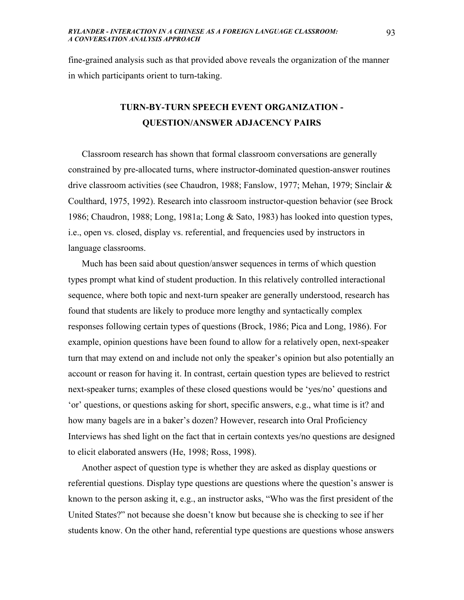fine-grained analysis such as that provided above reveals the organization of the manner in which participants orient to turn-taking.

## **TURN-BY-TURN SPEECH EVENT ORGANIZATION - QUESTION/ANSWER ADJACENCY PAIRS**

 Classroom research has shown that formal classroom conversations are generally constrained by pre-allocated turns, where instructor-dominated question-answer routines drive classroom activities (see Chaudron, 1988; Fanslow, 1977; Mehan, 1979; Sinclair & Coulthard, 1975, 1992). Research into classroom instructor-question behavior (see Brock 1986; Chaudron, 1988; Long, 1981a; Long & Sato, 1983) has looked into question types, i.e., open vs. closed, display vs. referential, and frequencies used by instructors in language classrooms.

 Much has been said about question/answer sequences in terms of which question types prompt what kind of student production. In this relatively controlled interactional sequence, where both topic and next-turn speaker are generally understood, research has found that students are likely to produce more lengthy and syntactically complex responses following certain types of questions (Brock, 1986; Pica and Long, 1986). For example, opinion questions have been found to allow for a relatively open, next-speaker turn that may extend on and include not only the speaker's opinion but also potentially an account or reason for having it. In contrast, certain question types are believed to restrict next-speaker turns; examples of these closed questions would be 'yes/no' questions and 'or' questions, or questions asking for short, specific answers, e.g., what time is it? and how many bagels are in a baker's dozen? However, research into Oral Proficiency Interviews has shed light on the fact that in certain contexts yes/no questions are designed to elicit elaborated answers (He, 1998; Ross, 1998).

 Another aspect of question type is whether they are asked as display questions or referential questions. Display type questions are questions where the question's answer is known to the person asking it, e.g., an instructor asks, "Who was the first president of the United States?" not because she doesn't know but because she is checking to see if her students know. On the other hand, referential type questions are questions whose answers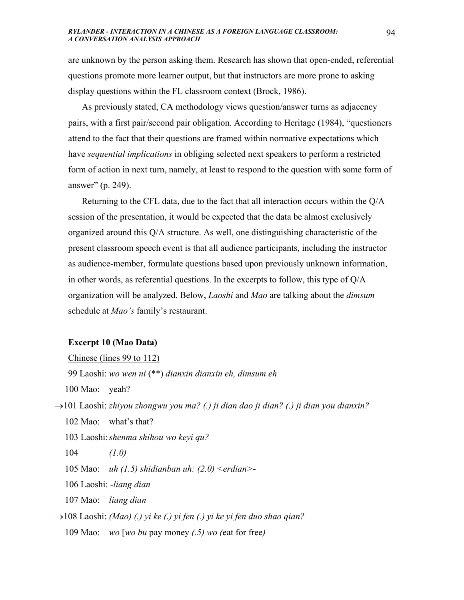are unknown by the person asking them. Research has shown that open-ended, referential questions promote more learner output, but that instructors are more prone to asking display questions within the FL classroom context (Brock, 1986).

 As previously stated, CA methodology views question/answer turns as adjacency pairs, with a first pair/second pair obligation. According to Heritage (1984), "questioners attend to the fact that their questions are framed within normative expectations which have *sequential implications* in obliging selected next speakers to perform a restricted form of action in next turn, namely, at least to respond to the question with some form of answer" (p. 249).

 Returning to the CFL data, due to the fact that all interaction occurs within the Q/A session of the presentation, it would be expected that the data be almost exclusively organized around this Q/A structure. As well, one distinguishing characteristic of the present classroom speech event is that all audience participants, including the instructor as audience-member, formulate questions based upon previously unknown information, in other words, as referential questions. In the excerpts to follow, this type of Q/A organization will be analyzed. Below, *Laoshi* and *Mao* are talking about the *dimsum* schedule at *Mao's* family's restaurant.

### **Excerpt 10 (Mao Data)**

### Chinese (lines 99 to 112)

99 Laoshi: *wo wen ni* (\*\*) *dianxin dianxin eh, dimsum eh* 

100 Mao: yeah?

- →101 Laoshi: *zhiyou zhongwu you ma? (.) ji dian dao ji dian? (.) ji dian you dianxin?*
	- 102 Mao: what's that?
	- 103 Laoshi: *shenma shihou wo keyi qu?*
	- 104 *(1.0)*
	- 105 Mao: *uh (1.5) shidianban uh: (2.0) <erdian>*-
	- 106 Laoshi: -*liang dian*
	- 107 Mao: *liang dian*

→108 Laoshi: *(Mao) (.) yi ke (.) yi fen (.) yi ke yi fen duo shao qian?* 109 Mao: *wo* [*wo bu* pay money *(.5) wo (*eat for free*)*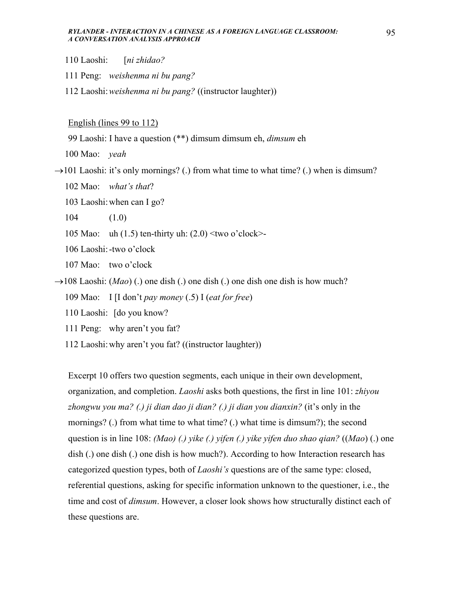- 110 Laoshi: [*ni zhidao?*
- 111 Peng: *weishenma ni bu pang?*
- 112 Laoshi: *weishenma ni bu pang?* ((instructor laughter))

English (lines 99 to 112)

99 Laoshi: I have a question (\*\*) dimsum dimsum eh, *dimsum* eh

100 Mao: *yeah*

 $\rightarrow$ 101 Laoshi: it's only mornings? (.) from what time to what time? (.) when is dimsum?

- 102 Mao: *what's that*?
- 103 Laoshi: when can I go?
- 104 (1.0)
- 105 Mao: uh (1.5) ten-thirty uh:  $(2.0)$  <two o'clock>-

106 Laoshi: -two o'clock

107 Mao: two o'clock

- $\rightarrow$ 108 Laoshi: (*Mao*) (.) one dish (.) one dish (.) one dish one dish is how much?
	- 109 Mao: I [I don't *pay money* (.5) I (*eat for free*)
	- 110 Laoshi: [do you know?
	- 111 Peng: why aren't you fat?
	- 112 Laoshi: why aren't you fat? ((instructor laughter))

Excerpt 10 offers two question segments, each unique in their own development, organization, and completion. *Laoshi* asks both questions, the first in line 101: *zhiyou zhongwu you ma? (.) ji dian dao ji dian? (.) ji dian you dianxin?* (it's only in the mornings? (.) from what time to what time? (.) what time is dimsum?); the second question is in line 108: *(Mao) (.) yike (.) yifen (.) yike yifen duo shao qian?* ((*Mao*) (.) one dish (.) one dish (.) one dish is how much?). According to how Interaction research has categorized question types, both of *Laoshi's* questions are of the same type: closed, referential questions, asking for specific information unknown to the questioner, i.e., the time and cost of *dimsum*. However, a closer look shows how structurally distinct each of these questions are.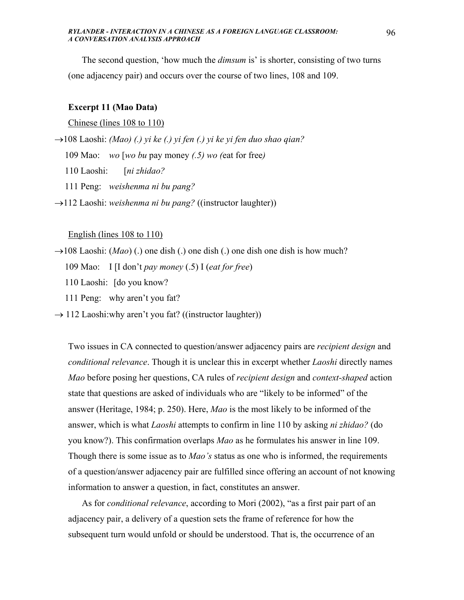The second question, 'how much the *dimsum* is' is shorter, consisting of two turns (one adjacency pair) and occurs over the course of two lines, 108 and 109.

### **Excerpt 11 (Mao Data)**

Chinese (lines 108 to 110)

→108 Laoshi: *(Mao) (.) yi ke (.) yi fen (.) yi ke yi fen duo shao qian?*

109 Mao: *wo* [*wo bu* pay money *(.5) wo (*eat for free*)* 

110 Laoshi: [*ni zhidao?* 

111 Peng: *weishenma ni bu pang?*

→112 Laoshi: *weishenma ni bu pang?* ((instructor laughter))

#### English (lines 108 to 110)

 $\rightarrow$ 108 Laoshi: (*Mao*) (.) one dish (.) one dish (.) one dish one dish is how much?

109 Mao: I [I don't *pay money* (.5) I (*eat for free*)

110 Laoshi: [do you know?

111 Peng: why aren't you fat?

 $\rightarrow$  112 Laoshi: why aren't you fat? ((instructor laughter))

Two issues in CA connected to question/answer adjacency pairs are *recipient design* and *conditional relevance*. Though it is unclear this in excerpt whether *Laoshi* directly names *Mao* before posing her questions, CA rules of *recipient design* and *context-shaped* action state that questions are asked of individuals who are "likely to be informed" of the answer (Heritage, 1984; p. 250). Here, *Mao* is the most likely to be informed of the answer, which is what *Laoshi* attempts to confirm in line 110 by asking *ni zhidao?* (do you know?). This confirmation overlaps *Mao* as he formulates his answer in line 109. Though there is some issue as to *Mao's* status as one who is informed, the requirements of a question/answer adjacency pair are fulfilled since offering an account of not knowing information to answer a question, in fact, constitutes an answer.

 As for *conditional relevance*, according to Mori (2002), "as a first pair part of an adjacency pair, a delivery of a question sets the frame of reference for how the subsequent turn would unfold or should be understood. That is, the occurrence of an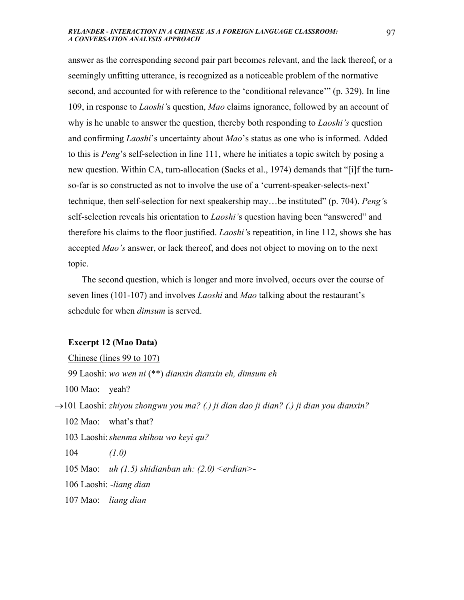answer as the corresponding second pair part becomes relevant, and the lack thereof, or a seemingly unfitting utterance, is recognized as a noticeable problem of the normative second, and accounted for with reference to the 'conditional relevance'" (p. 329). In line 109, in response to *Laoshi'*s question, *Mao* claims ignorance, followed by an account of why is he unable to answer the question, thereby both responding to *Laoshi's* question and confirming *Laoshi*'s uncertainty about *Mao*'s status as one who is informed. Added to this is *Peng*'s self-selection in line 111, where he initiates a topic switch by posing a new question. Within CA, turn-allocation (Sacks et al., 1974) demands that "[i]f the turnso-far is so constructed as not to involve the use of a 'current-speaker-selects-next' technique, then self-selection for next speakership may…be instituted" (p. 704). *Peng'*s self-selection reveals his orientation to *Laoshi'*s question having been "answered" and therefore his claims to the floor justified. *Laoshi'*s repeatition, in line 112, shows she has accepted *Mao's* answer, or lack thereof, and does not object to moving on to the next topic.

 The second question, which is longer and more involved, occurs over the course of seven lines (101-107) and involves *Laoshi* and *Mao* talking about the restaurant's schedule for when *dimsum* is served.

### **Excerpt 12 (Mao Data)**

### Chinese (lines 99 to 107)

99 Laoshi: *wo wen ni* (\*\*) *dianxin dianxin eh, dimsum eh* 

100 Mao: yeah?

→101 Laoshi: *zhiyou zhongwu you ma? (.) ji dian dao ji dian? (.) ji dian you dianxin?*

102 Mao: what's that?

103 Laoshi: *shenma shihou wo keyi qu?* 

104 *(1.0)*

105 Mao: *uh (1.5) shidianban uh: (2.0) <erdian>*-

106 Laoshi: -*liang dian*

107 Mao: *liang dian*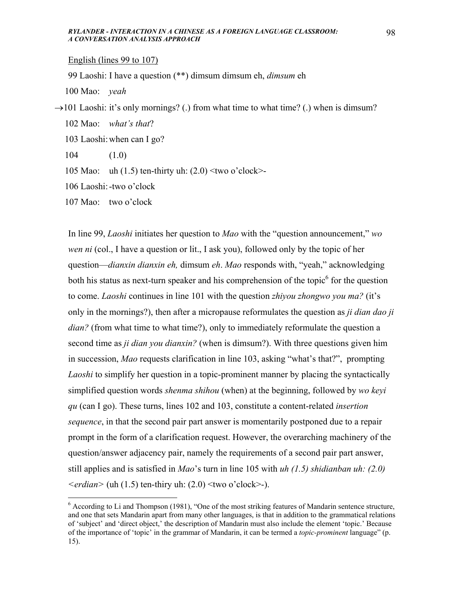English (lines 99 to 107)

99 Laoshi: I have a question (\*\*) dimsum dimsum eh, *dimsum* eh

100 Mao: *yeah*

 $\rightarrow$ 101 Laoshi: it's only mornings? (.) from what time to what time? (.) when is dimsum?

102 Mao: *what's that*?

103 Laoshi: when can I go?

104 (1.0)

1

105 Mao: uh (1.5) ten-thirty uh: (2.0) <two o'clock>-

106 Laoshi: -two o'clock

107 Mao: two o'clock

In line 99, *Laoshi* initiates her question to *Mao* with the "question announcement," *wo wen ni* (col., I have a question or lit., I ask you), followed only by the topic of her question—*dianxin dianxin eh,* dimsum *eh*. *Mao* responds with, "yeah," acknowledging both his status as next-turn speaker and his comprehension of the topic $<sup>6</sup>$  for the question</sup> to come. *Laoshi* continues in line 101 with the question *zhiyou zhongwo you ma?* (it's only in the mornings?), then after a micropause reformulates the question as *ji dian dao ji dian?* (from what time to what time?), only to immediately reformulate the question a second time as *ji dian you dianxin?* (when is dimsum?). With three questions given him in succession, *Mao* requests clarification in line 103, asking "what's that?", prompting *Laoshi* to simplify her question in a topic-prominent manner by placing the syntactically simplified question words *shenma shihou* (when) at the beginning, followed by *wo keyi qu* (can I go). These turns, lines 102 and 103, constitute a content-related *insertion sequence*, in that the second pair part answer is momentarily postponed due to a repair prompt in the form of a clarification request. However, the overarching machinery of the question/answer adjacency pair, namely the requirements of a second pair part answer, still applies and is satisfied in *Mao*'s turn in line 105 with *uh (1.5) shidianban uh: (2.0)*   $\leq$ *erdian* $>$  (uh (1.5) ten-thiry uh: (2.0)  $\leq$ two o'clock $>$ -).

<sup>&</sup>lt;sup>6</sup> According to Li and Thompson (1981), "One of the most striking features of Mandarin sentence structure, and one that sets Mandarin apart from many other languages, is that in addition to the grammatical relations of 'subject' and 'direct object,' the description of Mandarin must also include the element 'topic.' Because of the importance of 'topic' in the grammar of Mandarin, it can be termed a *topic-prominent* language" (p. 15).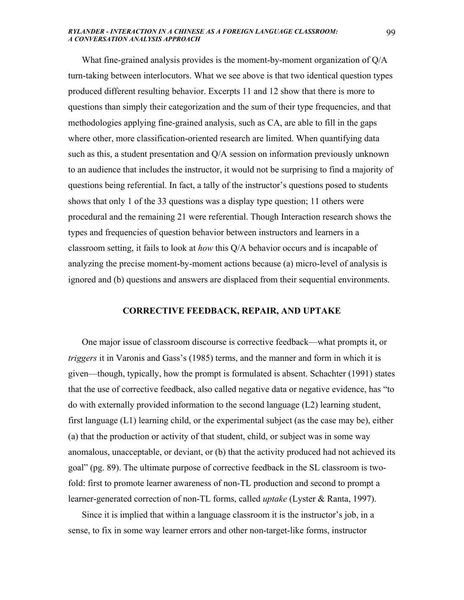What fine-grained analysis provides is the moment-by-moment organization of Q/A turn-taking between interlocutors. What we see above is that two identical question types produced different resulting behavior. Excerpts 11 and 12 show that there is more to questions than simply their categorization and the sum of their type frequencies, and that methodologies applying fine-grained analysis, such as CA, are able to fill in the gaps where other, more classification-oriented research are limited. When quantifying data such as this, a student presentation and Q/A session on information previously unknown to an audience that includes the instructor, it would not be surprising to find a majority of questions being referential. In fact, a tally of the instructor's questions posed to students shows that only 1 of the 33 questions was a display type question; 11 others were procedural and the remaining 21 were referential. Though Interaction research shows the types and frequencies of question behavior between instructors and learners in a classroom setting, it fails to look at *how* this Q/A behavior occurs and is incapable of analyzing the precise moment-by-moment actions because (a) micro-level of analysis is ignored and (b) questions and answers are displaced from their sequential environments.

### **CORRECTIVE FEEDBACK, REPAIR, AND UPTAKE**

 One major issue of classroom discourse is corrective feedback—what prompts it, or *triggers* it in Varonis and Gass's (1985) terms, and the manner and form in which it is given—though, typically, how the prompt is formulated is absent. Schachter (1991) states that the use of corrective feedback, also called negative data or negative evidence, has "to do with externally provided information to the second language (L2) learning student, first language (L1) learning child, or the experimental subject (as the case may be), either (a) that the production or activity of that student, child, or subject was in some way anomalous, unacceptable, or deviant, or (b) that the activity produced had not achieved its goal" (pg. 89). The ultimate purpose of corrective feedback in the SL classroom is twofold: first to promote learner awareness of non-TL production and second to prompt a learner-generated correction of non-TL forms, called *uptake* (Lyster & Ranta, 1997).

 Since it is implied that within a language classroom it is the instructor's job, in a sense, to fix in some way learner errors and other non-target-like forms, instructor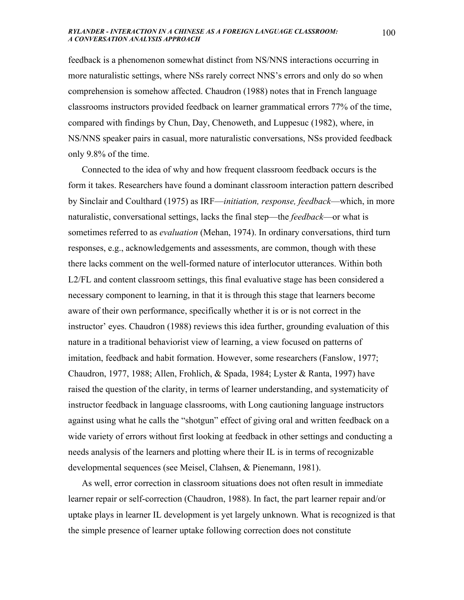feedback is a phenomenon somewhat distinct from NS/NNS interactions occurring in more naturalistic settings, where NSs rarely correct NNS's errors and only do so when comprehension is somehow affected. Chaudron (1988) notes that in French language classrooms instructors provided feedback on learner grammatical errors 77% of the time, compared with findings by Chun, Day, Chenoweth, and Luppesuc (1982), where, in NS/NNS speaker pairs in casual, more naturalistic conversations, NSs provided feedback only 9.8% of the time.

 Connected to the idea of why and how frequent classroom feedback occurs is the form it takes. Researchers have found a dominant classroom interaction pattern described by Sinclair and Coulthard (1975) as IRF—*initiation, response, feedback*—which, in more naturalistic, conversational settings, lacks the final step—the *feedback*—or what is sometimes referred to as *evaluation* (Mehan, 1974). In ordinary conversations, third turn responses, e.g., acknowledgements and assessments, are common, though with these there lacks comment on the well-formed nature of interlocutor utterances. Within both L2/FL and content classroom settings, this final evaluative stage has been considered a necessary component to learning, in that it is through this stage that learners become aware of their own performance, specifically whether it is or is not correct in the instructor' eyes. Chaudron (1988) reviews this idea further, grounding evaluation of this nature in a traditional behaviorist view of learning, a view focused on patterns of imitation, feedback and habit formation. However, some researchers (Fanslow, 1977; Chaudron, 1977, 1988; Allen, Frohlich, & Spada, 1984; Lyster & Ranta, 1997) have raised the question of the clarity, in terms of learner understanding, and systematicity of instructor feedback in language classrooms, with Long cautioning language instructors against using what he calls the "shotgun" effect of giving oral and written feedback on a wide variety of errors without first looking at feedback in other settings and conducting a needs analysis of the learners and plotting where their IL is in terms of recognizable developmental sequences (see Meisel, Clahsen, & Pienemann, 1981).

 As well, error correction in classroom situations does not often result in immediate learner repair or self-correction (Chaudron, 1988). In fact, the part learner repair and/or uptake plays in learner IL development is yet largely unknown. What is recognized is that the simple presence of learner uptake following correction does not constitute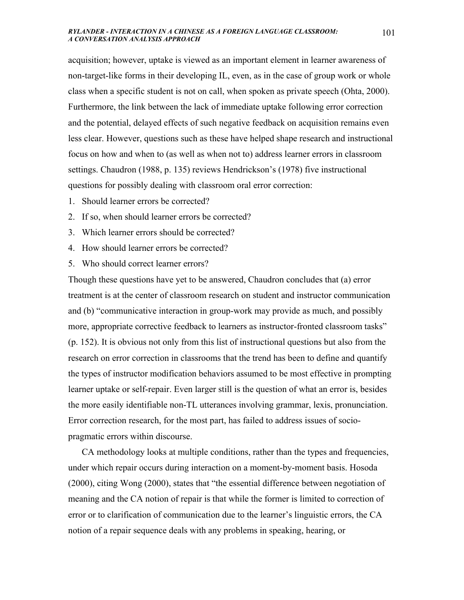acquisition; however, uptake is viewed as an important element in learner awareness of non-target-like forms in their developing IL, even, as in the case of group work or whole class when a specific student is not on call, when spoken as private speech (Ohta, 2000). Furthermore, the link between the lack of immediate uptake following error correction and the potential, delayed effects of such negative feedback on acquisition remains even less clear. However, questions such as these have helped shape research and instructional focus on how and when to (as well as when not to) address learner errors in classroom settings. Chaudron (1988, p. 135) reviews Hendrickson's (1978) five instructional questions for possibly dealing with classroom oral error correction:

- 1. Should learner errors be corrected?
- 2. If so, when should learner errors be corrected?
- 3. Which learner errors should be corrected?
- 4. How should learner errors be corrected?
- 5. Who should correct learner errors?

Though these questions have yet to be answered, Chaudron concludes that (a) error treatment is at the center of classroom research on student and instructor communication and (b) "communicative interaction in group-work may provide as much, and possibly more, appropriate corrective feedback to learners as instructor-fronted classroom tasks" (p. 152). It is obvious not only from this list of instructional questions but also from the research on error correction in classrooms that the trend has been to define and quantify the types of instructor modification behaviors assumed to be most effective in prompting learner uptake or self-repair. Even larger still is the question of what an error is, besides the more easily identifiable non-TL utterances involving grammar, lexis, pronunciation. Error correction research, for the most part, has failed to address issues of sociopragmatic errors within discourse.

 CA methodology looks at multiple conditions, rather than the types and frequencies, under which repair occurs during interaction on a moment-by-moment basis. Hosoda (2000), citing Wong (2000), states that "the essential difference between negotiation of meaning and the CA notion of repair is that while the former is limited to correction of error or to clarification of communication due to the learner's linguistic errors, the CA notion of a repair sequence deals with any problems in speaking, hearing, or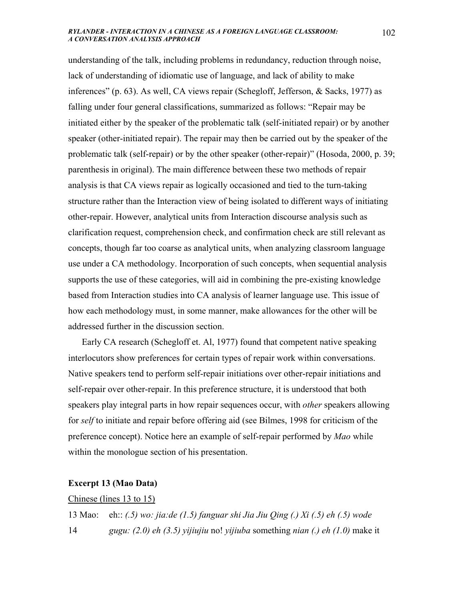understanding of the talk, including problems in redundancy, reduction through noise, lack of understanding of idiomatic use of language, and lack of ability to make inferences" (p. 63). As well, CA views repair (Schegloff, Jefferson, & Sacks, 1977) as falling under four general classifications, summarized as follows: "Repair may be initiated either by the speaker of the problematic talk (self-initiated repair) or by another speaker (other-initiated repair). The repair may then be carried out by the speaker of the problematic talk (self-repair) or by the other speaker (other-repair)" (Hosoda, 2000, p. 39; parenthesis in original). The main difference between these two methods of repair analysis is that CA views repair as logically occasioned and tied to the turn-taking structure rather than the Interaction view of being isolated to different ways of initiating other-repair. However, analytical units from Interaction discourse analysis such as clarification request, comprehension check, and confirmation check are still relevant as concepts, though far too coarse as analytical units, when analyzing classroom language use under a CA methodology. Incorporation of such concepts, when sequential analysis supports the use of these categories, will aid in combining the pre-existing knowledge based from Interaction studies into CA analysis of learner language use. This issue of how each methodology must, in some manner, make allowances for the other will be addressed further in the discussion section.

 Early CA research (Schegloff et. Al, 1977) found that competent native speaking interlocutors show preferences for certain types of repair work within conversations. Native speakers tend to perform self-repair initiations over other-repair initiations and self-repair over other-repair. In this preference structure, it is understood that both speakers play integral parts in how repair sequences occur, with *other* speakers allowing for *self* to initiate and repair before offering aid (see Bilmes, 1998 for criticism of the preference concept). Notice here an example of self-repair performed by *Mao* while within the monologue section of his presentation.

### **Excerpt 13 (Mao Data)**

#### Chinese (lines 13 to 15)

13 Mao: eh:: *(.5) wo: jia:de (1.5) fanguar shi Jia Jiu Qing (.) Xi (.5) eh (.5) wode*  14 *gugu: (2.0) eh (3.5) yijiujiu* no! *yijiuba* something *nian (.) eh (1.0)* make it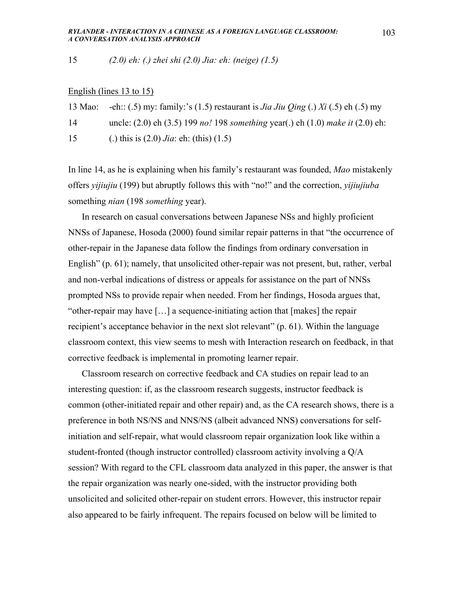15 *(2.0) eh: (.) zhei shi (2.0) Jia: eh: (neige) (1.5)* 

### English (lines 13 to 15)

13 Mao: -eh:: (.5) my: family:'s (1.5) restaurant is *Jia Jiu Qing* (.) *Xi* (.5) eh (.5) my 14 uncle: (2.0) eh (3.5) 199 *no!* 198 *something* year(.) eh (1.0) *make it* (2.0) eh: 15 (.) this is (2.0) *Jia*: eh: (this) (1.5)

In line 14, as he is explaining when his family's restaurant was founded, *Mao* mistakenly offers *yijiujiu* (199) but abruptly follows this with "no!" and the correction, *yijiujiuba* something *nian* (198 *something* year).

 In research on casual conversations between Japanese NSs and highly proficient NNSs of Japanese, Hosoda (2000) found similar repair patterns in that "the occurrence of other-repair in the Japanese data follow the findings from ordinary conversation in English" (p. 61); namely, that unsolicited other-repair was not present, but, rather, verbal and non-verbal indications of distress or appeals for assistance on the part of NNSs prompted NSs to provide repair when needed. From her findings, Hosoda argues that, "other-repair may have […] a sequence-initiating action that [makes] the repair recipient's acceptance behavior in the next slot relevant" (p. 61). Within the language classroom context, this view seems to mesh with Interaction research on feedback, in that corrective feedback is implemental in promoting learner repair.

 Classroom research on corrective feedback and CA studies on repair lead to an interesting question: if, as the classroom research suggests, instructor feedback is common (other-initiated repair and other repair) and, as the CA research shows, there is a preference in both NS/NS and NNS/NS (albeit advanced NNS) conversations for selfinitiation and self-repair, what would classroom repair organization look like within a student-fronted (though instructor controlled) classroom activity involving a Q/A session? With regard to the CFL classroom data analyzed in this paper, the answer is that the repair organization was nearly one-sided, with the instructor providing both unsolicited and solicited other-repair on student errors. However, this instructor repair also appeared to be fairly infrequent. The repairs focused on below will be limited to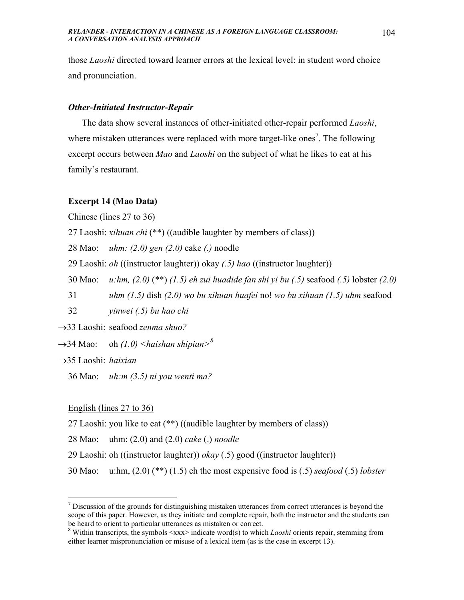those *Laoshi* directed toward learner errors at the lexical level: in student word choice and pronunciation.

## *Other-Initiated Instructor-Repair*

 The data show several instances of other-initiated other-repair performed *Laoshi*, where mistaken utterances were replaced with more target-like ones<sup>7</sup>. The following excerpt occurs between *Mao* and *Laoshi* on the subject of what he likes to eat at his family's restaurant.

## **Excerpt 14 (Mao Data)**

Chinese (lines 27 to 36)

27 Laoshi: *xihuan chi* (\*\*) ((audible laughter by members of class))

28 Mao: *uhm: (2.0) gen (2.0)* cake *(.)* noodle

29 Laoshi: *oh* ((instructor laughter)) okay *(.5) hao* ((instructor laughter))

30 Mao: *u:hm, (2.0)* (\*\*) *(1.5) eh zui huadide fan shi yi bu (.5)* seafood *(.5)* lobster *(2.0)* 

31 *uhm (1.5)* dish *(2.0) wo bu xihuan huafei* no! *wo bu xihuan (1.5) uhm* seafood

32 *yinwei (.5) bu hao chi*

→33 Laoshi: seafood *zenma shuo?*

 $\rightarrow$ 34 Mao: oh *(1.0)* <*haishan shipian*><sup>8</sup>

→35 Laoshi: *haixian*

 $\overline{a}$ 

36 Mao: *uh:m (3.5) ni you wenti ma?*

English (lines 27 to 36)

27 Laoshi: you like to eat (\*\*) ((audible laughter by members of class))

28 Mao: uhm: (2.0) and (2.0) *cake* (.) *noodle*

- 29 Laoshi: oh ((instructor laughter)) *okay* (.5) good ((instructor laughter))
- 30 Mao: u:hm, (2.0) (\*\*) (1.5) eh the most expensive food is (.5) *seafood* (.5) *lobster*

 $<sup>7</sup>$  Discussion of the grounds for distinguishing mistaken utterances from correct utterances is beyond the</sup> scope of this paper. However, as they initiate and complete repair, both the instructor and the students can be heard to orient to particular utterances as mistaken or correct.

<sup>&</sup>lt;sup>8</sup> Within transcripts, the symbols  $\langle xxx \rangle$  indicate word(s) to which *Laoshi* orients repair, stemming from either learner mispronunciation or misuse of a lexical item (as is the case in excerpt 13).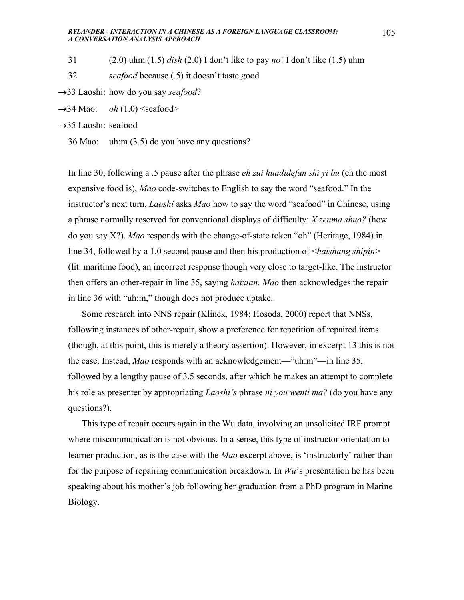- 31 (2.0) uhm (1.5) *dish* (2.0) I don't like to pay *no*! I don't like (1.5) uhm
- 32 *seafood* because (.5) it doesn't taste good
- →33 Laoshi: how do you say *seafood*?
- $\rightarrow$ 34 Mao: *oh* (1.0) < seafood >

→35 Laoshi: seafood

36 Mao: uh:m (3.5) do you have any questions?

In line 30, following a .5 pause after the phrase *eh zui huadidefan shi yi bu* (eh the most expensive food is), *Mao* code-switches to English to say the word "seafood." In the instructor's next turn, *Laoshi* asks *Mao* how to say the word "seafood" in Chinese, using a phrase normally reserved for conventional displays of difficulty: *X zenma shuo?* (how do you say X?). *Mao* responds with the change-of-state token "oh" (Heritage, 1984) in line 34, followed by a 1.0 second pause and then his production of <*haishang shipin>* (lit. maritime food), an incorrect response though very close to target-like. The instructor then offers an other-repair in line 35, saying *haixian*. *Mao* then acknowledges the repair in line 36 with "uh:m," though does not produce uptake.

 Some research into NNS repair (Klinck, 1984; Hosoda, 2000) report that NNSs, following instances of other-repair, show a preference for repetition of repaired items (though, at this point, this is merely a theory assertion). However, in excerpt 13 this is not the case. Instead, *Mao* responds with an acknowledgement—"uh:m"—in line 35, followed by a lengthy pause of 3.5 seconds, after which he makes an attempt to complete his role as presenter by appropriating *Laoshi's* phrase *ni you wenti ma?* (do you have any questions?).

 This type of repair occurs again in the Wu data, involving an unsolicited IRF prompt where miscommunication is not obvious. In a sense, this type of instructor orientation to learner production, as is the case with the *Mao* excerpt above, is 'instructorly' rather than for the purpose of repairing communication breakdown. In *Wu*'s presentation he has been speaking about his mother's job following her graduation from a PhD program in Marine Biology.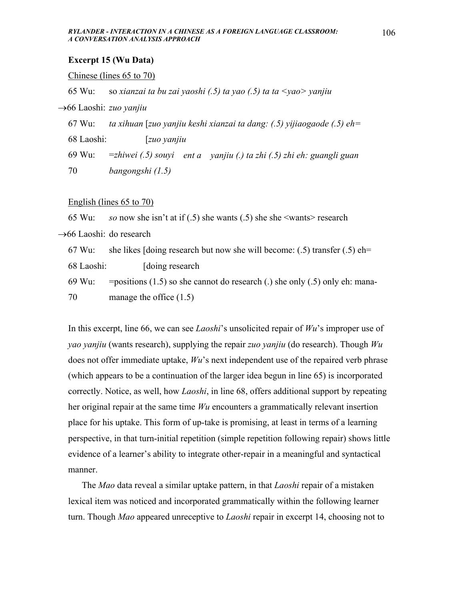## **Excerpt 15 (Wu Data)**

#### Chinese (lines 65 to 70)

65 Wu: so *xianzai ta bu zai yaoshi (.5) ta yao (.5) ta ta <yao> yanjiu* 

→66 Laoshi: *zuo yanjiu* 

67 Wu: *ta xihuan* [*zuo yanjiu keshi xianzai ta dang: (.5) yijiaogaode (.5) eh=* 

68 Laoshi: [*zuo yanjiu*

69 Wu: =*zhiwei (.5) souyi ent a yanjiu (.) ta zhi (.5) zhi eh: guangli guan* 70 *bangongshi (1.5)*

### English (lines 65 to 70)

65 Wu: *so* now she isn't at if (.5) she wants (.5) she she <wants> research →66 Laoshi: do research 67 Wu: she likes [doing research but now she will become:  $(.5)$  transfer  $(.5)$  eh= 68 Laoshi: [doing research 69 Wu: = positions (1.5) so she cannot do research (.) she only (.5) only eh: mana-70 manage the office (1.5)

In this excerpt, line 66, we can see *Laoshi*'s unsolicited repair of *Wu*'s improper use of *yao yanjiu* (wants research), supplying the repair *zuo yanjiu* (do research). Though *Wu* does not offer immediate uptake, *Wu*'s next independent use of the repaired verb phrase (which appears to be a continuation of the larger idea begun in line 65) is incorporated correctly. Notice, as well, how *Laoshi*, in line 68, offers additional support by repeating her original repair at the same time *Wu* encounters a grammatically relevant insertion place for his uptake. This form of up-take is promising, at least in terms of a learning perspective, in that turn-initial repetition (simple repetition following repair) shows little evidence of a learner's ability to integrate other-repair in a meaningful and syntactical manner.

 The *Mao* data reveal a similar uptake pattern, in that *Laoshi* repair of a mistaken lexical item was noticed and incorporated grammatically within the following learner turn. Though *Mao* appeared unreceptive to *Laoshi* repair in excerpt 14, choosing not to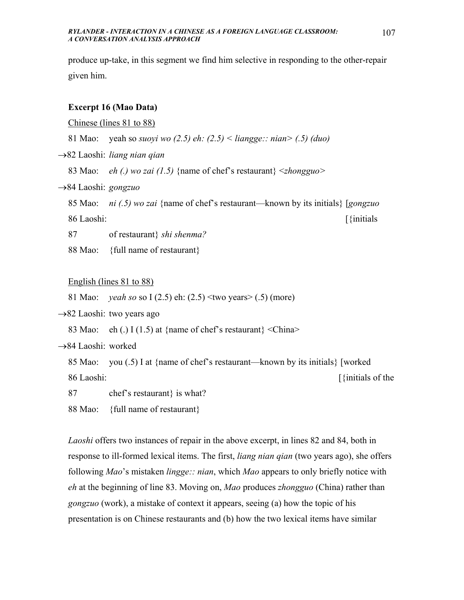produce up-take, in this segment we find him selective in responding to the other-repair given him.

### **Excerpt 16 (Mao Data)**

Chinese (lines 81 to 88)

81 Mao: yeah so *suoyi wo (2.5) eh: (2.5) < liangge:: nian> (.5) (duo)*

→82 Laoshi: *liang nian qian* 

83 Mao: *eh (.) wo zai (1.5)* {name of chef's restaurant} <*zhongguo>*

→84 Laoshi: *gongzuo*

85 Mao: *ni (.5) wo zai* {name of chef's restaurant—known by its initials} [*gongzuo* 86 Laoshi: [{initials

87 of restaurant} *shi shenma?*

88 Mao: {full name of restaurant}

### English (lines 81 to 88)

81 Mao: *yeah so* so I (2.5) eh: (2.5) <two years> (.5) (more)

 $\rightarrow$ 82 Laoshi: two years ago

83 Mao: eh (.) I (1.5) at {name of chef's restaurant} <China>

→84 Laoshi: worked

85 Mao: you (.5) I at {name of chef's restaurant—known by its initials} [worked 86 Laoshi: [{initials of the

87 chef's restaurant} is what?

88 Mao: {full name of restaurant}

*Laoshi* offers two instances of repair in the above excerpt, in lines 82 and 84, both in response to ill-formed lexical items. The first, *liang nian qian* (two years ago), she offers following *Mao*'s mistaken *lingge:: nian*, which *Mao* appears to only briefly notice with *eh* at the beginning of line 83. Moving on, *Mao* produces *zhongguo* (China) rather than *gongzuo* (work), a mistake of context it appears, seeing (a) how the topic of his presentation is on Chinese restaurants and (b) how the two lexical items have similar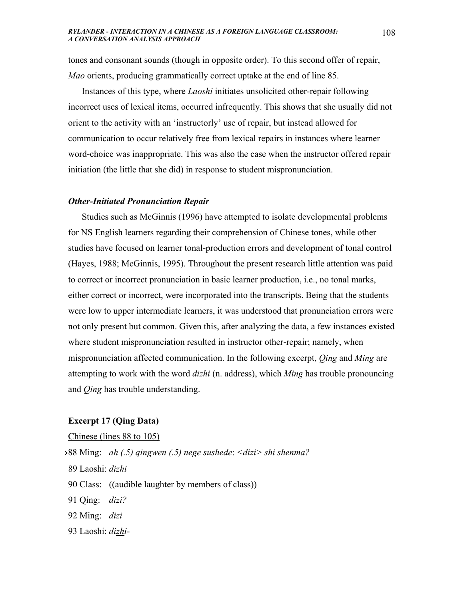tones and consonant sounds (though in opposite order). To this second offer of repair, *Mao* orients, producing grammatically correct uptake at the end of line 85.

 Instances of this type, where *Laoshi* initiates unsolicited other-repair following incorrect uses of lexical items, occurred infrequently. This shows that she usually did not orient to the activity with an 'instructorly' use of repair, but instead allowed for communication to occur relatively free from lexical repairs in instances where learner word-choice was inappropriate. This was also the case when the instructor offered repair initiation (the little that she did) in response to student mispronunciation.

### *Other-Initiated Pronunciation Repair*

 Studies such as McGinnis (1996) have attempted to isolate developmental problems for NS English learners regarding their comprehension of Chinese tones, while other studies have focused on learner tonal-production errors and development of tonal control (Hayes, 1988; McGinnis, 1995). Throughout the present research little attention was paid to correct or incorrect pronunciation in basic learner production, i.e., no tonal marks, either correct or incorrect, were incorporated into the transcripts. Being that the students were low to upper intermediate learners, it was understood that pronunciation errors were not only present but common. Given this, after analyzing the data, a few instances existed where student mispronunciation resulted in instructor other-repair; namely, when mispronunciation affected communication. In the following excerpt, *Qing* and *Ming* are attempting to work with the word *dizhi* (n. address), which *Ming* has trouble pronouncing and *Qing* has trouble understanding.

# **Excerpt 17 (Qing Data)**

Chinese (lines 88 to 105)

- →88 Ming: *ah (.5) qingwen (.5) nege sushede*: *<dizi> shi shenma?*
	- 89 Laoshi: *dizhi*
	- 90 Class: ((audible laughter by members of class))
	- 91 Qing: *dizi?*
	- 92 Ming: *dizi*
	- 93 Laoshi: *dizhi*-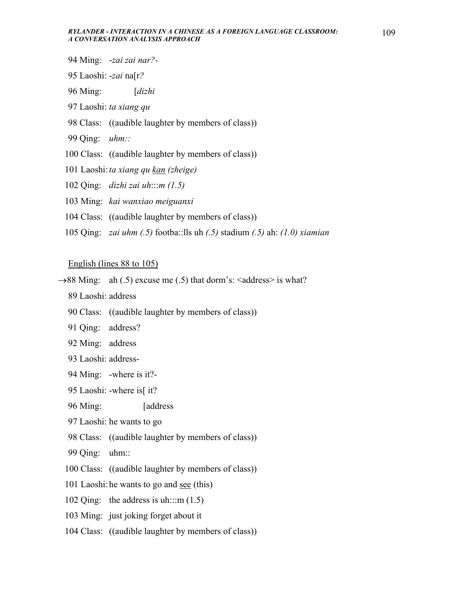- 94 Ming: -*zai zai nar?-*
- 95 Laoshi: -*zai* na[r*?*
- 96 Ming: [*dizhi*
- 97 Laoshi: *ta xiang qu*
- 98 Class: ((audible laughter by members of class))
- 99 Qing: *uhm::*
- 100 Class: ((audible laughter by members of class))
- 101 Laoshi: *ta xiang qu kan (zheige)*
- 102 Qing: *dizhi zai uh*:::*m (1.5)*
- 103 Ming: *kai wanxiao meiguanxi*
- 104 Class: ((audible laughter by members of class))
- 105 Qing: *zai uhm (.5)* footba::lls uh *(.5)* stadium *(.5)* ah: *(1.0) xiamian*

## English (lines 88 to 105)

- $\rightarrow$ 88 Ming: ah (.5) excuse me (.5) that dorm's:  $\leq$  address $\geq$  is what?
	- 89 Laoshi: address
	- 90 Class: ((audible laughter by members of class))
	- 91 Qing: address?
	- 92 Ming: address
	- 93 Laoshi: address-
	- 94 Ming: -where is it?-
	- 95 Laoshi: -where is[ it?
	- 96 Ming: [address
	- 97 Laoshi: he wants to go
	- 98 Class: ((audible laughter by members of class))
	- 99 Qing: uhm::
	- 100 Class: ((audible laughter by members of class))
	- 101 Laoshi: he wants to go and see (this)
	- 102 Qing: the address is uh:::m  $(1.5)$
	- 103 Ming: just joking forget about it
	- 104 Class: ((audible laughter by members of class))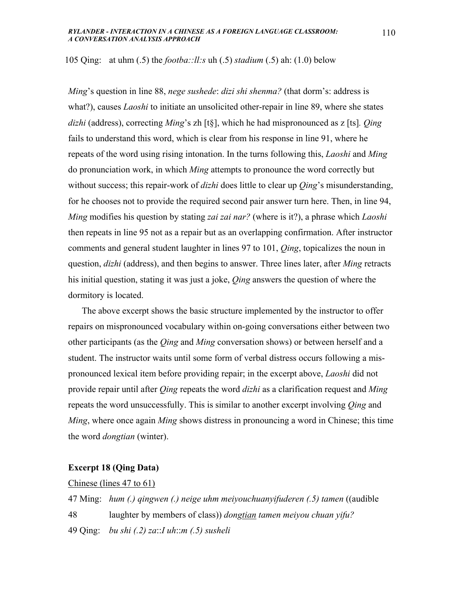105 Qing: at uhm (.5) the *footba::ll:s* uh (.5) *stadium* (.5) ah: (1.0) below

*Ming*'s question in line 88, *nege sushede*: *dizi shi shenma?* (that dorm's: address is what?), causes *Laoshi* to initiate an unsolicited other-repair in line 89, where she states *dizhi* (address), correcting *Ming*'s zh [t§], which he had mispronounced as z [ts]*. Qing* fails to understand this word, which is clear from his response in line 91, where he repeats of the word using rising intonation. In the turns following this, *Laoshi* and *Ming* do pronunciation work, in which *Ming* attempts to pronounce the word correctly but without success; this repair-work of *dizhi* does little to clear up *Qing*'s misunderstanding, for he chooses not to provide the required second pair answer turn here. Then, in line 94, *Ming* modifies his question by stating *zai zai nar?* (where is it?), a phrase which *Laoshi* then repeats in line 95 not as a repair but as an overlapping confirmation. After instructor comments and general student laughter in lines 97 to 101, *Qing*, topicalizes the noun in question, *dizhi* (address), and then begins to answer. Three lines later, after *Ming* retracts his initial question, stating it was just a joke, *Qing* answers the question of where the dormitory is located.

 The above excerpt shows the basic structure implemented by the instructor to offer repairs on mispronounced vocabulary within on-going conversations either between two other participants (as the *Qing* and *Ming* conversation shows) or between herself and a student. The instructor waits until some form of verbal distress occurs following a mispronounced lexical item before providing repair; in the excerpt above, *Laoshi* did not provide repair until after *Qing* repeats the word *dizhi* as a clarification request and *Ming* repeats the word unsuccessfully. This is similar to another excerpt involving *Qing* and *Ming*, where once again *Ming* shows distress in pronouncing a word in Chinese; this time the word *dongtian* (winter).

## **Excerpt 18 (Qing Data)**

## Chinese (lines 47 to 61)

47 Ming: *hum (.) qingwen (.) neige uhm meiyouchuanyifuderen (.5) tamen* ((audible 48 laughter by members of class)) *dongtian tamen meiyou chuan yifu?* 49 Qing: *bu shi (.2) za*::*I uh*::*m (.5) susheli*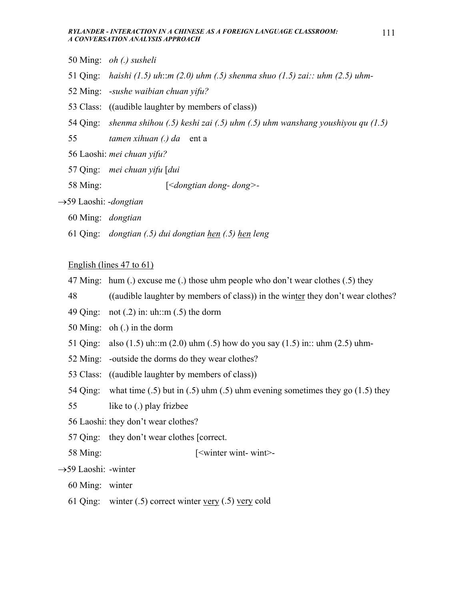- 50 Ming: *oh (.) susheli*
- 51 Qing: *haishi (1.5) uh*::*m (2.0) uhm (.5) shenma shuo (1.5) zai:: uhm (2.5) uhm-*
- 52 Ming: -*sushe waibian chuan yifu?*
- 53 Class: ((audible laughter by members of class))
- 54 Qing: *shenma shihou (.5) keshi zai (.5) uhm (.5) uhm wanshang youshiyou qu (1.5)*

55 *tamen xihuan (.) da* ent a

- 56 Laoshi: *mei chuan yifu?*
- 57 Qing: *mei chuan yifu* [*dui*
- 58 Ming: [<*dongtian dong- dong>-*
- →59 Laoshi: -*dongtian*
	- 60 Ming: *dongtian*
	- 61 Qing: *dongtian (.5) dui dongtian hen (.5) hen leng*

## English (lines 47 to 61)

- 47 Ming: hum (.) excuse me (.) those uhm people who don't wear clothes (.5) they
- 48 ((audible laughter by members of class)) in the winter they don't wear clothes?
- 49 Qing: not  $(0.2)$  in: uh::m  $(0.5)$  the dorm
- 50 Ming: oh (.) in the dorm
- 51 Oing: also (1.5) uh::m (2.0) uhm (.5) how do you say (1.5) in:: uhm (2.5) uhm-
- 52 Ming: -outside the dorms do they wear clothes?
- 53 Class: ((audible laughter by members of class))
- 54 Qing: what time (.5) but in (.5) uhm (.5) uhm evening sometimes they go (1.5) they
- 55 like to (.) play frizbee
- 56 Laoshi: they don't wear clothes?
- 57 Qing: they don't wear clothes [correct.
- 58 Ming: [<winter wint- wint>-

# →59 Laoshi: -winter

- 60 Ming: winter
- 61 Qing: winter (.5) correct winter very (.5) very cold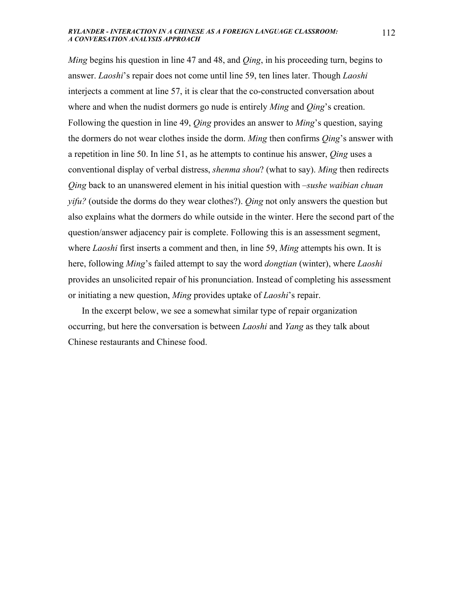*Ming* begins his question in line 47 and 48, and *Qing*, in his proceeding turn, begins to answer. *Laoshi*'s repair does not come until line 59, ten lines later. Though *Laoshi* interjects a comment at line 57, it is clear that the co-constructed conversation about where and when the nudist dormers go nude is entirely *Ming* and *Qing*'s creation. Following the question in line 49, *Qing* provides an answer to *Ming*'s question, saying the dormers do not wear clothes inside the dorm. *Ming* then confirms *Qing*'s answer with a repetition in line 50. In line 51, as he attempts to continue his answer, *Qing* uses a conventional display of verbal distress, *shenma shou*? (what to say). *Ming* then redirects *Qing* back to an unanswered element in his initial question with –*sushe waibian chuan yifu?* (outside the dorms do they wear clothes?). *Qing* not only answers the question but also explains what the dormers do while outside in the winter. Here the second part of the question/answer adjacency pair is complete. Following this is an assessment segment, where *Laoshi* first inserts a comment and then, in line 59, *Ming* attempts his own. It is here, following *Ming*'s failed attempt to say the word *dongtian* (winter), where *Laoshi* provides an unsolicited repair of his pronunciation. Instead of completing his assessment or initiating a new question, *Ming* provides uptake of *Laoshi*'s repair.

 In the excerpt below, we see a somewhat similar type of repair organization occurring, but here the conversation is between *Laoshi* and *Yang* as they talk about Chinese restaurants and Chinese food.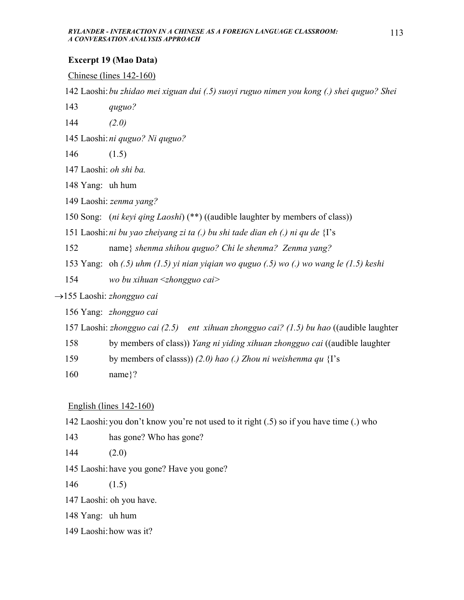# **Excerpt 19 (Mao Data)**

## Chinese (lines 142-160)

142 Laoshi: *bu zhidao mei xiguan dui (.5) suoyi ruguo nimen you kong (.) shei quguo? Shei* 

- 143 *quguo?*
- 144 *(2.0)*
- 145 Laoshi: *ni quguo? Ni quguo?*
- 146 (1.5)
- 147 Laoshi: *oh shi ba.*
- 148 Yang: uh hum
- 149 Laoshi: *zenma yang?*
- 150 Song: (*ni keyi qing Laoshi*) (\*\*) ((audible laughter by members of class))
- 151 Laoshi: *ni bu yao zheiyang zi ta (.) bu shi tade dian eh (.) ni qu de* {I's
- 152 name} *shenma shihou quguo? Chi le shenma? Zenma yang?*
- 153 Yang: oh *(.5) uhm (1.5) yi nian yiqian wo quguo (.5) wo (.) wo wang le (1.5) keshi*
- 154 *wo bu xihuan* <*zhongguo cai>*
- →155 Laoshi: *zhongguo cai*
	- 156 Yang: *zhongguo cai*
	- 157 Laoshi: *zhongguo cai (2.5) ent xihuan zhongguo cai? (1.5) bu hao* ((audible laughter
	- 158 by members of class)) *Yang ni yiding xihuan zhongguo cai* ((audible laughter
	- 159 by members of classs)) *(2.0) hao (.) Zhou ni weishenma qu* {I's
	- 160 name}?

English (lines 142-160)

- 142 Laoshi: you don't know you're not used to it right (.5) so if you have time (.) who
- 143 has gone? Who has gone?
- 144 (2.0)
- 145 Laoshi: have you gone? Have you gone?
- 146 (1.5)

147 Laoshi: oh you have.

- 148 Yang: uh hum
- 149 Laoshi: how was it?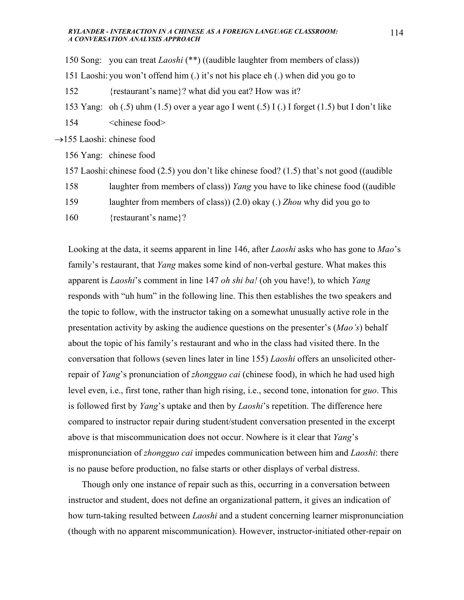150 Song: you can treat *Laoshi* (\*\*) ((audible laughter from members of class))

151 Laoshi: you won't offend him (.) it's not his place eh (.) when did you go to

152 {restaurant's name}? what did you eat? How was it?

153 Yang: oh (.5) uhm (1.5) over a year ago I went (.5) I (.) I forget (1.5) but I don't like

154 <chinese food>

 $\rightarrow$ 155 Laoshi: chinese food

156 Yang: chinese food

157 Laoshi: chinese food (2.5) you don't like chinese food? (1.5) that's not good ((audible

158 laughter from members of class)) *Yang* you have to like chinese food ((audible

159 laughter from members of class)) (2.0) okay (.) *Zhou* why did you go to

160 {restaurant's name}?

Looking at the data, it seems apparent in line 146, after *Laoshi* asks who has gone to *Mao*'s family's restaurant, that *Yang* makes some kind of non-verbal gesture. What makes this apparent is *Laoshi*'s comment in line 147 *oh shi ba!* (oh you have!), to which *Yang* responds with "uh hum" in the following line. This then establishes the two speakers and the topic to follow, with the instructor taking on a somewhat unusually active role in the presentation activity by asking the audience questions on the presenter's (*Mao's*) behalf about the topic of his family's restaurant and who in the class had visited there. In the conversation that follows (seven lines later in line 155) *Laoshi* offers an unsolicited otherrepair of *Yang*'s pronunciation of *zhongguo cai* (chinese food), in which he had used high level even, i.e., first tone, rather than high rising, i.e., second tone, intonation for *guo*. This is followed first by *Yang*'s uptake and then by *Laoshi*'s repetition. The difference here compared to instructor repair during student/student conversation presented in the excerpt above is that miscommunication does not occur. Nowhere is it clear that *Yang*'s mispronunciation of *zhongguo cai* impedes communication between him and *Laoshi*: there is no pause before production, no false starts or other displays of verbal distress.

 Though only one instance of repair such as this, occurring in a conversation between instructor and student, does not define an organizational pattern, it gives an indication of how turn-taking resulted between *Laoshi* and a student concerning learner mispronunciation (though with no apparent miscommunication). However, instructor-initiated other-repair on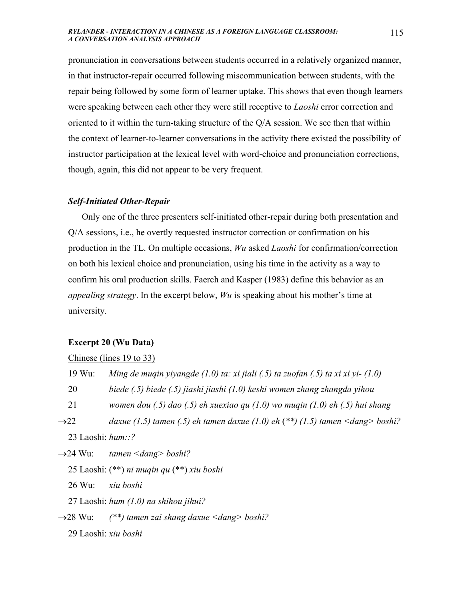pronunciation in conversations between students occurred in a relatively organized manner, in that instructor-repair occurred following miscommunication between students, with the repair being followed by some form of learner uptake. This shows that even though learners were speaking between each other they were still receptive to *Laoshi* error correction and oriented to it within the turn-taking structure of the Q/A session. We see then that within the context of learner-to-learner conversations in the activity there existed the possibility of instructor participation at the lexical level with word-choice and pronunciation corrections, though, again, this did not appear to be very frequent.

## *Self-Initiated Other-Repair*

 Only one of the three presenters self-initiated other-repair during both presentation and Q/A sessions, i.e., he overtly requested instructor correction or confirmation on his production in the TL. On multiple occasions, *Wu* asked *Laoshi* for confirmation/correction on both his lexical choice and pronunciation, using his time in the activity as a way to confirm his oral production skills. Faerch and Kasper (1983) define this behavior as an *appealing strategy*. In the excerpt below, *Wu* is speaking about his mother's time at university.

## **Excerpt 20 (Wu Data)**

### Chinese (lines 19 to 33)

|                  | 19 Wu:               | Ming de muqin yiyangde $(1.0)$ ta: xi jiali $(.5)$ ta zuofan $(.5)$ ta xi xi yi- $(1.0)$ |
|------------------|----------------------|------------------------------------------------------------------------------------------|
|                  | 20                   | biede (.5) biede (.5) jiashi jiashi (1.0) keshi women zhang zhangda yihou                |
|                  | 21                   | women dou $(.5)$ dao $(.5)$ eh xuexiao qu $(1.0)$ wo muqin $(1.0)$ eh $(.5)$ hui shang   |
| $\rightarrow 22$ |                      | daxue (1.5) tamen (.5) eh tamen daxue (1.0) eh $(**)$ (1.5) tamen < dang> boshi?         |
|                  | 23 Laoshi: $hum::?$  |                                                                                          |
|                  |                      | $\rightarrow$ 24 Wu: tamen < dang > boshi?                                               |
|                  |                      | 25 Laoshi: $(**)$ ni muqin qu $(**)$ xiu boshi                                           |
|                  | 26 Wu:               | xiu boshi                                                                                |
|                  |                      | 27 Laoshi: hum $(1.0)$ na shihou jihui?                                                  |
|                  | $\rightarrow$ 28 Wu: | (**) tamen zai shang daxue $\langle d\text{ang}\rangle$ boshi?                           |
|                  |                      | 29 Laoshi: <i>xiu boshi</i>                                                              |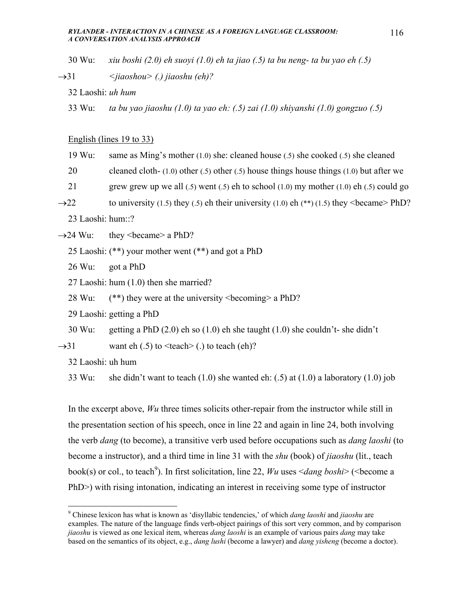- 30 Wu: *xiu boshi (2.0) eh suoyi (1.0) eh ta jiao (.5) ta bu neng- ta bu yao eh (.5)*
- →31 *<jiaoshou> (.) jiaoshu (eh)?* 
	- 32 Laoshi: *uh hum*
	- 33 Wu: *ta bu yao jiaoshu (1.0) ta yao eh: (.5) zai (1.0) shiyanshi (1.0) gongzuo (.5)*

### English (lines 19 to 33)

- 19 Wu: same as Ming's mother (1.0) she: cleaned house (.5) she cooked (.5) she cleaned
- 20 cleaned cloth- (1.0) other (.5) other (.5) house things house things (1.0) but after we
- 21 grew grew up we all  $(0.5)$  went  $(0.5)$  eh to school  $(1.0)$  my mother  $(1.0)$  eh  $(0.5)$  could go
- $\rightarrow$ 22 to university (1.5) they (.5) eh their university (1.0) eh (\*\*) (1.5) they <br/>became> PhD?
	- 23 Laoshi: hum::?
- $\rightarrow$ 24 Wu: they <br/>became> a PhD?
	- 25 Laoshi: (\*\*) your mother went (\*\*) and got a PhD
	- 26 Wu: got a PhD
	- 27 Laoshi: hum (1.0) then she married?
	- 28 Wu:  $(**)$  they were at the university  $\leq$  becoming a PhD?
	- 29 Laoshi: getting a PhD
	- 30 Wu: getting a PhD (2.0) eh so (1.0) eh she taught (1.0) she couldn't- she didn't
- $\rightarrow$ 31 want eh (.5) to <teach> (.) to teach (eh)?
	- 32 Laoshi: uh hum
	- 33 Wu: she didn't want to teach  $(1.0)$  she wanted eh:  $(.5)$  at  $(1.0)$  a laboratory  $(1.0)$  job

In the excerpt above, *Wu* three times solicits other-repair from the instructor while still in the presentation section of his speech, once in line 22 and again in line 24, both involving the verb *dang* (to become), a transitive verb used before occupations such as *dang laoshi* (to become a instructor), and a third time in line 31 with the *shu* (book) of *jiaoshu* (lit., teach book(s) or col., to teach<sup>9</sup>). In first solicitation, line 22, *Wu* uses  $\leq$ *dang boshi* $>$  ( $\leq$ become a PhD>) with rising intonation, indicating an interest in receiving some type of instructor

 9 Chinese lexicon has what is known as 'disyllabic tendencies,' of which *dang laoshi* and *jiaoshu* are examples. The nature of the language finds verb-object pairings of this sort very common, and by comparison *jiaoshu* is viewed as one lexical item, whereas *dang laoshi* is an example of various pairs *dang* may take based on the semantics of its object, e.g., *dang lushi* (become a lawyer) and *dang yisheng* (become a doctor).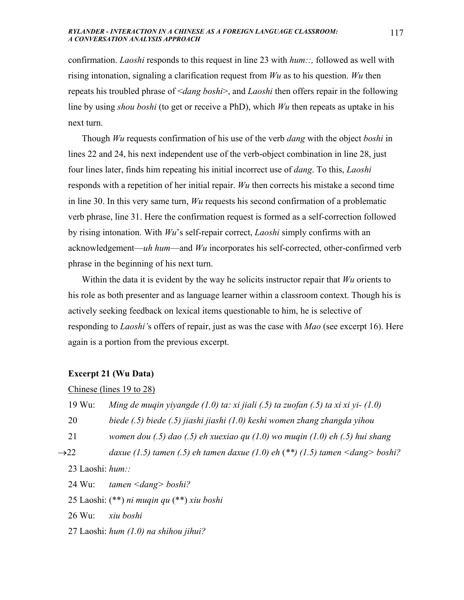confirmation. *Laoshi* responds to this request in line 23 with *hum::,* followed as well with rising intonation, signaling a clarification request from *Wu* as to his question. *Wu* then repeats his troubled phrase of <*dang boshi*>, and *Laoshi* then offers repair in the following line by using *shou boshi* (to get or receive a PhD), which *Wu* then repeats as uptake in his next turn.

 Though *Wu* requests confirmation of his use of the verb *dang* with the object *boshi* in lines 22 and 24, his next independent use of the verb-object combination in line 28, just four lines later, finds him repeating his initial incorrect use of *dang*. To this, *Laoshi* responds with a repetition of her initial repair. *Wu* then corrects his mistake a second time in line 30. In this very same turn, *Wu* requests his second confirmation of a problematic verb phrase, line 31. Here the confirmation request is formed as a self-correction followed by rising intonation. With *Wu*'s self-repair correct, *Laoshi* simply confirms with an acknowledgement—*uh hum*—and *Wu* incorporates his self-corrected, other-confirmed verb phrase in the beginning of his next turn.

 Within the data it is evident by the way he solicits instructor repair that *Wu* orients to his role as both presenter and as language learner within a classroom context. Though his is actively seeking feedback on lexical items questionable to him, he is selective of responding to *Laoshi'*s offers of repair, just as was the case with *Mao* (see excerpt 16). Here again is a portion from the previous excerpt.

### **Excerpt 21 (Wu Data)**

## Chinese (lines 19 to 28)

19 Wu: *Ming de muqin yiyangde (1.0) ta: xi jiali (.5) ta zuofan (.5) ta xi xi yi- (1.0)* 

20 *biede (.5) biede (.5) jiashi jiashi (1.0) keshi women zhang zhangda yihou* 

21 *women dou (.5) dao (.5) eh xuexiao qu (1.0) wo muqin (1.0) eh (.5) hui shang* 

→22 *daxue (1.5) tamen (.5) eh tamen daxue (1.0) eh* (*\*\*) (1.5) tamen <dang> boshi?* 

23 Laoshi: *hum::* 

24 Wu: *tamen <dang> boshi?* 

25 Laoshi: (\*\*) *ni muqin qu* (\*\*) *xiu boshi* 

26 Wu: *xiu boshi* 

27 Laoshi: *hum (1.0) na shihou jihui?*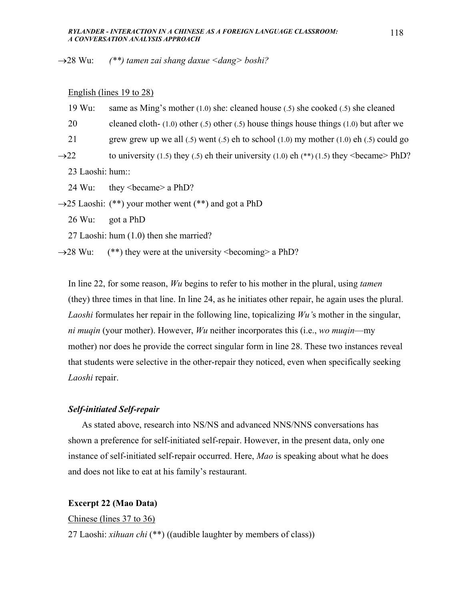→28 Wu: *(\*\*) tamen zai shang daxue <dang> boshi?* 

### English (lines 19 to 28)

- 19 Wu: same as Ming's mother (1.0) she: cleaned house (.5) she cooked (.5) she cleaned
- 20 cleaned cloth- (1.0) other (.5) other (.5) house things house things (1.0) but after we
- 21 grew grew up we all (.5) went (.5) eh to school (1.0) my mother (1.0) eh (.5) could go
- $\rightarrow$ 22 to university (1.5) they (.5) eh their university (1.0) eh (\*\*) (1.5) they <br/>became> PhD?

23 Laoshi: hum::

24 Wu: they <became> a PhD?

 $\rightarrow$ 25 Laoshi: (\*\*) your mother went (\*\*) and got a PhD

26 Wu: got a PhD

27 Laoshi: hum (1.0) then she married?

 $\rightarrow$  28 Wu: (\*\*) they were at the university <br/>becoming> a PhD?

In line 22, for some reason, *Wu* begins to refer to his mother in the plural, using *tamen* (they) three times in that line. In line 24, as he initiates other repair, he again uses the plural. *Laoshi* formulates her repair in the following line, topicalizing *Wu'*s mother in the singular, *ni muqin* (your mother). However, *Wu* neither incorporates this (i.e., *wo muqin*—my mother) nor does he provide the correct singular form in line 28. These two instances reveal that students were selective in the other-repair they noticed, even when specifically seeking *Laoshi* repair.

### *Self-initiated Self-repair*

As stated above, research into NS/NS and advanced NNS/NNS conversations has shown a preference for self-initiated self-repair. However, in the present data, only one instance of self-initiated self-repair occurred. Here, *Mao* is speaking about what he does and does not like to eat at his family's restaurant.

## **Excerpt 22 (Mao Data)**

Chinese (lines 37 to 36)

27 Laoshi: *xihuan chi* (\*\*) ((audible laughter by members of class))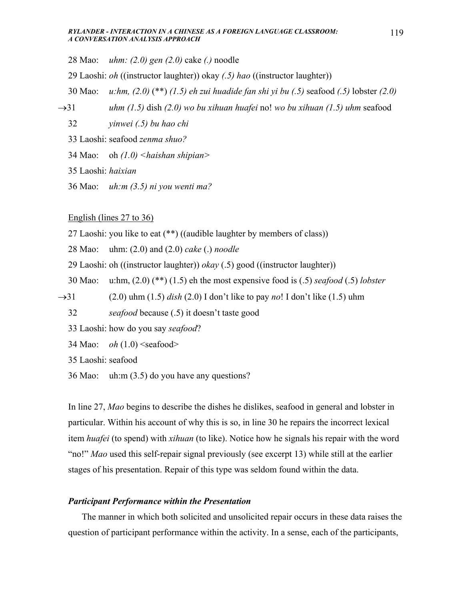28 Mao: *uhm: (2.0) gen (2.0)* cake *(.)* noodle

29 Laoshi: *oh* ((instructor laughter)) okay *(.5) hao* ((instructor laughter))

- 30 Mao: *u:hm, (2.0)* (\*\*) *(1.5) eh zui huadide fan shi yi bu (.5)* seafood *(.5)* lobster *(2.0)*
- →31 *uhm (1.5)* dish *(2.0) wo bu xihuan huafei* no! *wo bu xihuan (1.5) uhm* seafood
	- 32 *yinwei (.5) bu hao chi*
	- 33 Laoshi: seafood *zenma shuo?*
	- 34 Mao: oh *(1.0) <haishan shipian>*
	- 35 Laoshi: *haixian*
	- 36 Mao: *uh:m (3.5) ni you wenti ma?*

English (lines 27 to 36)

- 27 Laoshi: you like to eat (\*\*) ((audible laughter by members of class))
- 28 Mao: uhm: (2.0) and (2.0) *cake* (.) *noodle*
- 29 Laoshi: oh ((instructor laughter)) *okay* (.5) good ((instructor laughter))
- 30 Mao: u:hm, (2.0) (\*\*) (1.5) eh the most expensive food is (.5) *seafood* (.5) *lobster*
- →31 (2.0) uhm (1.5) *dish* (2.0) I don't like to pay *no*! I don't like (1.5) uhm
	- 32 *seafood* because (.5) it doesn't taste good
	- 33 Laoshi: how do you say *seafood*?
	- 34 Mao: *oh*  $(1.0)$  <seafood>

35 Laoshi: seafood

36 Mao: uh:m (3.5) do you have any questions?

In line 27, *Mao* begins to describe the dishes he dislikes, seafood in general and lobster in particular. Within his account of why this is so, in line 30 he repairs the incorrect lexical item *huafei* (to spend) with *xihuan* (to like). Notice how he signals his repair with the word "no!" *Mao* used this self-repair signal previously (see excerpt 13) while still at the earlier stages of his presentation. Repair of this type was seldom found within the data.

## *Participant Performance within the Presentation*

 The manner in which both solicited and unsolicited repair occurs in these data raises the question of participant performance within the activity. In a sense, each of the participants,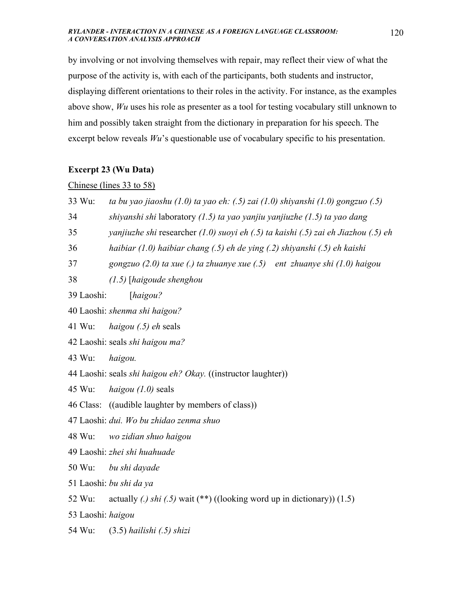by involving or not involving themselves with repair, may reflect their view of what the purpose of the activity is, with each of the participants, both students and instructor, displaying different orientations to their roles in the activity. For instance, as the examples above show, *Wu* uses his role as presenter as a tool for testing vocabulary still unknown to him and possibly taken straight from the dictionary in preparation for his speech. The excerpt below reveals *Wu*'s questionable use of vocabulary specific to his presentation.

# **Excerpt 23 (Wu Data)**

Chinese (lines 33 to 58)

| 33 Wu:                        | ta bu yao jiaoshu $(1.0)$ ta yao eh: $(.5)$ zai $(1.0)$ shiyanshi $(1.0)$ gongzuo $(.5)$      |  |
|-------------------------------|-----------------------------------------------------------------------------------------------|--|
| 34                            | shiyanshi shi laboratory $(1.5)$ ta yao yanjiu yanjiuzhe $(1.5)$ ta yao dang                  |  |
| 35                            | yanjiuzhe shi researcher $(1.0)$ suoyi eh $(0.5)$ ta kaishi $(0.5)$ zai eh Jiazhou $(0.5)$ eh |  |
| 36                            | haibiar (1.0) haibiar chang (.5) eh de ying (.2) shiyanshi (.5) eh kaishi                     |  |
| 37                            | gongzuo $(2.0)$ ta xue (.) ta zhuanye xue $(.5)$ ent zhuanye shi $(1.0)$ haigou               |  |
| 38                            | $(1.5)$ [haigoude shenghou                                                                    |  |
| 39 Laoshi:                    | [haigou?                                                                                      |  |
| 40 Laoshi: shenma shi haigou? |                                                                                               |  |
| 41 Wu:                        | <i>haigou</i> (.5) <i>eh</i> seals                                                            |  |
|                               | 42 Laoshi: seals shi haigou ma?                                                               |  |
| 43 Wu:                        | haigou.                                                                                       |  |
|                               | 44 Laoshi: seals shi haigou eh? Okay. ((instructor laughter))                                 |  |
| 45 Wu:                        | haigou $(1.0)$ seals                                                                          |  |
|                               | 46 Class: ((audible laughter by members of class))                                            |  |
|                               | 47 Laoshi: dui. Wo bu zhidao zenma shuo                                                       |  |
| 48 Wu:                        | wo zidian shuo haigou                                                                         |  |
|                               | 49 Laoshi: zhei shi huahuade                                                                  |  |
|                               | 50 Wu: bu shi dayade                                                                          |  |
|                               | 51 Laoshi: bu shi da ya                                                                       |  |
| 52 Wu:                        | actually (.) shi (.5) wait (**) ((looking word up in dictionary)) $(1.5)$                     |  |
| 53 Laoshi: haigou             |                                                                                               |  |
| 54 Wu:                        | $(3.5)$ hailishi $(0.5)$ shizi                                                                |  |
|                               |                                                                                               |  |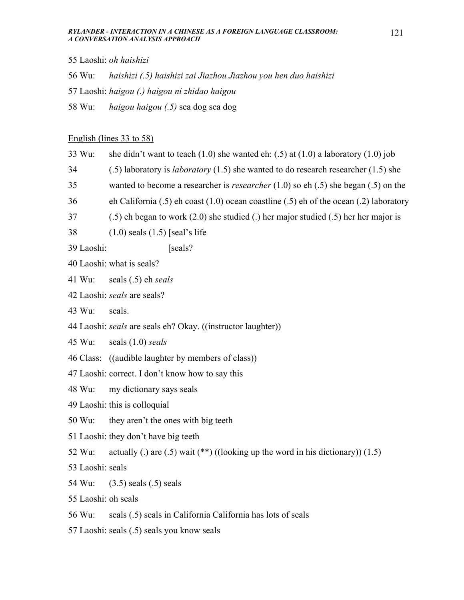- 55 Laoshi: *oh haishizi*
- 56 Wu: *haishizi (.5) haishizi zai Jiazhou Jiazhou you hen duo haishizi*
- 57 Laoshi: *haigou (.) haigou ni zhidao haigou*
- 58 Wu: *haigou haigou (.5)* sea dog sea dog

## English (lines 33 to 58)

- 33 Wu: she didn't want to teach  $(1.0)$  she wanted eh:  $(.5)$  at  $(1.0)$  a laboratory  $(1.0)$  job
- 34 (.5) laboratory is *laboratory* (1.5) she wanted to do research researcher (1.5) she
- 35 wanted to become a researcher is *researcher* (1.0) so eh (.5) she began (.5) on the
- 36 eh California (.5) eh coast (1.0) ocean coastline (.5) eh of the ocean (.2) laboratory
- 37 (.5) eh began to work (2.0) she studied (.) her major studied (.5) her her major is
- 38 (1.0) seals (1.5) [seal's life
- 39 Laoshi: [seals?
- 40 Laoshi: what is seals?
- 41 Wu: seals (.5) eh *seals*
- 42 Laoshi: *seals* are seals?
- 43 Wu: seals.
- 44 Laoshi: *seals* are seals eh? Okay. ((instructor laughter))
- 45 Wu: seals (1.0) *seals*
- 46 Class: ((audible laughter by members of class))
- 47 Laoshi: correct. I don't know how to say this
- 48 Wu: my dictionary says seals
- 49 Laoshi: this is colloquial
- 50 Wu: they aren't the ones with big teeth
- 51 Laoshi: they don't have big teeth
- 52 Wu: actually (.) are (.5) wait  $(**)$  ((looking up the word in his dictionary)) (1.5)
- 53 Laoshi: seals
- 54 Wu: (3.5) seals (.5) seals
- 55 Laoshi: oh seals
- 56 Wu: seals (.5) seals in California California has lots of seals
- 57 Laoshi: seals (.5) seals you know seals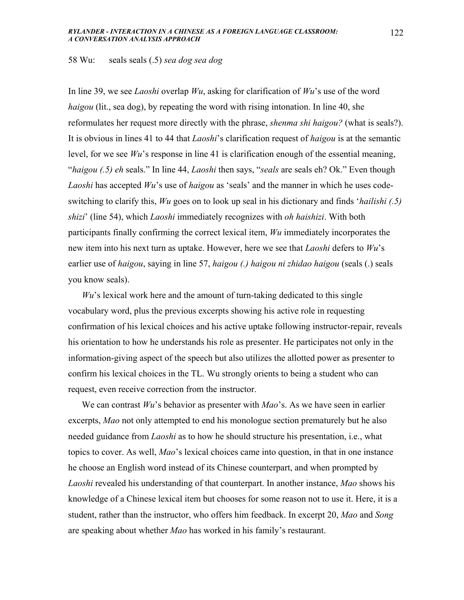### 58 Wu: seals seals (.5) *sea dog sea dog*

In line 39, we see *Laoshi* overlap *Wu*, asking for clarification of *Wu*'s use of the word *haigou* (lit., sea dog), by repeating the word with rising intonation. In line 40, she reformulates her request more directly with the phrase, *shenma shi haigou?* (what is seals?). It is obvious in lines 41 to 44 that *Laoshi*'s clarification request of *haigou* is at the semantic level, for we see *Wu*'s response in line 41 is clarification enough of the essential meaning, "*haigou (.5) eh* seals." In line 44, *Laoshi* then says, "*seals* are seals eh? Ok." Even though *Laoshi* has accepted *Wu*'s use of *haigou* as 'seals' and the manner in which he uses codeswitching to clarify this, *Wu* goes on to look up seal in his dictionary and finds '*hailishi (.5) shizi*' (line 54), which *Laoshi* immediately recognizes with *oh haishizi*. With both participants finally confirming the correct lexical item, *Wu* immediately incorporates the new item into his next turn as uptake. However, here we see that *Laoshi* defers to *Wu*'s earlier use of *haigou*, saying in line 57, *haigou (.) haigou ni zhidao haigou* (seals (.) seals you know seals).

*Wu*'s lexical work here and the amount of turn-taking dedicated to this single vocabulary word, plus the previous excerpts showing his active role in requesting confirmation of his lexical choices and his active uptake following instructor-repair, reveals his orientation to how he understands his role as presenter. He participates not only in the information-giving aspect of the speech but also utilizes the allotted power as presenter to confirm his lexical choices in the TL. Wu strongly orients to being a student who can request, even receive correction from the instructor.

 We can contrast *Wu*'s behavior as presenter with *Mao*'s. As we have seen in earlier excerpts, *Mao* not only attempted to end his monologue section prematurely but he also needed guidance from *Laoshi* as to how he should structure his presentation, i.e., what topics to cover. As well, *Mao*'s lexical choices came into question, in that in one instance he choose an English word instead of its Chinese counterpart, and when prompted by *Laoshi* revealed his understanding of that counterpart. In another instance, *Mao* shows his knowledge of a Chinese lexical item but chooses for some reason not to use it. Here, it is a student, rather than the instructor, who offers him feedback. In excerpt 20, *Mao* and *Song* are speaking about whether *Mao* has worked in his family's restaurant.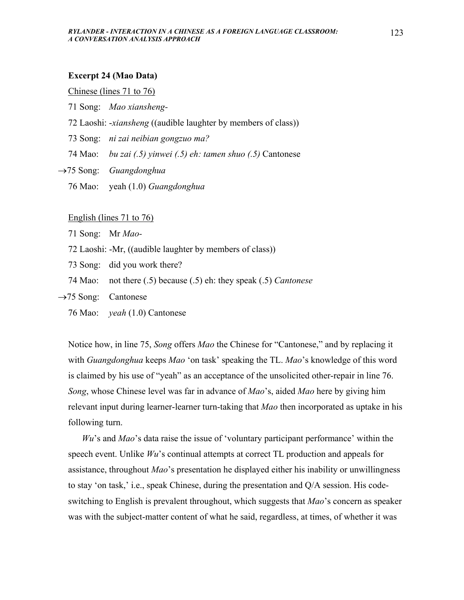### **Excerpt 24 (Mao Data)**

### Chinese (lines 71 to 76)

- 71 Song: *Mao xiansheng-*
- 72 Laoshi: -*xiansheng* ((audible laughter by members of class))
- 73 Song: *ni zai neibian gongzuo ma?*
- 74 Mao: *bu zai (.5) yinwei (.5) eh: tamen shuo (.5)* Cantonese
- →75 Song: *Guangdonghua*
	- 76 Mao: yeah (1.0) *Guangdonghua*

## English (lines 71 to 76)

- 71 Song: Mr *Mao-*
- 72 Laoshi: -Mr, ((audible laughter by members of class))
- 73 Song: did you work there?
- 74 Mao: not there (.5) because (.5) eh: they speak (.5) *Cantonese*
- $\rightarrow$ 75 Song: Cantonese
	- 76 Mao: *yeah* (1.0) Cantonese

Notice how, in line 75, *Song* offers *Mao* the Chinese for "Cantonese," and by replacing it with *Guangdonghua* keeps *Mao* 'on task' speaking the TL. *Mao*'s knowledge of this word is claimed by his use of "yeah" as an acceptance of the unsolicited other-repair in line 76. *Song*, whose Chinese level was far in advance of *Mao*'s, aided *Mao* here by giving him relevant input during learner-learner turn-taking that *Mao* then incorporated as uptake in his following turn.

 *Wu*'s and *Mao*'s data raise the issue of 'voluntary participant performance' within the speech event. Unlike *Wu*'s continual attempts at correct TL production and appeals for assistance, throughout *Mao*'s presentation he displayed either his inability or unwillingness to stay 'on task,' i.e., speak Chinese, during the presentation and Q/A session. His codeswitching to English is prevalent throughout, which suggests that *Mao*'s concern as speaker was with the subject-matter content of what he said, regardless, at times, of whether it was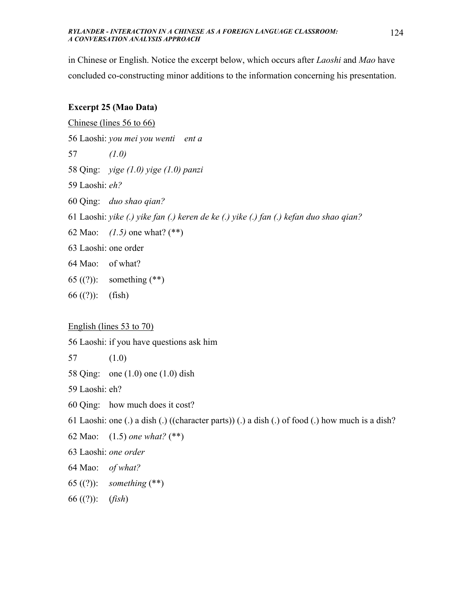in Chinese or English. Notice the excerpt below, which occurs after *Laoshi* and *Mao* have concluded co-constructing minor additions to the information concerning his presentation.

# **Excerpt 25 (Mao Data)**

Chinese (lines 56 to 66)

56 Laoshi: *you mei you wenti ent a* 

- 57 *(1.0)*
- 58 Qing: *yige (1.0) yige (1.0) panzi*
- 59 Laoshi: *eh?*
- 60 Qing: *duo shao qian?*
- 61 Laoshi: *yike (.) yike fan (.) keren de ke (.) yike (.) fan (.) kefan duo shao qian?*
- 62 Mao: *(1.5)* one what? (\*\*)
- 63 Laoshi: one order
- 64 Mao: of what?
- 65 ((?)): something (\*\*)
- 66 $((?)):$  (fish)

English (lines 53 to 70)

56 Laoshi: if you have questions ask him

- 57 (1.0)
- 58 Qing: one (1.0) one (1.0) dish

59 Laoshi: eh?

- 60 Qing: how much does it cost?
- 61 Laoshi: one (.) a dish (.) ((character parts)) (.) a dish (.) of food (.) how much is a dish?
- 62 Mao: (1.5) *one what?* (\*\*)
- 63 Laoshi: *one order*
- 64 Mao: *of what?*
- 65 ((?)): *something* (\*\*)
- 66 ((?)): (*fish*)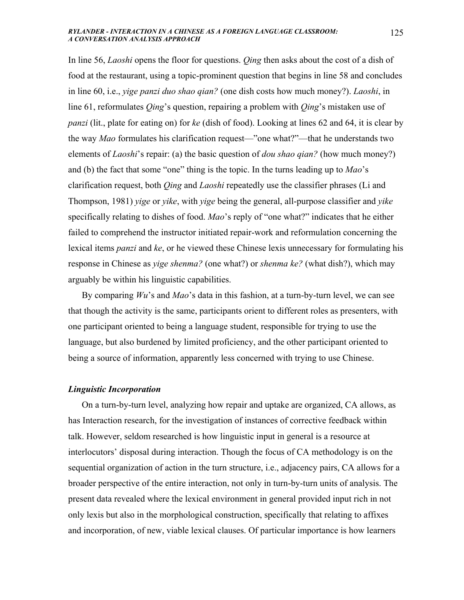In line 56, *Laoshi* opens the floor for questions. *Qing* then asks about the cost of a dish of food at the restaurant, using a topic-prominent question that begins in line 58 and concludes in line 60, i.e., *yige panzi duo shao qian?* (one dish costs how much money?). *Laoshi*, in line 61, reformulates *Qing*'s question, repairing a problem with *Qing*'s mistaken use of *panzi* (lit., plate for eating on) for *ke* (dish of food). Looking at lines 62 and 64, it is clear by the way *Mao* formulates his clarification request—"one what?"—that he understands two elements of *Laoshi*'s repair: (a) the basic question of *dou shao qian?* (how much money?) and (b) the fact that some "one" thing is the topic. In the turns leading up to *Mao*'s clarification request, both *Qing* and *Laoshi* repeatedly use the classifier phrases (Li and Thompson, 1981) *yige* or *yike*, with *yige* being the general, all-purpose classifier and *yike* specifically relating to dishes of food. *Mao*'s reply of "one what?" indicates that he either failed to comprehend the instructor initiated repair-work and reformulation concerning the lexical items *panzi* and *ke*, or he viewed these Chinese lexis unnecessary for formulating his response in Chinese as *yige shenma?* (one what?) or *shenma ke?* (what dish?), which may arguably be within his linguistic capabilities.

By comparing *Wu*'s and *Mao*'s data in this fashion, at a turn-by-turn level, we can see that though the activity is the same, participants orient to different roles as presenters, with one participant oriented to being a language student, responsible for trying to use the language, but also burdened by limited proficiency, and the other participant oriented to being a source of information, apparently less concerned with trying to use Chinese.

## *Linguistic Incorporation*

 On a turn-by-turn level, analyzing how repair and uptake are organized, CA allows, as has Interaction research, for the investigation of instances of corrective feedback within talk. However, seldom researched is how linguistic input in general is a resource at interlocutors' disposal during interaction. Though the focus of CA methodology is on the sequential organization of action in the turn structure, i.e., adjacency pairs, CA allows for a broader perspective of the entire interaction, not only in turn-by-turn units of analysis. The present data revealed where the lexical environment in general provided input rich in not only lexis but also in the morphological construction, specifically that relating to affixes and incorporation, of new, viable lexical clauses. Of particular importance is how learners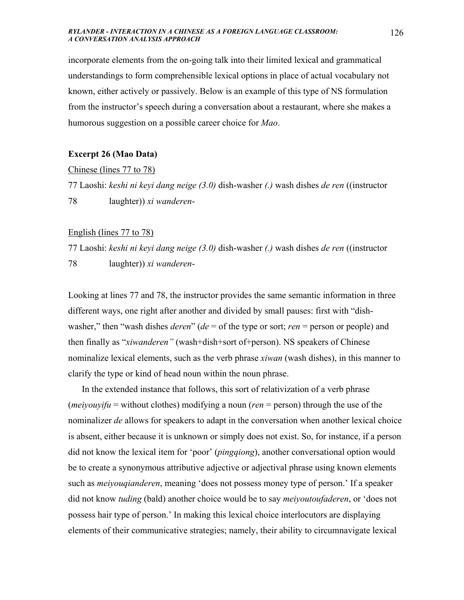incorporate elements from the on-going talk into their limited lexical and grammatical understandings to form comprehensible lexical options in place of actual vocabulary not known, either actively or passively. Below is an example of this type of NS formulation from the instructor's speech during a conversation about a restaurant, where she makes a humorous suggestion on a possible career choice for *Mao*.

## **Excerpt 26 (Mao Data)**

### Chinese (lines 77 to 78)

77 Laoshi: *keshi ni keyi dang neige (3.0)* dish-washer *(.)* wash dishes *de ren* ((instructor 78 laughter)) *xi wanderen*-

## English (lines 77 to 78)

77 Laoshi: *keshi ni keyi dang neige (3.0)* dish-washer *(.)* wash dishes *de ren* ((instructor 78 laughter)) *xi wanderen*-

Looking at lines 77 and 78, the instructor provides the same semantic information in three different ways, one right after another and divided by small pauses: first with "dishwasher," then "wash dishes *deren*" (*de* = of the type or sort; *ren* = person or people) and then finally as "*xiwanderen"* (wash+dish+sort of+person). NS speakers of Chinese nominalize lexical elements, such as the verb phrase *xiwan* (wash dishes), in this manner to clarify the type or kind of head noun within the noun phrase.

 In the extended instance that follows, this sort of relativization of a verb phrase (*meiyouyifu* = without clothes) modifying a noun (*ren* = person) through the use of the nominalizer *de* allows for speakers to adapt in the conversation when another lexical choice is absent, either because it is unknown or simply does not exist. So, for instance, if a person did not know the lexical item for 'poor' (*pingqiong*), another conversational option would be to create a synonymous attributive adjective or adjectival phrase using known elements such as *meiyouqianderen*, meaning 'does not possess money type of person.' If a speaker did not know *tuding* (bald) another choice would be to say *meiyoutoufaderen*, or 'does not possess hair type of person.' In making this lexical choice interlocutors are displaying elements of their communicative strategies; namely, their ability to circumnavigate lexical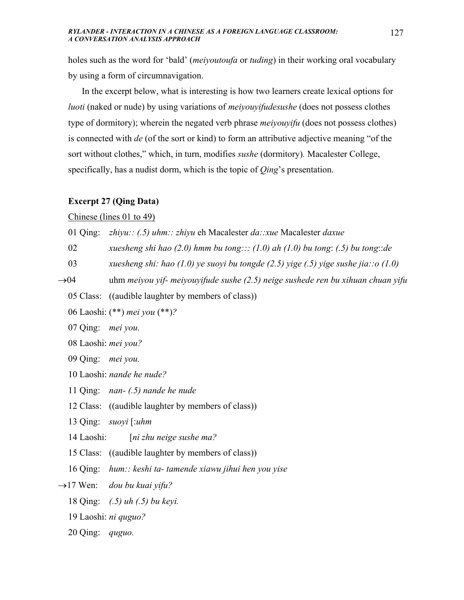holes such as the word for 'bald' (*meiyoutoufa* or *tuding*) in their working oral vocabulary by using a form of circumnavigation.

 In the excerpt below, what is interesting is how two learners create lexical options for *luoti* (naked or nude) by using variations of *meiyouyifudesushe* (does not possess clothes type of dormitory); wherein the negated verb phrase *meiyouyifu* (does not possess clothes) is connected with *de* (of the sort or kind) to form an attributive adjective meaning "of the sort without clothes," which, in turn, modifies *sushe* (dormitory)*.* Macalester College, specifically, has a nudist dorm, which is the topic of *Qing*'s presentation.

## **Excerpt 27 (Qing Data)**

## Chinese (lines 01 to 49)

01 Qing: *zhiyu:: (.5) uhm:: zhiyu* eh Macalester *da::xue* Macalester *daxue* 

- 02 *xuesheng shi hao (2.0) hmm bu tong::: (1.0) ah (1.0) bu tong*: *(.5) bu tong*::*de*
- 03 *xuesheng shi: hao (1.0) ye suoyi bu tongde (2.5) yige (.5) yige sushe jia::o (1.0)*
- →04 uhm *meiyou yif- meiyouyifude sushe (2.5) neige sushede ren bu xihuan chuan yifu* 
	- 05 Class: ((audible laughter by members of class))
	- 06 Laoshi: (\*\*) *mei you* (\*\*)*?*
	- 07 Qing: *mei you.*
	- 08 Laoshi: *mei you?*
	- 09 Qing: *mei you.*
	- 10 Laoshi: *nande he nude?*
	- 11 Qing: *nan- (.5) nande he nude*
	- 12 Class: ((audible laughter by members of class))
	- 13 Qing: *suoyi* [:*uhm*
	- 14 Laoshi: [*ni zhu neige sushe ma?*
	- 15 Class: ((audible laughter by members of class))
	- 16 Qing: *hum:: keshi ta- tamende xiawu jihui hen you yise*
- →17 Wen: *dou bu kuai yifu?* 
	- 18 Qing: *(.5) uh (.5) bu keyi.*
	- 19 Laoshi: *ni quguo?*
	- 20 Qing: *quguo.*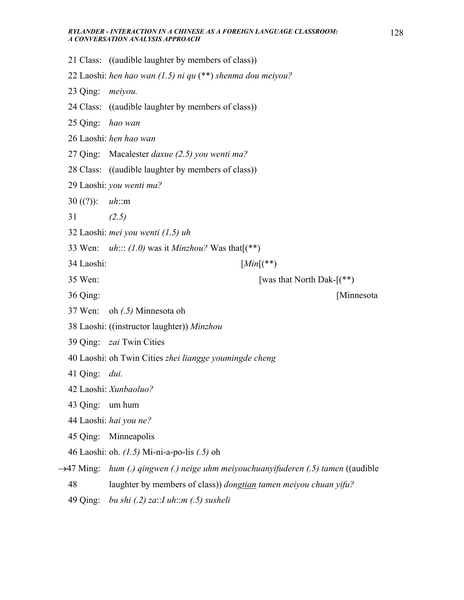21 Class: ((audible laughter by members of class)) 22 Laoshi: *hen hao wan (1.5) ni qu* (\*\*) *shenma dou meiyou?* 23 Qing: *meiyou.* 24 Class: ((audible laughter by members of class)) 25 Qing: *hao wan* 26 Laoshi: *hen hao wan* 27 Qing: Macalester *daxue (2.5) you wenti ma?* 28 Class: ((audible laughter by members of class)) 29 Laoshi: *you wenti ma?* 30 ((?)): *uh*::m 31 *(2.5)* 32 Laoshi: *mei you wenti (1.5) uh* 33 Wen: *uh*::: *(1.0)* was it *Minzhou?* Was that[(\*\*) 34 Laoshi: [*Min*[(\*\*)  $35$  Wen: [was that North Dak- $(***)$ ] 36 Qing: [Minnesota 37 Wen: oh *(.5)* Minnesota oh 38 Laoshi: ((instructor laughter)) *Minzhou* 39 Qing: *zai* Twin Cities 40 Laoshi: oh Twin Cities *zhei liangge youmingde cheng* 41 Qing: *dui.* 42 Laoshi: *Xunbaoluo?* 43 Qing: um hum 44 Laoshi: *hai you ne?* 45 Qing: Minneapolis 46 Laoshi: oh. *(1.5)* Mi-ni-a-po-lis *(.5)* oh →47 Ming: *hum (.) qingwen (.) neige uhm meiyouchuanyifuderen (.5) tamen* ((audible 48 laughter by members of class)) *dongtian tamen meiyou chuan yifu?* 49 Qing: *bu shi (.2) za*::*I uh*::*m (.5) susheli*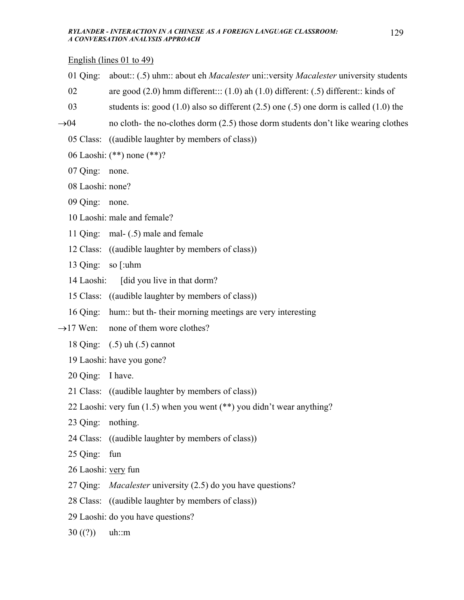English (lines 01 to 49)

- 01 Qing: about:: (.5) uhm:: about eh *Macalester* uni::versity *Macalester* university students
- 02 are good (2.0) hmm different::: (1.0) ah (1.0) different: (.5) different:: kinds of
- 03 students is: good (1.0) also so different (2.5) one (.5) one dorm is called (1.0) the
- $\rightarrow$ 04 no cloth- the no-clothes dorm (2.5) those dorm students don't like wearing clothes
	- 05 Class: ((audible laughter by members of class))
	- 06 Laoshi: (\*\*) none (\*\*)?
	- 07 Qing: none.
	- 08 Laoshi: none?
	- 09 Qing: none.
	- 10 Laoshi: male and female?
	- 11 Qing: mal- (.5) male and female
	- 12 Class: ((audible laughter by members of class))
	- 13 Qing: so [:uhm
	- 14 Laoshi: [did you live in that dorm?]
	- 15 Class: ((audible laughter by members of class))
	- 16 Qing: hum:: but th- their morning meetings are very interesting
- $\rightarrow$ 17 Wen: none of them wore clothes?
	- 18 Qing: (.5) uh (.5) cannot
	- 19 Laoshi: have you gone?
	- 20 Qing: I have.
	- 21 Class: ((audible laughter by members of class))
	- 22 Laoshi: very fun (1.5) when you went (\*\*) you didn't wear anything?
	- 23 Qing: nothing.
	- 24 Class: ((audible laughter by members of class))
	- 25 Qing: fun
	- 26 Laoshi: very fun
	- 27 Qing: *Macalester* university (2.5) do you have questions?
	- 28 Class: ((audible laughter by members of class))
	- 29 Laoshi: do you have questions?
	- $30 ((?))$  uh::m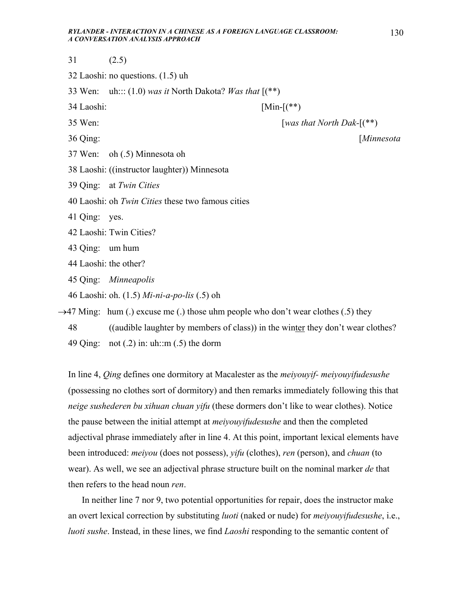- 31 (2.5)
- 32 Laoshi: no questions. (1.5) uh
- 33 Wen: uh::: (1.0) *was it* North Dakota? *Was that* [(\*\*)
- 34 Laoshi: [Min-[(\*\*)

- 35 Wen: [*was that North Dak-*[(\*\*)
- 36 Qing: [*Minnesota*
- 37 Wen: oh (.5) Minnesota oh
- 38 Laoshi: ((instructor laughter)) Minnesota
- 39 Qing: at *Twin Cities*
- 40 Laoshi: oh *Twin Cities* these two famous cities
- 41 Qing: yes.
- 42 Laoshi: Twin Cities?
- 43 Qing: um hum
- 44 Laoshi: the other?
- 45 Qing: *Minneapolis*
- 46 Laoshi: oh. (1.5) *Mi-ni-a-po-lis* (.5) oh

 $\rightarrow$ 47 Ming: hum (.) excuse me (.) those uhm people who don't wear clothes (.5) they

48 ((audible laughter by members of class)) in the winter they don't wear clothes?

49 Qing: not  $(.2)$  in: uh::m  $(.5)$  the dorm

In line 4, *Qing* defines one dormitory at Macalester as the *meiyouyif- meiyouyifudesushe* (possessing no clothes sort of dormitory) and then remarks immediately following this that *neige sushederen bu xihuan chuan yifu* (these dormers don't like to wear clothes). Notice the pause between the initial attempt at *meiyouyifudesushe* and then the completed adjectival phrase immediately after in line 4. At this point, important lexical elements have been introduced: *meiyou* (does not possess), *yifu* (clothes), *ren* (person), and *chuan* (to wear). As well, we see an adjectival phrase structure built on the nominal marker *de* that then refers to the head noun *ren*.

 In neither line 7 nor 9, two potential opportunities for repair, does the instructor make an overt lexical correction by substituting *luoti* (naked or nude) for *meiyouyifudesushe*, i.e., *luoti sushe*. Instead, in these lines, we find *Laoshi* responding to the semantic content of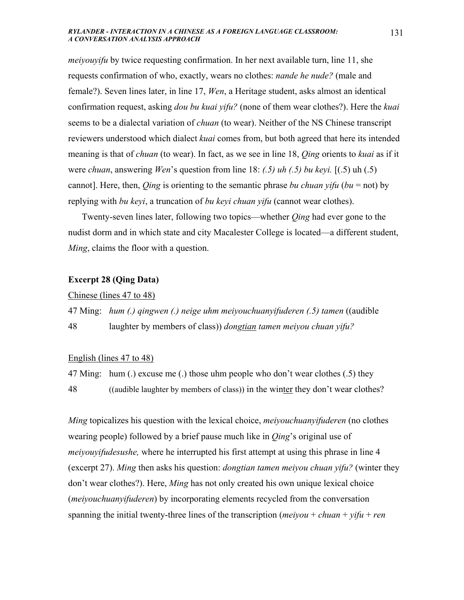*meiyouyifu* by twice requesting confirmation. In her next available turn, line 11, she requests confirmation of who, exactly, wears no clothes: *nande he nude?* (male and female?). Seven lines later, in line 17, *Wen*, a Heritage student, asks almost an identical confirmation request, asking *dou bu kuai yifu?* (none of them wear clothes?). Here the *kuai* seems to be a dialectal variation of *chuan* (to wear). Neither of the NS Chinese transcript reviewers understood which dialect *kuai* comes from, but both agreed that here its intended meaning is that of *chuan* (to wear). In fact, as we see in line 18, *Qing* orients to *kuai* as if it were *chuan*, answering *Wen*'s question from line 18: *(.5) uh (.5) bu keyi.* [(.5) uh (.5) cannot]. Here, then, *Qing* is orienting to the semantic phrase *bu chuan yifu* (*bu* = not) by replying with *bu keyi*, a truncation of *bu keyi chuan yifu* (cannot wear clothes).

 Twenty-seven lines later, following two topics—whether *Qing* had ever gone to the nudist dorm and in which state and city Macalester College is located—a different student, *Ming*, claims the floor with a question.

## **Excerpt 28 (Qing Data)**

## Chinese (lines 47 to 48)

47 Ming: *hum (.) qingwen (.) neige uhm meiyouchuanyifuderen (.5) tamen* ((audible 48 laughter by members of class)) *dongtian tamen meiyou chuan yifu?*

## English (lines 47 to 48)

47 Ming: hum (.) excuse me (.) those uhm people who don't wear clothes (.5) they 48 ((audible laughter by members of class)) in the winter they don't wear clothes?

*Ming* topicalizes his question with the lexical choice, *meiyouchuanyifuderen* (no clothes wearing people) followed by a brief pause much like in *Qing*'s original use of *meiyouyifudesushe,* where he interrupted his first attempt at using this phrase in line 4 (excerpt 27). *Ming* then asks his question: *dongtian tamen meiyou chuan yifu?* (winter they don't wear clothes?). Here, *Ming* has not only created his own unique lexical choice (*meiyouchuanyifuderen*) by incorporating elements recycled from the conversation spanning the initial twenty-three lines of the transcription (*meiyou* + *chuan* + *yifu* + *ren*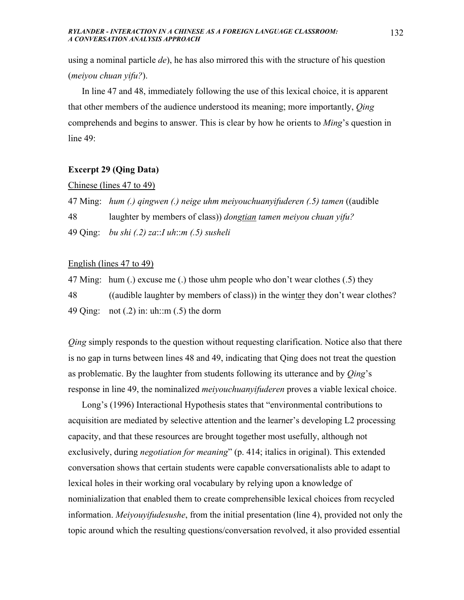using a nominal particle *de*), he has also mirrored this with the structure of his question (*meiyou chuan yifu?*).

 In line 47 and 48, immediately following the use of this lexical choice, it is apparent that other members of the audience understood its meaning; more importantly, *Qing* comprehends and begins to answer. This is clear by how he orients to *Ming*'s question in line 49:

## **Excerpt 29 (Qing Data)**

### Chinese (lines 47 to 49)

47 Ming: *hum (.) qingwen (.) neige uhm meiyouchuanyifuderen (.5) tamen* ((audible

48 laughter by members of class)) *dongtian tamen meiyou chuan yifu?*

49 Qing: *bu shi (.2) za*::*I uh*::*m (.5) susheli*

# English (lines 47 to 49)

47 Ming: hum (.) excuse me (.) those uhm people who don't wear clothes (.5) they 48 ((audible laughter by members of class)) in the winter they don't wear clothes? 49 Qing: not  $(.2)$  in: uh::m  $(.5)$  the dorm

*Qing* simply responds to the question without requesting clarification. Notice also that there is no gap in turns between lines 48 and 49, indicating that Qing does not treat the question as problematic. By the laughter from students following its utterance and by *Qing*'s response in line 49, the nominalized *meiyouchuanyifuderen* proves a viable lexical choice.

 Long's (1996) Interactional Hypothesis states that "environmental contributions to acquisition are mediated by selective attention and the learner's developing L2 processing capacity, and that these resources are brought together most usefully, although not exclusively, during *negotiation for meaning*" (p. 414; italics in original). This extended conversation shows that certain students were capable conversationalists able to adapt to lexical holes in their working oral vocabulary by relying upon a knowledge of nominialization that enabled them to create comprehensible lexical choices from recycled information. *Meiyouyifudesushe*, from the initial presentation (line 4), provided not only the topic around which the resulting questions/conversation revolved, it also provided essential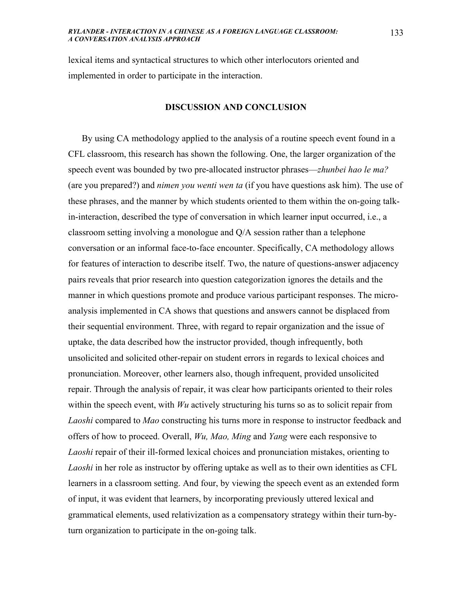lexical items and syntactical structures to which other interlocutors oriented and implemented in order to participate in the interaction.

### **DISCUSSION AND CONCLUSION**

 By using CA methodology applied to the analysis of a routine speech event found in a CFL classroom, this research has shown the following. One, the larger organization of the speech event was bounded by two pre-allocated instructor phrases—*zhunbei hao le ma?* (are you prepared?) and *nimen you wenti wen ta* (if you have questions ask him). The use of these phrases, and the manner by which students oriented to them within the on-going talkin-interaction, described the type of conversation in which learner input occurred, i.e., a classroom setting involving a monologue and Q/A session rather than a telephone conversation or an informal face-to-face encounter. Specifically, CA methodology allows for features of interaction to describe itself. Two, the nature of questions-answer adjacency pairs reveals that prior research into question categorization ignores the details and the manner in which questions promote and produce various participant responses. The microanalysis implemented in CA shows that questions and answers cannot be displaced from their sequential environment. Three, with regard to repair organization and the issue of uptake, the data described how the instructor provided, though infrequently, both unsolicited and solicited other-repair on student errors in regards to lexical choices and pronunciation. Moreover, other learners also, though infrequent, provided unsolicited repair. Through the analysis of repair, it was clear how participants oriented to their roles within the speech event, with *Wu* actively structuring his turns so as to solicit repair from *Laoshi* compared to *Mao* constructing his turns more in response to instructor feedback and offers of how to proceed. Overall, *Wu, Mao, Ming* and *Yang* were each responsive to *Laoshi* repair of their ill-formed lexical choices and pronunciation mistakes, orienting to *Laoshi* in her role as instructor by offering uptake as well as to their own identities as CFL learners in a classroom setting. And four, by viewing the speech event as an extended form of input, it was evident that learners, by incorporating previously uttered lexical and grammatical elements, used relativization as a compensatory strategy within their turn-byturn organization to participate in the on-going talk.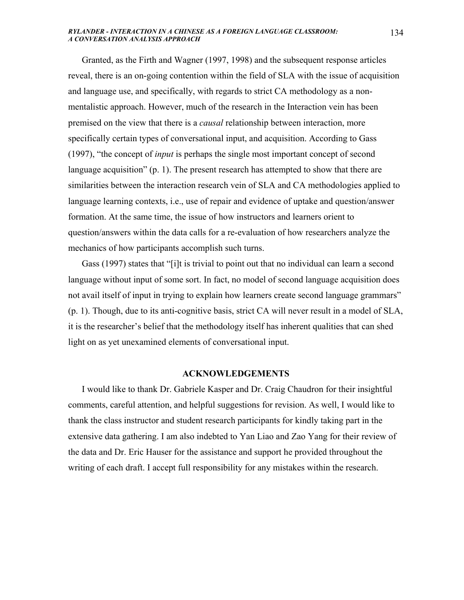Granted, as the Firth and Wagner (1997, 1998) and the subsequent response articles reveal, there is an on-going contention within the field of SLA with the issue of acquisition and language use, and specifically, with regards to strict CA methodology as a nonmentalistic approach. However, much of the research in the Interaction vein has been premised on the view that there is a *causal* relationship between interaction, more specifically certain types of conversational input, and acquisition. According to Gass (1997), "the concept of *input* is perhaps the single most important concept of second language acquisition" (p. 1). The present research has attempted to show that there are similarities between the interaction research vein of SLA and CA methodologies applied to language learning contexts, i.e., use of repair and evidence of uptake and question/answer formation. At the same time, the issue of how instructors and learners orient to question/answers within the data calls for a re-evaluation of how researchers analyze the mechanics of how participants accomplish such turns.

 Gass (1997) states that "[i]t is trivial to point out that no individual can learn a second language without input of some sort. In fact, no model of second language acquisition does not avail itself of input in trying to explain how learners create second language grammars" (p. 1). Though, due to its anti-cognitive basis, strict CA will never result in a model of SLA, it is the researcher's belief that the methodology itself has inherent qualities that can shed light on as yet unexamined elements of conversational input.

### **ACKNOWLEDGEMENTS**

 I would like to thank Dr. Gabriele Kasper and Dr. Craig Chaudron for their insightful comments, careful attention, and helpful suggestions for revision. As well, I would like to thank the class instructor and student research participants for kindly taking part in the extensive data gathering. I am also indebted to Yan Liao and Zao Yang for their review of the data and Dr. Eric Hauser for the assistance and support he provided throughout the writing of each draft. I accept full responsibility for any mistakes within the research.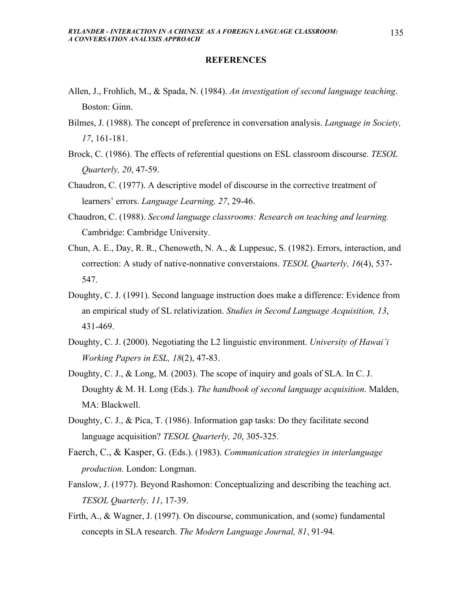## **REFERENCES**

- Allen, J., Frohlich, M., & Spada, N. (1984). *An investigation of second language teaching*. Boston: Ginn.
- Bilmes, J. (1988). The concept of preference in conversation analysis. *Language in Society, 17*, 161-181.
- Brock, C. (1986). The effects of referential questions on ESL classroom discourse. *TESOL Quarterly, 20*, 47-59.
- Chaudron, C. (1977). A descriptive model of discourse in the corrective treatment of learners' errors. *Language Learning, 27*, 29-46.
- Chaudron, C. (1988). *Second language classrooms: Research on teaching and learning.* Cambridge: Cambridge University.
- Chun, A. E., Day, R. R., Chenoweth, N. A., & Luppesuc, S. (1982). Errors, interaction, and correction: A study of native-nonnative converstaions. *TESOL Quarterly, 16*(4), 537- 547.
- Doughty, C. J. (1991). Second language instruction does make a difference: Evidence from an empirical study of SL relativization. *Studies in Second Language Acquisition, 13*, 431-469.
- Doughty, C. J. (2000). Negotiating the L2 linguistic environment. *University of Hawai'i Working Papers in ESL, 18*(2), 47-83.
- Doughty, C. J., & Long, M. (2003). The scope of inquiry and goals of SLA. In C. J. Doughty & M. H. Long (Eds.). *The handbook of second language acquisition*. Malden, MA: Blackwell.
- Doughty, C. J., & Pica, T. (1986). Information gap tasks: Do they facilitate second language acquisition? *TESOL Quarterly, 20*, 305-325.
- Faerch, C., & Kasper, G. (Eds.). (1983). *Communication strategies in interlanguage production.* London: Longman.
- Fanslow, J. (1977). Beyond Rashomon: Conceptualizing and describing the teaching act. *TESOL Quarterly, 11*, 17-39.
- Firth, A., & Wagner, J. (1997). On discourse, communication, and (some) fundamental concepts in SLA research. *The Modern Language Journal, 81*, 91-94.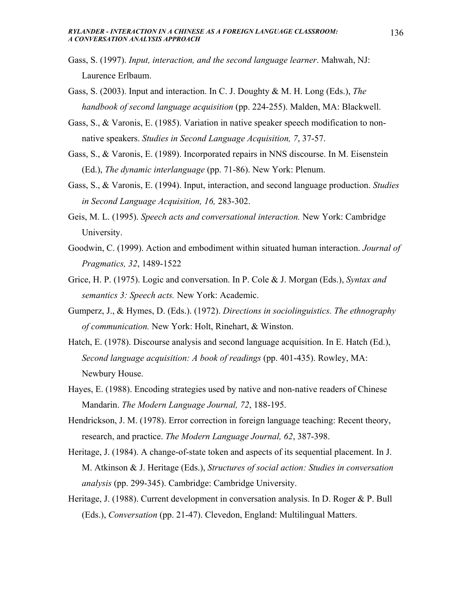- Gass, S. (1997). *Input, interaction, and the second language learner*. Mahwah, NJ: Laurence Erlbaum.
- Gass, S. (2003). Input and interaction. In C. J. Doughty & M. H. Long (Eds.), *The handbook of second language acquisition* (pp. 224-255). Malden, MA: Blackwell.
- Gass, S., & Varonis, E. (1985). Variation in native speaker speech modification to nonnative speakers. *Studies in Second Language Acquisition, 7*, 37-57.
- Gass, S., & Varonis, E. (1989). Incorporated repairs in NNS discourse. In M. Eisenstein (Ed.), *The dynamic interlanguage* (pp. 71-86). New York: Plenum.
- Gass, S., & Varonis, E. (1994). Input, interaction, and second language production. *Studies in Second Language Acquisition, 16,* 283-302.
- Geis, M. L. (1995). *Speech acts and conversational interaction.* New York: Cambridge University.
- Goodwin, C. (1999). Action and embodiment within situated human interaction. *Journal of Pragmatics, 32*, 1489-1522
- Grice, H. P. (1975). Logic and conversation. In P. Cole & J. Morgan (Eds.), *Syntax and semantics 3: Speech acts.* New York: Academic.
- Gumperz, J., & Hymes, D. (Eds.). (1972). *Directions in sociolinguistics. The ethnography of communication.* New York: Holt, Rinehart, & Winston.
- Hatch, E. (1978). Discourse analysis and second language acquisition. In E. Hatch (Ed.), *Second language acquisition: A book of readings* (pp. 401-435). Rowley, MA: Newbury House.
- Hayes, E. (1988). Encoding strategies used by native and non-native readers of Chinese Mandarin. *The Modern Language Journal, 72*, 188-195.
- Hendrickson, J. M. (1978). Error correction in foreign language teaching: Recent theory, research, and practice. *The Modern Language Journal, 62*, 387-398.
- Heritage, J. (1984). A change-of-state token and aspects of its sequential placement. In J. M. Atkinson & J. Heritage (Eds.), *Structures of social action: Studies in conversation analysis* (pp. 299-345). Cambridge: Cambridge University.
- Heritage, J. (1988). Current development in conversation analysis. In D. Roger & P. Bull (Eds.), *Conversation* (pp. 21-47). Clevedon, England: Multilingual Matters.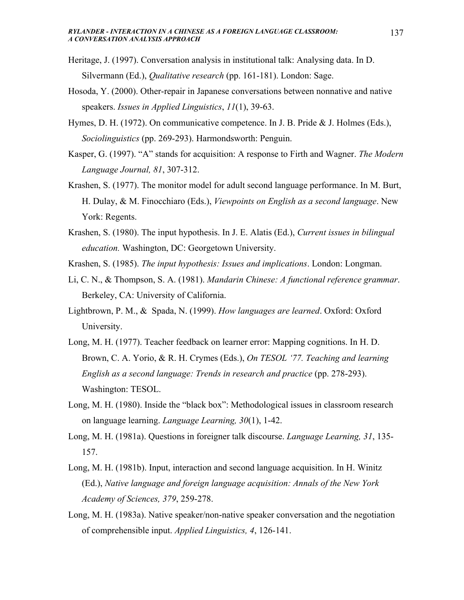- Heritage, J. (1997). Conversation analysis in institutional talk: Analysing data. In D. Silvermann (Ed.), *Qualitative research* (pp. 161-181). London: Sage.
- Hosoda, Y. (2000). Other-repair in Japanese conversations between nonnative and native speakers. *Issues in Applied Linguistics*, *11*(1), 39-63.
- Hymes, D. H. (1972). On communicative competence. In J. B. Pride & J. Holmes (Eds.), *Sociolinguistics* (pp. 269-293). Harmondsworth: Penguin.
- Kasper, G. (1997). "A" stands for acquisition: A response to Firth and Wagner. *The Modern Language Journal, 81*, 307-312.
- Krashen, S. (1977). The monitor model for adult second language performance. In M. Burt, H. Dulay, & M. Finocchiaro (Eds.), *Viewpoints on English as a second language*. New York: Regents.
- Krashen, S. (1980). The input hypothesis. In J. E. Alatis (Ed.), *Current issues in bilingual education.* Washington, DC: Georgetown University.
- Krashen, S. (1985). *The input hypothesis: Issues and implications*. London: Longman.
- Li, C. N., & Thompson, S. A. (1981). *Mandarin Chinese: A functional reference grammar*. Berkeley, CA: University of California.
- Lightbrown, P. M., & Spada, N. (1999). *How languages are learned*. Oxford: Oxford University.
- Long, M. H. (1977). Teacher feedback on learner error: Mapping cognitions. In H. D. Brown, C. A. Yorio, & R. H. Crymes (Eds.), *On TESOL '77. Teaching and learning English as a second language: Trends in research and practice* (pp. 278-293). Washington: TESOL.
- Long, M. H. (1980). Inside the "black box": Methodological issues in classroom research on language learning. *Language Learning, 30*(1), 1-42.
- Long, M. H. (1981a). Questions in foreigner talk discourse. *Language Learning, 31*, 135- 157.
- Long, M. H. (1981b). Input, interaction and second language acquisition. In H. Winitz (Ed.), *Native language and foreign language acquisition: Annals of the New York Academy of Sciences, 379*, 259-278.
- Long, M. H. (1983a). Native speaker/non-native speaker conversation and the negotiation of comprehensible input. *Applied Linguistics, 4*, 126-141.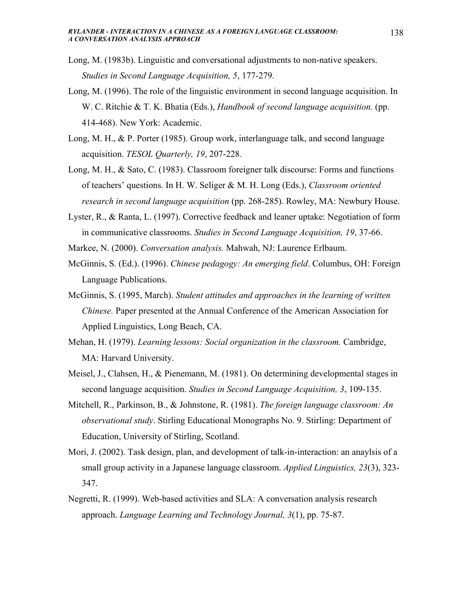- Long, M. (1983b). Linguistic and conversational adjustments to non-native speakers. *Studies in Second Language Acquisition, 5*, 177-279.
- Long, M. (1996). The role of the linguistic environment in second language acquisition. In W. C. Ritchie & T. K. Bhatia (Eds.), *Handbook of second language acquisition.* (pp. 414-468). New York: Academic.
- Long, M. H., & P. Porter (1985). Group work, interlanguage talk, and second language acquisition. *TESOL Quarterly, 19*, 207-228.
- Long, M. H., & Sato, C. (1983). Classroom foreigner talk discourse: Forms and functions of teachers' questions. In H. W. Seliger & M. H. Long (Eds.), *Classroom oriented research in second language acquisition* (pp. 268-285). Rowley, MA: Newbury House.
- Lyster, R., & Ranta, L. (1997). Corrective feedback and leaner uptake: Negotiation of form in communicative classrooms. *Studies in Second Language Acquisition, 19*, 37-66.
- Markee, N. (2000). *Conversation analysis.* Mahwah, NJ: Laurence Erlbaum.
- McGinnis, S. (Ed.). (1996). *Chinese pedagogy: An emerging field*. Columbus, OH: Foreign Language Publications.
- McGinnis, S. (1995, March). *Student attitudes and approaches in the learning of written Chinese.* Paper presented at the Annual Conference of the American Association for Applied Linguistics, Long Beach, CA.
- Mehan, H. (1979). *Learning lessons: Social organization in the classroom.* Cambridge, MA: Harvard University.
- Meisel, J., Clahsen, H., & Pienemann, M. (1981). On determining developmental stages in second language acquisition. *Studies in Second Language Acquisition, 3*, 109-135.
- Mitchell, R., Parkinson, B., & Johnstone, R. (1981). *The foreign language classroom: An observational study*. Stirling Educational Monographs No. 9. Stirling: Department of Education, University of Stirling, Scotland.
- Mori, J. (2002). Task design, plan, and development of talk-in-interaction: an anaylsis of a small group activity in a Japanese language classroom. *Applied Linguistics, 23*(3), 323- 347.
- Negretti, R. (1999). Web-based activities and SLA: A conversation analysis research approach. *Language Learning and Technology Journal, 3*(1), pp. 75-87.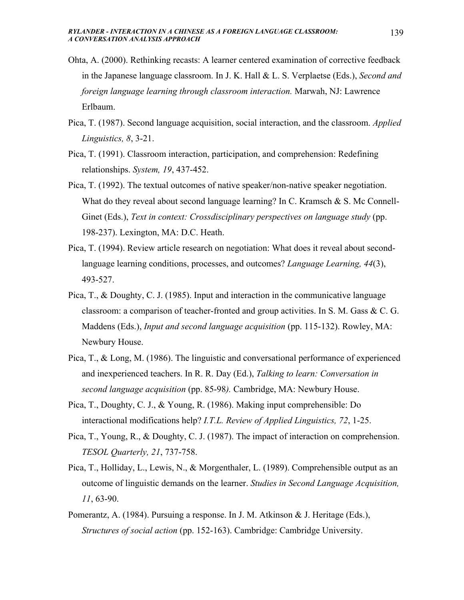- Ohta, A. (2000). Rethinking recasts: A learner centered examination of corrective feedback in the Japanese language classroom. In J. K. Hall & L. S. Verplaetse (Eds.), *Second and foreign language learning through classroom interaction.* Marwah, NJ: Lawrence Erlbaum.
- Pica, T. (1987). Second language acquisition, social interaction, and the classroom. *Applied Linguistics, 8*, 3-21.
- Pica, T. (1991). Classroom interaction, participation, and comprehension: Redefining relationships. *System, 19*, 437-452.
- Pica, T. (1992). The textual outcomes of native speaker/non-native speaker negotiation. What do they reveal about second language learning? In C. Kramsch & S. Mc Connell-Ginet (Eds.), *Text in context: Crossdisciplinary perspectives on language study* (pp. 198-237). Lexington, MA: D.C. Heath.
- Pica, T. (1994). Review article research on negotiation: What does it reveal about secondlanguage learning conditions, processes, and outcomes? *Language Learning, 44*(3), 493-527.
- Pica, T., & Doughty, C. J. (1985). Input and interaction in the communicative language classroom: a comparison of teacher-fronted and group activities. In S. M. Gass & C. G. Maddens (Eds.), *Input and second language acquisition* (pp. 115-132). Rowley, MA: Newbury House.
- Pica, T., & Long, M. (1986). The linguistic and conversational performance of experienced and inexperienced teachers. In R. R. Day (Ed.), *Talking to learn: Conversation in second language acquisition* (pp. 85-98*).* Cambridge, MA: Newbury House.
- Pica, T., Doughty, C. J., & Young, R. (1986). Making input comprehensible: Do interactional modifications help? *I.T.L. Review of Applied Linguistics, 72*, 1-25.
- Pica, T., Young, R., & Doughty, C. J. (1987). The impact of interaction on comprehension. *TESOL Quarterly, 21*, 737-758.
- Pica, T., Holliday, L., Lewis, N., & Morgenthaler, L. (1989). Comprehensible output as an outcome of linguistic demands on the learner. *Studies in Second Language Acquisition, 11*, 63-90.
- Pomerantz, A. (1984). Pursuing a response. In J. M. Atkinson & J. Heritage (Eds.), *Structures of social action* (pp. 152-163). Cambridge: Cambridge University.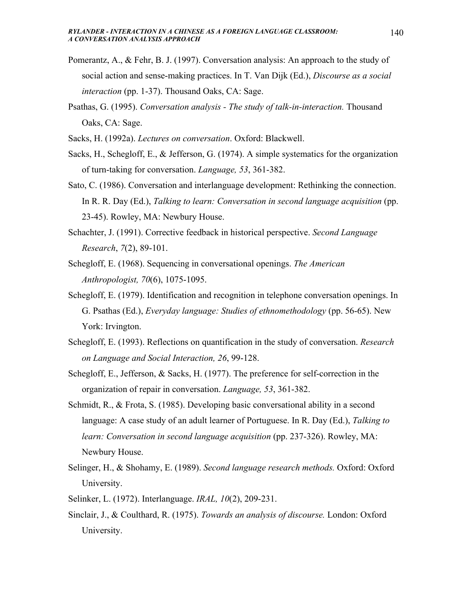- Pomerantz, A., & Fehr, B. J. (1997). Conversation analysis: An approach to the study of social action and sense-making practices. In T. Van Dijk (Ed.), *Discourse as a social interaction* (pp. 1-37). Thousand Oaks, CA: Sage.
- Psathas, G. (1995). *Conversation analysis The study of talk-in-interaction.* Thousand Oaks, CA: Sage.
- Sacks, H. (1992a). *Lectures on conversation*. Oxford: Blackwell.
- Sacks, H., Schegloff, E., & Jefferson, G. (1974). A simple systematics for the organization of turn-taking for conversation. *Language, 53*, 361-382.
- Sato, C. (1986). Conversation and interlanguage development: Rethinking the connection. In R. R. Day (Ed.), *Talking to learn: Conversation in second language acquisition* (pp. 23-45). Rowley, MA: Newbury House.
- Schachter, J. (1991). Corrective feedback in historical perspective. *Second Language Research*, *7*(2), 89-101.
- Schegloff, E. (1968). Sequencing in conversational openings. *The American Anthropologist, 70*(6), 1075-1095.
- Schegloff, E. (1979). Identification and recognition in telephone conversation openings. In G. Psathas (Ed.), *Everyday language: Studies of ethnomethodology* (pp. 56-65). New York: Irvington.
- Schegloff, E. (1993). Reflections on quantification in the study of conversation. *Research on Language and Social Interaction, 26*, 99-128.
- Schegloff, E., Jefferson, & Sacks, H. (1977). The preference for self-correction in the organization of repair in conversation. *Language, 53*, 361-382.
- Schmidt, R., & Frota, S. (1985). Developing basic conversational ability in a second language: A case study of an adult learner of Portuguese. In R. Day (Ed.), *Talking to learn: Conversation in second language acquisition* (pp. 237-326). Rowley, MA: Newbury House.
- Selinger, H., & Shohamy, E. (1989). *Second language research methods.* Oxford: Oxford University.
- Selinker, L. (1972). Interlanguage. *IRAL, 10*(2), 209-231.
- Sinclair, J., & Coulthard, R. (1975). *Towards an analysis of discourse.* London: Oxford University.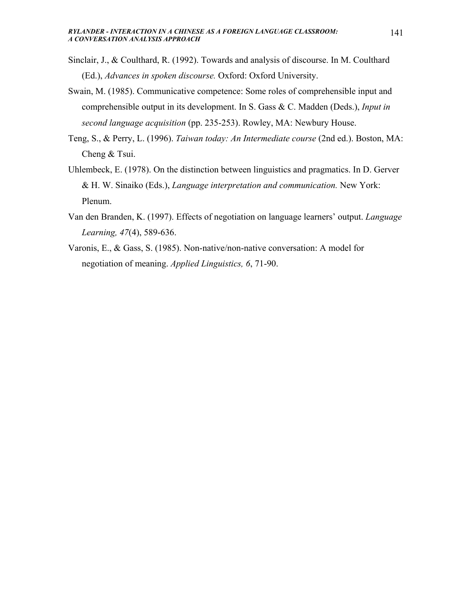- Sinclair, J., & Coulthard, R. (1992). Towards and analysis of discourse. In M. Coulthard (Ed.), *Advances in spoken discourse.* Oxford: Oxford University.
- Swain, M. (1985). Communicative competence: Some roles of comprehensible input and comprehensible output in its development. In S. Gass & C. Madden (Deds.), *Input in second language acquisition* (pp. 235-253). Rowley, MA: Newbury House.
- Teng, S., & Perry, L. (1996). *Taiwan today: An Intermediate course* (2nd ed.). Boston, MA: Cheng & Tsui.
- Uhlembeck, E. (1978). On the distinction between linguistics and pragmatics. In D. Gerver & H. W. Sinaiko (Eds.), *Language interpretation and communication.* New York: Plenum.
- Van den Branden, K. (1997). Effects of negotiation on language learners' output. *Language Learning, 47*(4), 589-636.
- Varonis, E., & Gass, S. (1985). Non-native/non-native conversation: A model for negotiation of meaning. *Applied Linguistics, 6*, 71-90.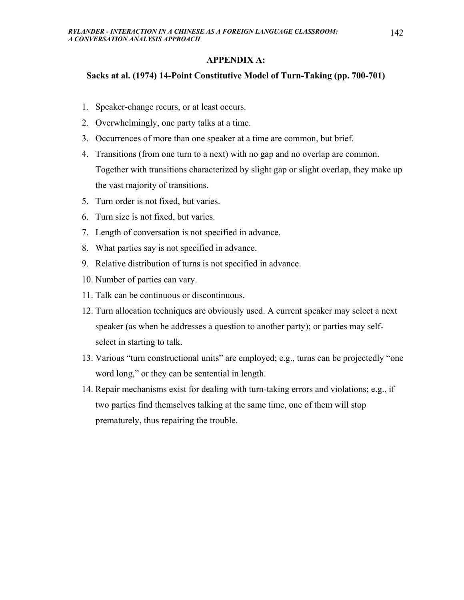### **APPENDIX A:**

#### **Sacks at al. (1974) 14-Point Constitutive Model of Turn-Taking (pp. 700-701)**

- 1. Speaker-change recurs, or at least occurs.
- 2. Overwhelmingly, one party talks at a time.
- 3. Occurrences of more than one speaker at a time are common, but brief.
- 4. Transitions (from one turn to a next) with no gap and no overlap are common. Together with transitions characterized by slight gap or slight overlap, they make up the vast majority of transitions.
- 5. Turn order is not fixed, but varies.
- 6. Turn size is not fixed, but varies.
- 7. Length of conversation is not specified in advance.
- 8. What parties say is not specified in advance.
- 9. Relative distribution of turns is not specified in advance.
- 10. Number of parties can vary.
- 11. Talk can be continuous or discontinuous.
- 12. Turn allocation techniques are obviously used. A current speaker may select a next speaker (as when he addresses a question to another party); or parties may selfselect in starting to talk.
- 13. Various "turn constructional units" are employed; e.g., turns can be projectedly "one word long," or they can be sentential in length.
- 14. Repair mechanisms exist for dealing with turn-taking errors and violations; e.g., if two parties find themselves talking at the same time, one of them will stop prematurely, thus repairing the trouble.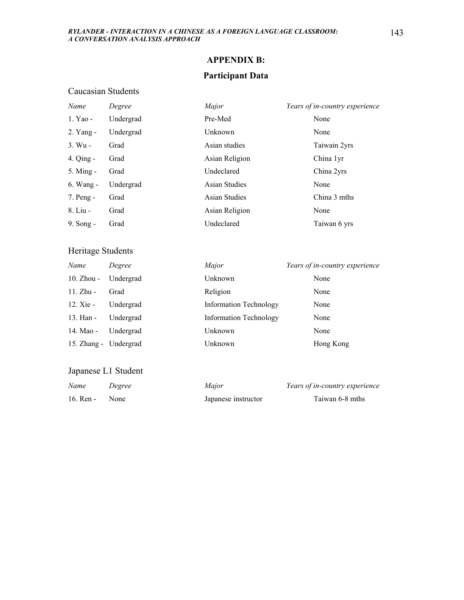# **APPENDIX B:**

## **Participant Data**

### Caucasian Students

| Name          | Degree    | Major                | Years of in-country experience |
|---------------|-----------|----------------------|--------------------------------|
| 1. Yao -      | Undergrad | Pre-Med              | None                           |
| 2. Yang -     | Undergrad | Unknown              | None                           |
| 3. Wu -       | Grad      | Asian studies        | Taiwain 2yrs                   |
| $4.$ Qing $-$ | Grad      | Asian Religion       | China 1yr                      |
| 5. Ming -     | Grad      | Undeclared           | China 2yrs                     |
| 6. Wang -     | Undergrad | <b>Asian Studies</b> | None                           |
| 7. Peng -     | Grad      | <b>Asian Studies</b> | China 3 mths                   |
| 8. Liu -      | Grad      | Asian Religion       | None                           |
| 9. Song -     | Grad      | Undeclared           | Taiwan 6 yrs                   |
|               |           |                      |                                |

### Heritage Students

| Name                  | Degree    | Major                         | Years of in-country experience |
|-----------------------|-----------|-------------------------------|--------------------------------|
| 10. Zhou - Undergrad  |           | Unknown                       | None                           |
| $11.$ Zhu -           | Grad      | Religion                      | None                           |
| $12.$ Xie -           | Undergrad | <b>Information Technology</b> | None                           |
| 13. Han -             | Undergrad | <b>Information Technology</b> | None                           |
| 14. Mao -             | Undergrad | Unknown                       | None                           |
| 15. Zhang - Undergrad |           | Unknown                       | Hong Kong                      |

## Japanese L1 Student

| Name      | Degree | Major               | Years of in-country experience |
|-----------|--------|---------------------|--------------------------------|
| 16. Ren - | None   | Japanese instructor | Taiwan 6-8 mths                |